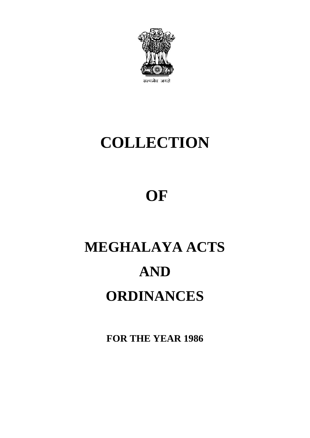

# **COLLECTION**

## **OF**

# **MEGHALAYA ACTS AND ORDINANCES**

**FOR THE YEAR 1986**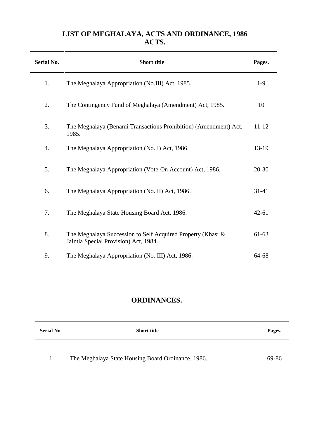## **LIST OF MEGHALAYA, ACTS AND ORDINANCE, 1986 ACTS.**

| <b>Serial No.</b> | <b>Short title</b>                                                                                   | Pages.    |
|-------------------|------------------------------------------------------------------------------------------------------|-----------|
| 1.                | The Meghalaya Appropriation (No.III) Act, 1985.                                                      | $1-9$     |
| 2.                | The Contingency Fund of Meghalaya (Amendment) Act, 1985.                                             | 10        |
| 3.                | The Meghalaya (Benami Transactions Prohibition) (Amendment) Act,<br>1985.                            | $11 - 12$ |
| 4.                | The Meghalaya Appropriation (No. I) Act, 1986.                                                       | 13-19     |
| 5.                | The Meghalaya Appropriation (Vote-On Account) Act, 1986.                                             | 20-30     |
| 6.                | The Meghalaya Appropriation (No. II) Act, 1986.                                                      | 31-41     |
| 7.                | The Meghalaya State Housing Board Act, 1986.                                                         | $42 - 61$ |
| 8.                | The Meghalaya Succession to Self Acquired Property (Khasi &<br>Jaintia Special Provision) Act, 1984. | 61-63     |
| 9.                | The Meghalaya Appropriation (No. III) Act, 1986.                                                     | 64-68     |

## **ORDINANCES.**

| <b>Serial No.</b> | <b>Short title</b>                                 | Pages. |
|-------------------|----------------------------------------------------|--------|
|                   |                                                    |        |
| 1                 | The Meghalaya State Housing Board Ordinance, 1986. | 69-86  |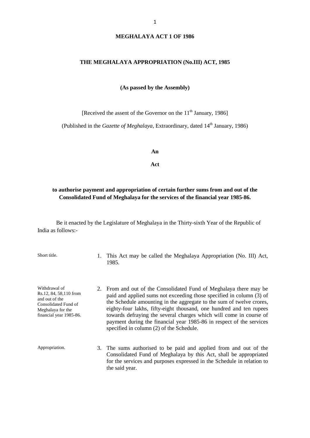#### **THE MEGHALAYA APPROPRIATION (No.III) ACT, 1985**

**(As passed by the Assembly)**

[Received the assent of the Governor on the  $11<sup>th</sup>$  January, 1986]

(Published in the *Gazette of Meghalaya*, Extraordinary, dated 14<sup>th</sup> January, 1986)

**An**

**Act**

#### **to authorise payment and appropriation of certain further sums from and out of the Consolidated Fund of Meghalaya for the services of the financial year 1985-86.**

Be it enacted by the Legislature of Meghalaya in the Thirty-sixth Year of the Republic of India as follows:-

Short title. 1. This Act may be called the Meghalaya Appropriation (No. III) Act, 1985.

Withdrawal of Rs.12, 84, 58,110 from and out of the Consolidated Fund of Meghalaya for the financial year 1985-86.

- 2. From and out of the Consolidated Fund of Meghalaya there may be paid and applied sums not exceeding those specified in column (3) of the Schedule amounting in the aggregate to the sum of twelve crores, eighty-four lakhs, fifty-eight thousand, one hundred and ten rupees towards defraying the several charges which will come in course of payment during the financial year 1985-86 in respect of the services specified in column (2) of the Schedule.
- Appropriation. 3. The sums authorised to be paid and applied from and out of the Consolidated Fund of Meghalaya by this Act, shall be appropriated for the services and purposes expressed in the Schedule in relation to the said year.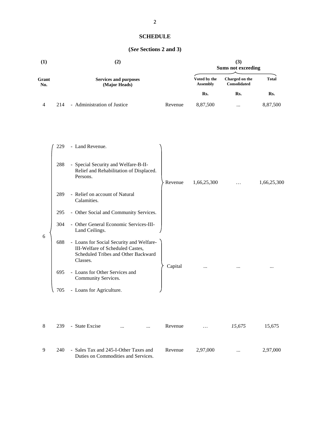## **SCHEDULE**

## **(***See* **Sections 2 and 3)**

| (1)          |     | (2)                                                                                                                             |                                 | (3)<br><b>Sums not exceeding</b> |              |  |  |
|--------------|-----|---------------------------------------------------------------------------------------------------------------------------------|---------------------------------|----------------------------------|--------------|--|--|
| Grant<br>No. |     | <b>Services and purposes</b><br>(Major Heads)                                                                                   | Voted by the<br><b>Assembly</b> | Charged on the<br>Consolidated   | <b>Total</b> |  |  |
|              |     |                                                                                                                                 | Rs.                             | Rs.                              | Rs.          |  |  |
| 4            | 214 | - Administration of Justice<br>Revenue                                                                                          | 8,87,500                        | $\cdots$                         | 8,87,500     |  |  |
|              | 229 | - Land Revenue.                                                                                                                 |                                 |                                  |              |  |  |
|              | 288 | - Special Security and Welfare-B-II-<br>Relief and Rehabilitation of Displaced.<br>Persons.<br>Revenue                          | 1,66,25,300                     | .                                | 1,66,25,300  |  |  |
|              | 289 | - Relief on account of Natural<br>Calamities.                                                                                   |                                 |                                  |              |  |  |
|              | 295 | - Other Social and Community Services.                                                                                          |                                 |                                  |              |  |  |
|              | 304 | - Other General Economic Services-III-<br>Land Ceilings.                                                                        |                                 |                                  |              |  |  |
| 6            | 688 | - Loans for Social Security and Welfare-<br>III-Welfare of Scheduled Castes,<br>Scheduled Tribes and Other Backward<br>Classes. |                                 |                                  |              |  |  |
|              | 695 | Capital<br>- Loans for Other Services and<br>Community Services.                                                                | $\cdots$                        |                                  |              |  |  |
|              | 705 | - Loans for Agriculture.                                                                                                        |                                 |                                  |              |  |  |
| 8            | 239 | - State Excise<br>Revenue<br>$\cdots$                                                                                           | .                               | 15,675                           | 15,675       |  |  |
| 9            | 240 | - Sales Tax and 245-I-Other Taxes and<br>Revenue<br>Duties on Commodities and Services.                                         | 2,97,000                        | $\cdots$                         | 2,97,000     |  |  |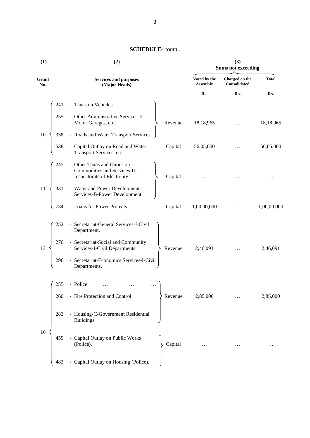| (1)          | (2)                                                                                                    | (3)<br><b>Sums not exceeding</b> |                                |              |  |
|--------------|--------------------------------------------------------------------------------------------------------|----------------------------------|--------------------------------|--------------|--|
| Grant<br>No. | <b>Services and purposes</b><br>(Major Heads)                                                          | Voted by the<br><b>Assembly</b>  | Charged on the<br>Consolidated | <b>Total</b> |  |
|              |                                                                                                        | Rs.                              | Rs.                            | Rs.          |  |
| 241          | - Taxes on Vehicles                                                                                    |                                  |                                |              |  |
| 255          | - Other Administrative Services-II-<br>Motor Garages, etc.<br>Revenue                                  | 18,18,965                        | $\ldots$                       | 18,18,965    |  |
| 10<br>338    | - Roads and Water Transport Services.                                                                  |                                  |                                |              |  |
| 538          | - Capital Outlay on Road and Water<br>Capital<br>Transport Services, etc.                              | 56,05,000                        | $\ldots$                       | 56,05,000    |  |
| 245          | - Other Taxes and Duties on<br>Commodities and Services-II-<br>Inspectorate of Electricity.<br>Capital |                                  |                                | .            |  |
| 11<br>331    | - Water and Power Development<br>Services-B-Power Development.                                         |                                  |                                |              |  |
| 734          | - Loans for Power Projects<br>Capital                                                                  | 1,00,00,000                      | $\ldots$                       | 1,00,00,000  |  |
| 252          | - Secretariat-General Services-I-Civil<br>Department.                                                  |                                  |                                |              |  |
| 276<br>13    | - Secretariat-Social and Community<br>Services-I-Civil Departments.<br>Revenue                         | 2,46,091                         |                                | 2,46,091     |  |
| 296          | - Secretariat-Economics Services-I-Civil<br>Departments.                                               |                                  |                                |              |  |
| 255          | - Police                                                                                               |                                  |                                |              |  |
| 260          | - Fire Protection and Control<br>Revenue                                                               | 2,85,000                         | $\ldots$                       | 2,85,000     |  |
| 283          | - Housing-C-Government Residential<br>Buildings.                                                       |                                  |                                |              |  |
| 16<br>459    | - Capital Outlay on Public Works<br>(Police).<br>Capital                                               |                                  |                                | $\cdots$     |  |
| 483          | - Capital Outlay on Housing (Police).                                                                  |                                  |                                |              |  |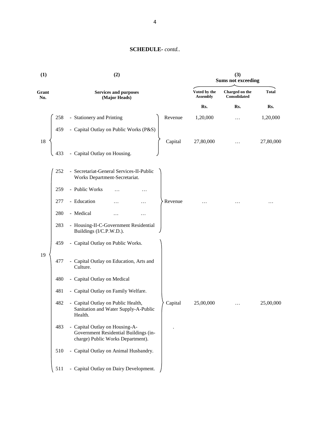| (1)          |     | (2)                                                                                                          |                                 | (3)<br><b>Sums not exceeding</b> |              |  |  |
|--------------|-----|--------------------------------------------------------------------------------------------------------------|---------------------------------|----------------------------------|--------------|--|--|
| Grant<br>No. |     | <b>Services and purposes</b><br>(Major Heads)                                                                | Voted by the<br><b>Assembly</b> | Charged on the<br>Consolidated   | <b>Total</b> |  |  |
|              |     |                                                                                                              | Rs.                             | Rs.                              | Rs.          |  |  |
|              | 258 | - Stationery and Printing<br>Revenue                                                                         | 1,20,000                        | $\cdots$                         | 1,20,000     |  |  |
|              | 459 | - Capital Outlay on Public Works (P&S)                                                                       |                                 |                                  |              |  |  |
| 18           |     | Capital                                                                                                      | 27,80,000                       |                                  | 27,80,000    |  |  |
|              | 433 | - Capital Outlay on Housing.                                                                                 |                                 |                                  |              |  |  |
|              | 252 | - Secretariat-General Services-II-Public<br>Works Department-Secretariat.                                    |                                 |                                  |              |  |  |
|              | 259 | - Public Works<br>.                                                                                          |                                 |                                  |              |  |  |
|              | 277 | - Education                                                                                                  | Revenue                         |                                  | .            |  |  |
|              | 280 | - Medical                                                                                                    |                                 |                                  |              |  |  |
|              | 283 | - Housing-II-C-Government Residential<br>Buildings (I/C.P.W.D.).                                             |                                 |                                  |              |  |  |
|              | 459 | - Capital Outlay on Public Works.                                                                            |                                 |                                  |              |  |  |
| 19           | 477 | - Capital Outlay on Education, Arts and<br>Culture.                                                          |                                 |                                  |              |  |  |
|              | 480 | - Capital Outlay on Medical                                                                                  |                                 |                                  |              |  |  |
|              | 481 | - Capital Outlay on Family Welfare.                                                                          |                                 |                                  |              |  |  |
|              | 482 | - Capital Outlay on Public Health,<br>Capital<br>Sanitation and Water Supply-A-Public<br>Health.             | 25,00,000                       |                                  | 25,00,000    |  |  |
|              | 483 | - Capital Outlay on Housing-A-<br>Government Residential Buildings (in-<br>charge) Public Works Department). |                                 |                                  |              |  |  |
|              | 510 | - Capital Outlay on Animal Husbandry.                                                                        |                                 |                                  |              |  |  |
|              | 511 | - Capital Outlay on Dairy Development.                                                                       |                                 |                                  |              |  |  |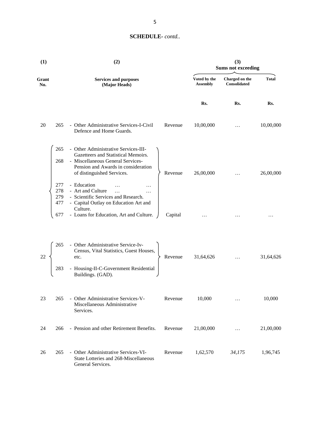| (1)          |                                 | (2)                                                                                                                                                                                               |         | (3)<br><b>Sums not exceeding</b> |                                |              |  |
|--------------|---------------------------------|---------------------------------------------------------------------------------------------------------------------------------------------------------------------------------------------------|---------|----------------------------------|--------------------------------|--------------|--|
| Grant<br>No. |                                 | <b>Services and purposes</b><br>(Major Heads)                                                                                                                                                     |         | Voted by the<br><b>Assembly</b>  | Charged on the<br>Consolidated | <b>Total</b> |  |
|              |                                 |                                                                                                                                                                                                   |         | Rs.                              | Rs.                            | Rs.          |  |
| 20           | 265                             | - Other Administrative Services-I-Civil<br>Defence and Home Guards.                                                                                                                               | Revenue | 10,00,000                        |                                | 10,00,000    |  |
|              | 265<br>268                      | - Other Administrative Services-III-<br>Gazetteers and Statistical Memoirs.<br>- Miscellaneous General Services-<br>Pension and Awards in consideration<br>of distinguished Services.             | Revenue | 26,00,000                        |                                | 26,00,000    |  |
|              | 277<br>278<br>279<br>477<br>677 | - Education<br>- Art and Culture<br>$\dddotsc$<br>$\cdots$<br>- Scientific Services and Research.<br>- Capital Outlay on Education Art and<br>Culture.<br>- Loans for Education, Art and Culture. | Capital | .                                |                                |              |  |
| 22           | 265<br>283                      | - Other Administrative Service-Iv-<br>Census, Vital Statistics, Guest Houses,<br>etc.<br>- Housing-II-C-Government Residential<br>Buildings. (GAD).                                               | Revenue | 31,64,626                        |                                | 31,64,626    |  |
| 23           | 265                             | - Other Administrative Services-V-<br>Miscellaneous Administrative<br>Services.                                                                                                                   | Revenue | 10,000                           | $\cdots$                       | 10,000       |  |
| 24           | 266                             | - Pension and other Retirement Benefits.                                                                                                                                                          | Revenue | 21,00,000                        | $\cdots$                       | 21,00,000    |  |
| 26           | 265                             | - Other Administrative Services-VI-<br>State Lotteries and 268-Miscellaneous<br>General Services.                                                                                                 | Revenue | 1,62,570                         | 34,175                         | 1,96,745     |  |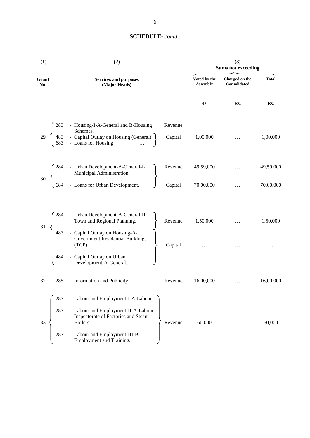| (1)             | (2)                                                                                                                                                                                                                                                                                                             | (3)<br><b>Sums not exceeding</b> |                                 |                                |              |
|-----------------|-----------------------------------------------------------------------------------------------------------------------------------------------------------------------------------------------------------------------------------------------------------------------------------------------------------------|----------------------------------|---------------------------------|--------------------------------|--------------|
| Grant<br>No.    | <b>Services and purposes</b><br>(Major Heads)                                                                                                                                                                                                                                                                   |                                  | Voted by the<br><b>Assembly</b> | Charged on the<br>Consolidated | <b>Total</b> |
|                 |                                                                                                                                                                                                                                                                                                                 |                                  | Rs.                             | Rs.                            | Rs.          |
|                 | 283 - Housing-I-A-General and B-Housing<br>29 (483 - Capital Outlay on Housing (General)<br>683 - Loans for Housing (300 - 2011)                                                                                                                                                                                | Revenue<br>Capital               | 1,00,000                        |                                | 1,00,000     |
| 30 <sub>o</sub> | $\left\{\n\begin{array}{ccc}\n284 & - \text{Urban Development-A-General-I-} \\ \text{Municipal Administration.} \\ 684 & - \text{Loans for Urban Development.} \\ \end{array}\n\right\}\n\quad\n\text{Revenue} \quad\n\begin{array}{ccc}\n49,59,000 & \dots \\ \text{Capital} & 70,00,000 & \dots\n\end{array}$ |                                  |                                 |                                | 49,59,000    |
|                 |                                                                                                                                                                                                                                                                                                                 |                                  |                                 |                                | 70,00,000    |
| 31              | 284 - Urban Development-A-General-II-<br>Town and Regional Planning.<br>483 - Capital Outlay on Housing-A-                                                                                                                                                                                                      |                                  |                                 |                                | 1,50,000     |
|                 | Urban Development-A-General-II-<br>Town and Regional Planning.<br>Capital Outlay on Housing-A-<br>Government Residential Buildings<br>(TCP).<br>Capital Outlay on Urban<br>Capital Outlay on Urban<br>Capital Outlay on Urban<br>(TCP).<br>- Capital Outlay on Urban<br>Development-A-General.                  |                                  |                                 | $\ldots$                       | $\cdots$     |
| 32              | 285 - Information and Publicity                                                                                                                                                                                                                                                                                 | Revenue                          | 16,00,000                       | $\dddotsc$                     | 16,00,000    |
| 287             | - Labour and Employment-I-A-Labour.                                                                                                                                                                                                                                                                             |                                  |                                 |                                |              |
| 287<br>33       | - Labour and Employment-II-A-Labour-<br>Inspectorate of Factories and Steam<br>Boilers.                                                                                                                                                                                                                         | Revenue                          | 60,000                          |                                | 60,000       |
| 287             | - Labour and Employment-III-B-<br>Employment and Training.                                                                                                                                                                                                                                                      |                                  |                                 |                                |              |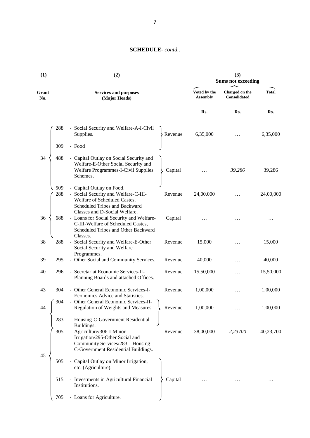| (1)          |            | (2)                                                                                                                                                                                        | (3)<br><b>Sums not exceeding</b> |                                 |                                |              |
|--------------|------------|--------------------------------------------------------------------------------------------------------------------------------------------------------------------------------------------|----------------------------------|---------------------------------|--------------------------------|--------------|
| Grant<br>No. |            | <b>Services and purposes</b><br>(Major Heads)                                                                                                                                              |                                  | Voted by the<br><b>Assembly</b> | Charged on the<br>Consolidated | <b>Total</b> |
|              |            |                                                                                                                                                                                            |                                  | Rs.                             | Rs.                            | Rs.          |
|              | 288        | - Social Security and Welfare-A-I-Civil<br>Supplies.                                                                                                                                       | Revenue                          | 6,35,000                        |                                | 6,35,000     |
|              | 309        | - Food                                                                                                                                                                                     |                                  |                                 |                                |              |
| 34           | 488        | - Capital Outlay on Social Security and<br>Welfare-E-Other Social Security and<br><b>Welfare Programmes-I-Civil Supplies</b><br>Schemes.                                                   | Capital                          |                                 | 39,286                         | 39,286       |
|              | 509<br>288 | - Capital Outlay on Food.<br>- Social Security and Welfare-C-III-<br>Welfare of Scheduled Castes,<br>Scheduled Tribes and Backward                                                         | Revenue                          | 24,00,000                       |                                | 24,00,000    |
| 36           | 688        | Classes and D-Social Welfare.<br>- Loans for Social Security and Welfare-<br>C-III-Welfare of Scheduled Castes,<br>Scheduled Tribes and Other Backward                                     | Capital                          |                                 |                                |              |
| 38           | 288        | Classes.<br>- Social Security and Welfare-E-Other<br>Social Security and Welfare<br>Programmes.                                                                                            | Revenue                          | 15,000                          |                                | 15,000       |
| 39           | 295        | - Other Social and Community Services.                                                                                                                                                     | Revenue                          | 40,000                          |                                | 40,000       |
| 40           | 296        | - Secretariat Economic Services-II-<br>Planning Boards and attached Offices.                                                                                                               | Revenue                          | 15,50,000                       |                                | 15,50,000    |
| 43           | 304        | - Other General Economic Services-I-<br>Economics Advice and Statistics.                                                                                                                   | Revenue                          | 1,00,000                        | $\cdots$                       | 1,00,000     |
| 44           | 304        | - Other General Economic Services-II-<br>Regulation of Weights and Measures.                                                                                                               | Revenue                          | 1,00,000                        |                                | 1,00,000     |
|              | 283<br>305 | - Housing-C-Government Residential<br>Buildings.<br>- Agriculture/306-I-Minor<br>Irrigation/295-Other Social and<br>Community Services/283-Housing-<br>C-Government Residential Buildings. | Revenue                          | 38,00,000                       | 2,23700                        | 40,23,700    |
| 45           | 505        | - Capital Outlay on Minor Irrigation,<br>etc. (Agriculture).                                                                                                                               |                                  |                                 |                                |              |
|              | 515        | - Investments in Agricultural Financial<br>Institutions.                                                                                                                                   | Capital                          |                                 |                                |              |
|              | 705        | - Loans for Agriculture.                                                                                                                                                                   |                                  |                                 |                                |              |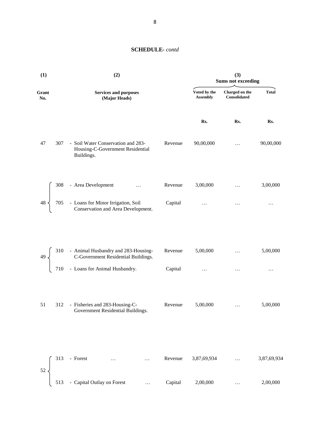| (1)                                                      | (2)                                                                                                             | (3)<br><b>Sums not exceeding</b> |                                 |                                |              |
|----------------------------------------------------------|-----------------------------------------------------------------------------------------------------------------|----------------------------------|---------------------------------|--------------------------------|--------------|
| Grant<br>No.                                             | <b>Services and purposes</b><br>(Major Heads)                                                                   |                                  | Voted by the<br><b>Assembly</b> | Charged on the<br>Consolidated | <b>Total</b> |
|                                                          |                                                                                                                 |                                  | Rs.                             | Rs.                            | Rs.          |
| 47                                                       | - Soil Water Conservation and 283-<br>307<br>Housing-C-Government Residential<br>Buildings.                     | Revenue                          | 90,00,000                       | .                              | 90,00,000    |
|                                                          |                                                                                                                 | Revenue                          | 3,00,000                        | $\ddots$                       | 3,00,000     |
| $48 \n\bigg\}$                                           | 308 - Area Development<br>705 - Loans for Minor Irrigation, Soil<br>Conservation and Area Development.          | Capital                          | $\ldots$                        | $\ldots$                       | $\cdots$     |
| $\left\{\n\begin{array}{c}\n49 \\ \end{array}\n\right\}$ | 310 - Animal Husbandry and 283-Housing-C-Government Residential Buildings.<br>710 - Loans for Animal Husbandry. | Revenue                          | 5,00,000                        | $\ddots$                       | 5,00,000     |
|                                                          |                                                                                                                 | Capital                          | $\ldots$                        | $\ldots$                       | $\cdots$     |
| 51                                                       | 312 - Fisheries and 283-Housing-C-<br>Government Residential Buildings.                                         | Revenue                          | 5,00,000                        | $\cdots$                       | 5,00,000     |
| 52                                                       | 313<br>- Forest<br>$\ddots$                                                                                     | Revenue                          | 3,87,69,934                     | .                              | 3,87,69,934  |
|                                                          | - Capital Outlay on Forest<br>513<br>.                                                                          | Capital                          | 2,00,000                        |                                | 2,00,000     |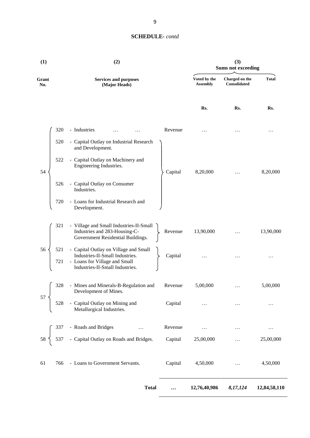| (1)              | (2)                                                                                                                                          |          | (3)<br><b>Sums not exceeding</b> |                                |              |
|------------------|----------------------------------------------------------------------------------------------------------------------------------------------|----------|----------------------------------|--------------------------------|--------------|
| Grant<br>No.     | <b>Services and purposes</b><br>(Major Heads)                                                                                                |          | Voted by the<br><b>Assembly</b>  | Charged on the<br>Consolidated | <b>Total</b> |
|                  |                                                                                                                                              |          | Rs.                              | Rs.                            | Rs.          |
| 320              | - Industries                                                                                                                                 | Revenue  | .                                |                                | .            |
| 520              | - Capital Outlay on Industrial Research<br>and Development.                                                                                  |          |                                  |                                |              |
| 522<br>54        | - Capital Outlay on Machinery and<br>Engineering Industries.                                                                                 | Capital  | 8,20,000                         | $\ldots$                       | 8,20,000     |
| 526              | - Capital Outlay on Consumer<br>Industries.                                                                                                  |          |                                  |                                |              |
| 720              | - Loans for Industrial Research and<br>Development.                                                                                          |          |                                  |                                |              |
| 321              | - Village and Small Industries-II-Small<br>Industries and 283-Housing-C-<br>Government Residential Buildings.                                | Revenue  | 13,90,000                        |                                | 13,90,000    |
| 56<br>521<br>721 | - Capital Outlay on Village and Small<br>Industries-II-Small Industries.<br>- Loans for Village and Small<br>Industries-II-Small Industries. | Capital  | .                                |                                | $\cdots$     |
| 328              | - Mines and Minerals-B-Regulation and<br>Development of Mines.                                                                               | Revenue  | 5,00,000                         | $\ldots$                       | 5,00,000     |
| 57<br>528        | - Capital Outlay on Mining and<br>Metallurgical Industries.                                                                                  | Capital  | .                                | $\ldots$                       | .            |
| 337              | - Roads and Bridges<br>$\ldots$                                                                                                              | Revenue  | $\cdots$                         | $\cdots$                       | $\cdots$     |
| $58\,$<br>537    | - Capital Outlay on Roads and Bridges.                                                                                                       | Capital  | 25,00,000                        | $\cdots$                       | 25,00,000    |
| 61<br>766        | - Loans to Government Servants.                                                                                                              | Capital  | 4,50,000                         | $\cdots$                       | 4,50,000     |
|                  | <b>Total</b>                                                                                                                                 | $\cdots$ | 12,76,40,986                     | 8,17,124                       | 12,84,58,110 |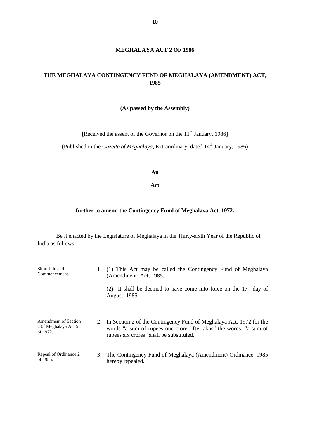#### **MEGHALAYA ACT 2 OF 1986**

## **THE MEGHALAYA CONTINGENCY FUND OF MEGHALAYA (AMENDMENT) ACT, 1985**

#### **(As passed by the Assembly)**

[Received the assent of the Governor on the  $11<sup>th</sup>$  January, 1986]

(Published in the *Gazette of Meghalaya*, Extraordinary, dated 14<sup>th</sup> January, 1986)

#### **An**

#### **Act**

#### **further to amend the Contingency Fund of Meghalaya Act, 1972.**

Be it enacted by the Legislature of Meghalaya in the Thirty-sixth Year of the Republic of India as follows:-

| Short title and<br>Commencement.                         |    | (1) This Act may be called the Contingency Fund of Meghalaya<br>(Amendment) Act, 1985.                                                                                                   |
|----------------------------------------------------------|----|------------------------------------------------------------------------------------------------------------------------------------------------------------------------------------------|
|                                                          |    | It shall be deemed to have come into force on the $17th$ day of<br>(2)<br>August, 1985.                                                                                                  |
| Amendment of Section<br>2 Of Meghalaya Act 5<br>of 1972. |    | 2. In Section 2 of the Contingency Fund of Meghalaya Act, 1972 for the<br>words "a sum of rupees one crore fifty lakhs" the words, "a sum of<br>rupees six crores" shall be substituted. |
| Repeal of Ordinance 2<br>of 1985.                        | 3. | The Contingency Fund of Meghalaya (Amendment) Ordinance, 1985<br>hereby repealed.                                                                                                        |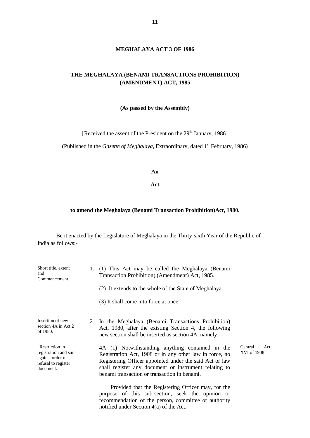#### **THE MEGHALAYA (BENAMI TRANSACTIONS PROHIBITION) (AMENDMENT) ACT, 1985**

#### **(As passed by the Assembly)**

[Received the assent of the President on the 29<sup>th</sup> January, 1986]

(Published in the *Gazette of Meghalaya*, Extraordinary, dated 1<sup>st</sup> February, 1986)

#### **An**

#### **Act**

#### **to amend the Meghalaya (Benami Transaction Prohibition)Act, 1980.**

Be it enacted by the Legislature of Meghalaya in the Thirty-sixth Year of the Republic of India as follows:-

| Short title, extent<br>and<br>Commencement.                                                      | 1. (1) This Act may be called the Meghalaya (Benami<br>Transaction Prohibition) (Amendment) Act, 1985.                                                                                                                                                                          |                                |
|--------------------------------------------------------------------------------------------------|---------------------------------------------------------------------------------------------------------------------------------------------------------------------------------------------------------------------------------------------------------------------------------|--------------------------------|
|                                                                                                  | (2) It extends to the whole of the State of Meghalaya.                                                                                                                                                                                                                          |                                |
|                                                                                                  | (3) It shall come into force at once.                                                                                                                                                                                                                                           |                                |
| Insertion of new<br>section 4A in Act 2<br>of 1980.                                              | 2. In the Meghalaya (Benami Transactions Prohibition)<br>Act, 1980, after the existing Section 4, the following<br>new section shall be inserted as section 4A, namely:-                                                                                                        |                                |
| "Restriction in<br>registration and suit<br>against order of<br>refusal to register<br>document. | 4A (1) Notwithstanding anything contained in the<br>Registration Act, 1908 or in any other law in force, no<br>Registering Officer appointed under the said Act or law<br>shall register any document or instrument relating to<br>benami transaction or transaction in benami. | Central<br>Act<br>XVI of 1908. |
|                                                                                                  | Provided that the Registering Officer may, for the<br>purpose of this sub-section, seek the opinion or<br>recommendation of the person, committee or authority                                                                                                                  |                                |

notified under Section 4(a) of the Act.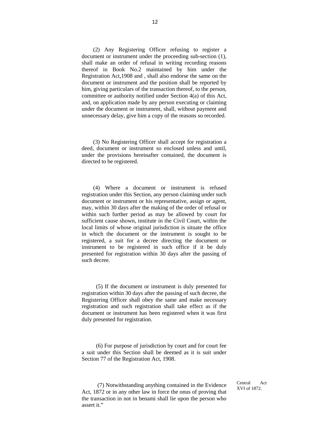(2) Any Registering Officer refusing to register a document or instrument under the proceeding sub-section (1), shall make an order of refusal in writing recording reasons thereof in Book No.2 maintained by him under the Registration Act,1908 and , shall also endorse the same on the document or instrument and the position shall be reported by him, giving particulars of the transaction thereof, to the person, committee or authority notified under Section 4(a) of this Act, and, on application made by any person executing or claiming under the document or instrument, shall, without payment and unnecessary delay, give him a copy of the reasons so recorded.

(3) No Registering Officer shall accept for registration a deed, document or instrument so enclosed unless and until, under the provisions hereinafter contained, the document is directed to be registered.

(4) Where a document or instrument is refused registration under this Section, any person claiming under such document or instrument or his representative, assign or agent, may, within 30 days after the making of the order of refusal or within such further period as may be allowed by court for sufficient cause shown, institute in the Civil Court, within the local limits of whose original jurisdiction is situate the office in which the document or the instrument is sought to be registered, a suit for a decree directing the document or instrument to be registered in such office if it be duly presented for registration within 30 days after the passing of such decree.

(5) If the document or instrument is duly presented for registration within 30 days after the passing of such decree, the Registering Officer shall obey the same and make necessary registration and such registration shall take effect as if the document or instrument has been registered when it was first duly presented for registration.

(6) For purpose of jurisdiction by court and for court fee a suit under this Section shall be deemed as it is suit under Section 77 of the Registration Act, 1908.

(7) Notwithstanding anything contained in the Evidence Act, 1872 or in any other law in force the onus of proving that the transaction in not in benami shall lie upon the person who assert it."

Central Act XVI of 1872.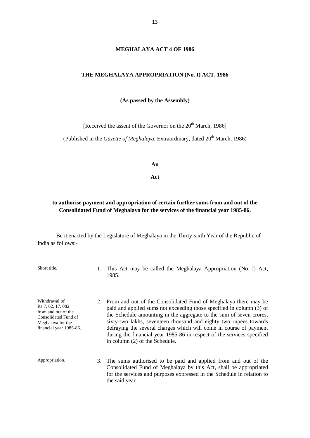#### **MEGHALAYA ACT 4 OF 1986**

#### **THE MEGHALAYA APPROPRIATION (No. I) ACT, 1986**

#### **(As passed by the Assembly)**

[Received the assent of the Governor on the  $20<sup>th</sup>$  March, 1986]

(Published in the *Gazette of Meghalaya*, Extraordinary, dated 20<sup>th</sup> March, 1986)

**An**

**Act**

#### **to authorise payment and appropriation of certain further sums from and out of the Consolidated Fund of Meghalaya for the services of the financial year 1985-86.**

Be it enacted by the Legislature of Meghalaya in the Thirty-sixth Year of the Republic of India as follows:-

Short title. 1. This Act may be called the Meghalaya Appropriation (No. I) Act, 1985.

Withdrawal of Rs.7, 62, 17, 082 from and out of the Consolidated Fund of Meghalaya for the financial year 1985-86. 2. From and out of the Consolidated Fund of Meghalaya there may be paid and applied sums not exceeding those specified in column (3) of the Schedule amounting in the aggregate to the sum of seven crores, sixty-two lakhs, seventeen thousand and eighty two rupees towards defraying the several charges which will come in course of payment during the financial year 1985-86 in respect of the services specified in column (2) of the Schedule.

Appropriation. 3. The sums authorised to be paid and applied from and out of the Consolidated Fund of Meghalaya by this Act, shall be appropriated for the services and purposes expressed in the Schedule in relation to the said year.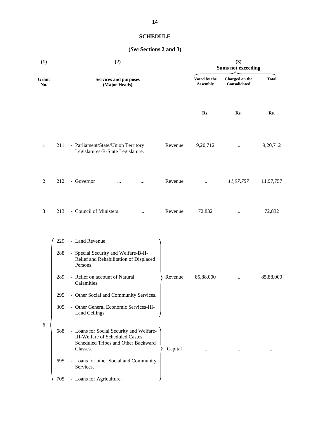## **SCHEDULE**

## **(***See* **Sections 2 and 3)**

| (1)              | (2)                                                                                                                                               |                                 | (3)<br><b>Sums not exceeding</b> |              |
|------------------|---------------------------------------------------------------------------------------------------------------------------------------------------|---------------------------------|----------------------------------|--------------|
| Grant<br>No.     | <b>Services and purposes</b><br>(Major Heads)                                                                                                     | Voted by the<br><b>Assembly</b> | Charged on the<br>Consolidated   | <b>Total</b> |
|                  |                                                                                                                                                   | Rs.                             | Rs.                              | Rs.          |
| $\mathbf{1}$     | - Parliament/State/Union Territory<br>Revenue<br>211<br>Legislatures-B-State Legislature.                                                         | 9,20,712                        | $\cdots$                         | 9,20,712     |
| $\overline{2}$   | 212<br>- Governor<br>Revenue<br>$\ddotsc$                                                                                                         | $\cdots$                        | 11,97,757                        | 11,97,757    |
| 3                | - Council of Ministers<br>213<br>Revenue<br>                                                                                                      | 72,832                          | $\cdots$                         | 72,832       |
|                  | - Land Revenue<br>229                                                                                                                             |                                 |                                  |              |
|                  | - Special Security and Welfare-B-II-<br>288<br>Relief and Rehabilitation of Displaced<br>Persons.                                                 |                                 |                                  |              |
|                  | - Relief on account of Natural<br>289<br>Revenue<br>Calamities.                                                                                   | 85,88,000                       | $\cdots$                         | 85,88,000    |
|                  | 295<br>- Other Social and Community Services.                                                                                                     |                                 |                                  |              |
|                  | - Other General Economic Services-III-<br>305<br>Land Ceilings.                                                                                   |                                 |                                  |              |
| $\boldsymbol{6}$ | - Loans for Social Security and Welfare-<br>688<br>III-Welfare of Scheduled Castes,<br>Scheduled Tribes and Other Backward<br>Classes.<br>Capital |                                 |                                  |              |
|                  | - Loans for other Social and Community<br>695<br>Services.                                                                                        |                                 |                                  |              |
|                  | - Loans for Agriculture.<br>705                                                                                                                   |                                 |                                  |              |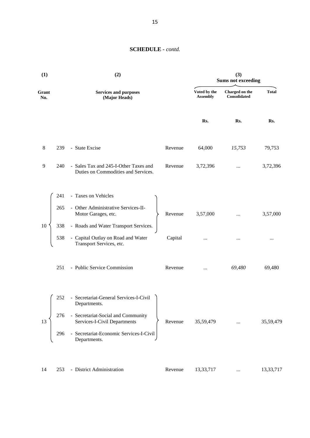| (1)          |     | (2)                                                                          |         |                                 | (3)<br><b>Sums not exceeding</b>      |              |
|--------------|-----|------------------------------------------------------------------------------|---------|---------------------------------|---------------------------------------|--------------|
| Grant<br>No. |     | <b>Services and purposes</b><br>(Major Heads)                                |         | Voted by the<br><b>Assembly</b> | Charged on the<br><b>Consolidated</b> | <b>Total</b> |
|              |     |                                                                              |         | Rs.                             | Rs.                                   | Rs.          |
| $\,8\,$      | 239 | - State Excise                                                               | Revenue | 64,000                          | 15,753                                | 79,753       |
| 9            | 240 | - Sales Tax and 245-I-Other Taxes and<br>Duties on Commodities and Services. | Revenue | 3,72,396                        | $\cdots$                              | 3,72,396     |
|              | 241 | - Taxes on Vehicles                                                          |         |                                 |                                       |              |
|              | 265 | - Other Administrative Services-II-<br>Motor Garages, etc.                   | Revenue | 3,57,000                        | $\cdots$                              | 3,57,000     |
| 10           | 338 | - Roads and Water Transport Services.                                        |         |                                 |                                       |              |
|              | 538 | - Capital Outlay on Road and Water<br>Transport Services, etc.               | Capital | $\cdots$                        | $\cdots$                              | $\cdots$     |
|              | 251 | - Public Service Commission                                                  | Revenue | $\cdots$                        | 69,480                                | 69,480       |
|              | 252 | - Secretariat-General Services-I-Civil<br>Departments.                       |         |                                 |                                       |              |
| 13           | 276 | - Secretariat-Social and Community<br>Services-I-Civil Departments           | Revenue | 35,59,479                       |                                       | 35,59,479    |
|              | 296 | - Secretariat-Economic Services-I-Civil<br>Departments.                      |         |                                 |                                       |              |
| 14           | 253 | - District Administration                                                    | Revenue | 13,33,717                       | $\cdots$                              | 13,33,717    |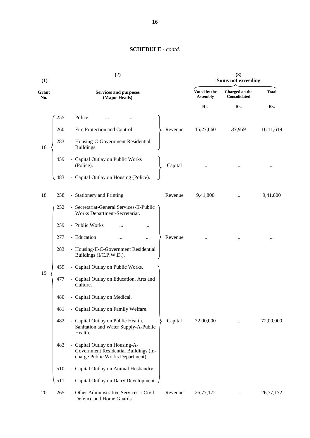| (1)          |     | (2)                                                                                                         |                                 | (3)<br><b>Sums not exceeding</b> |              |
|--------------|-----|-------------------------------------------------------------------------------------------------------------|---------------------------------|----------------------------------|--------------|
| Grant<br>No. |     | <b>Services and purposes</b><br>(Major Heads)                                                               | Voted by the<br><b>Assembly</b> | Charged on the<br>Consolidated   | <b>Total</b> |
|              |     |                                                                                                             | Rs.                             | Rs.                              | Rs.          |
|              | 255 | - Police                                                                                                    |                                 |                                  |              |
|              | 260 | - Fire Protection and Control                                                                               | Revenue<br>15,27,660            | 83,959                           | 16,11,619    |
| 16           | 283 | - Housing-C-Government Residential<br>Buildings.                                                            |                                 |                                  |              |
|              | 459 | - Capital Outlay on Public Works<br>(Police).                                                               | Capital                         |                                  |              |
|              | 483 | - Capital Outlay on Housing (Police).                                                                       |                                 |                                  |              |
| 18           | 258 | - Stationery and Printing                                                                                   | 9,41,800<br>Revenue             |                                  | 9,41,800     |
|              | 252 | - Secretariat-General Services-II-Public<br>Works Department-Secretariat.                                   |                                 |                                  |              |
|              | 259 | - Public Works                                                                                              |                                 |                                  |              |
|              | 277 | - Education<br>                                                                                             | Revenue                         |                                  |              |
|              | 283 | - Housing-II-C-Government Residential<br>Buildings (I/C.P.W.D.).                                            |                                 |                                  |              |
|              | 459 | - Capital Outlay on Public Works.                                                                           |                                 |                                  |              |
| 19           | 477 | - Capital Outlay on Education, Arts and<br>Culture.                                                         |                                 |                                  |              |
|              | 480 | - Capital Outlay on Medical.                                                                                |                                 |                                  |              |
|              | 481 | - Capital Outlay on Family Welfare.                                                                         |                                 |                                  |              |
|              | 482 | - Capital Outlay on Public Health,<br>Sanitation and Water Supply-A-Public<br>Health.                       | Capital<br>72,00,000            |                                  | 72,00,000    |
|              | 483 | - Capital Outlay on Housing-A-<br>Government Residential Buildings (in-<br>charge Public Works Department). |                                 |                                  |              |
|              | 510 | - Capital Outlay on Animal Husbandry.                                                                       |                                 |                                  |              |
|              | 511 | - Capital Outlay on Dairy Development.                                                                      |                                 |                                  |              |
| 20           | 265 | - Other Administrative Services-I-Civil<br>Defence and Home Guards.                                         | Revenue<br>26,77,172            | $\cdots$                         | 26,77,172    |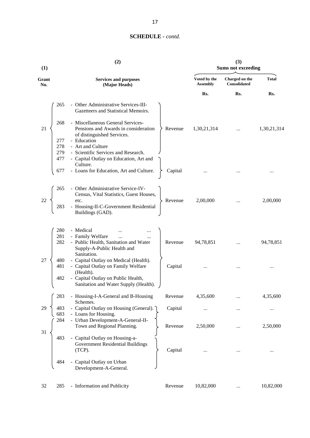| (1)          |                          | (2)                                                                                                               |         |                                 | (3)<br><b>Sums not exceeding</b> |              |
|--------------|--------------------------|-------------------------------------------------------------------------------------------------------------------|---------|---------------------------------|----------------------------------|--------------|
| Grant<br>No. |                          | <b>Services and purposes</b><br>(Major Heads)                                                                     |         | Voted by the<br><b>Assembly</b> | Charged on the<br>Consolidated   | <b>Total</b> |
|              |                          |                                                                                                                   |         | Rs.                             | Rs.                              | Rs.          |
|              | 265                      | - Other Administrative Services-III-<br>Gazetteers and Statistical Memoirs.                                       |         |                                 |                                  |              |
| 21           | 268                      | - Miscellaneous General Services-<br>Pensions and Awards in consideration<br>of distinguished Services.           | Revenue | 1,30,21,314                     |                                  | 1,30,21,314  |
|              | 277<br>278<br>279<br>477 | - Education<br>- Art and Culture<br>- Scientific Services and Research.<br>- Capital Outlay on Education, Art and |         |                                 |                                  |              |
|              | 677                      | Culture.<br>- Loans for Education, Art and Culture.                                                               | Capital |                                 |                                  |              |
|              | 265                      | - Other Administrative Service-IV-<br>Census, Vital Statistics, Guest Houses,                                     |         |                                 |                                  |              |
| 22           | 283                      | etc.<br>Housing-II-C-Government Residential<br>Buildings (GAD).                                                   | Revenue | 2,00,000                        |                                  | 2,00,000     |
|              | 280                      | - Medical                                                                                                         |         |                                 |                                  |              |
|              | 281<br>282               | - Family Welfare<br>$\dddotsc$<br>- Public Health, Sanitation and Water<br>Supply-A-Public Health and             | Revenue | 94,78,851                       |                                  | 94,78,851    |
| 27           | 480<br>481               | Sanitation.<br>- Capital Outlay on Medical (Health).<br>- Capital Outlay on Family Welfare<br>(Health).           | Capital |                                 |                                  |              |
|              | 482                      | - Capital Outlay on Public Health,<br>Sanitation and Water Supply (Health).                                       |         |                                 |                                  |              |
|              | 283                      | - Housing-I-A-General and B-Housing                                                                               | Revenue | 4,35,600                        |                                  | 4,35,600     |
| 29           | 483<br>683               | Schemes.<br>- Capital Outlay on Housing (General).<br>- Loans for Housing.                                        | Capital |                                 |                                  |              |
| 31           | 284                      | - Urban Development-A-General-II-<br>Town and Regional Planning.                                                  | Revenue | 2,50,000                        |                                  | 2,50,000     |
|              | 483                      | - Capital Outlay on Housing-a-<br>Government Residential Buildings<br>$(TCP)$ .                                   | Capital |                                 |                                  |              |
|              | 484                      | Capital Outlay on Urban<br>Development-A-General.                                                                 |         |                                 |                                  |              |
| 32           | 285                      | - Information and Publicity                                                                                       | Revenue | 10,82,000                       |                                  | 10,82,000    |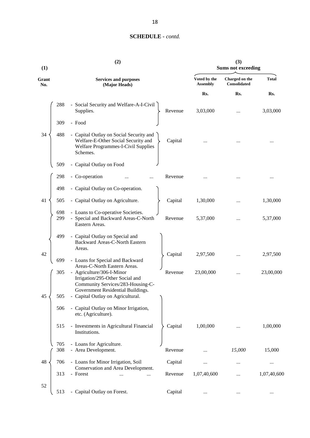| (1)          |            | (2)                                                                                                                                                                    |         |                                 | (3)<br><b>Sums not exceeding</b>      |              |
|--------------|------------|------------------------------------------------------------------------------------------------------------------------------------------------------------------------|---------|---------------------------------|---------------------------------------|--------------|
| Grant<br>No. |            | <b>Services and purposes</b><br>(Major Heads)                                                                                                                          |         | Voted by the<br><b>Assembly</b> | Charged on the<br><b>Consolidated</b> | <b>Total</b> |
|              |            |                                                                                                                                                                        |         | Rs.                             | Rs.                                   | Rs.          |
|              | 288        | - Social Security and Welfare-A-I-Civil<br>Supplies.                                                                                                                   | Revenue | 3,03,000                        |                                       | 3,03,000     |
|              | 309        | - Food                                                                                                                                                                 |         |                                 |                                       |              |
| 34           | 488        | - Capital Outlay on Social Security and<br>Welfare-E-Other Social Security and<br>Welfare Programmes-I-Civil Supplies<br>Schemes.                                      | Capital |                                 |                                       |              |
|              | 509        | - Capital Outlay on Food                                                                                                                                               |         |                                 |                                       |              |
|              | 298        | - Co-operation                                                                                                                                                         | Revenue |                                 |                                       |              |
|              | 498        | - Capital Outlay on Co-operation.                                                                                                                                      |         |                                 |                                       |              |
| 41           | 505        | - Capital Outlay on Agriculture.                                                                                                                                       | Capital | 1,30,000                        |                                       | 1,30,000     |
|              | 698<br>299 | - Loans to Co-operative Societies.<br>- Special and Backward Areas-C-North<br>Eastern Areas.                                                                           | Revenue | 5,37,000                        |                                       | 5,37,000     |
|              | 499        | - Capital Outlay on Special and<br>Backward Areas-C-North Eastern<br>Areas.                                                                                            |         |                                 |                                       |              |
| 42           | 699        | - Loans for Special and Backward                                                                                                                                       | Capital | 2,97,500                        |                                       | 2,97,500     |
|              | 305        | Areas-C-North Eastern Areas.<br>- Agriculture/306-I-Minor<br>Irrigation/295-Other Social and<br>Community Services/283-Housing-C-<br>Government Residential Buildings. | Revenue | 23,00,000                       |                                       | 23,00,000    |
| 45           | 505        | - Capital Outlay on Agricultural.                                                                                                                                      |         |                                 |                                       |              |
|              | 506        | - Capital Outlay on Minor Irrigation,<br>etc. (Agriculture).                                                                                                           |         |                                 |                                       |              |
|              | 515        | - Investments in Agricultural Financial<br>Institutions.                                                                                                               | Capital | 1,00,000                        |                                       | 1,00,000     |
|              | 705<br>308 | - Loans for Agriculture.<br>- Area Development.                                                                                                                        | Revenue |                                 | 15,000                                | 15,000       |
| 48           | 706        | - Loans for Minor Irrigation, Soil                                                                                                                                     | Capital |                                 | .                                     |              |
|              | 313        | Conservation and Area Development.<br>- Forest<br>                                                                                                                     | Revenue | 1,07,40,600                     |                                       | 1,07,40,600  |
| 52           |            |                                                                                                                                                                        |         |                                 |                                       |              |
|              | 513        | - Capital Outlay on Forest.                                                                                                                                            | Capital |                                 |                                       |              |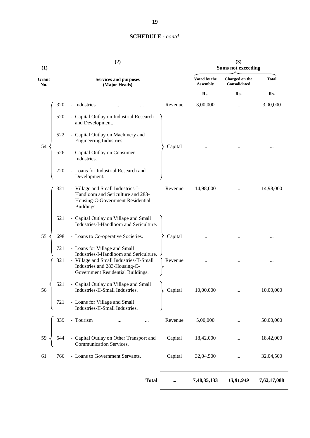| (1)          |            | (2)                                                                                                                      |         |                                 | (3)<br><b>Sums not exceeding</b>      |              |
|--------------|------------|--------------------------------------------------------------------------------------------------------------------------|---------|---------------------------------|---------------------------------------|--------------|
| Grant<br>No. |            | <b>Services and purposes</b><br>(Major Heads)                                                                            |         | Voted by the<br><b>Assembly</b> | Charged on the<br><b>Consolidated</b> | <b>Total</b> |
|              |            |                                                                                                                          |         | Rs.                             | Rs.                                   | Rs.          |
|              | 320        | - Industries                                                                                                             | Revenue | 3,00,000                        |                                       | 3,00,000     |
|              | 520        | - Capital Outlay on Industrial Research<br>and Development.                                                              |         |                                 |                                       |              |
|              | 522        | - Capital Outlay on Machinery and<br>Engineering Industries.                                                             |         |                                 |                                       |              |
| 54           | 526        | - Capital Outlay on Consumer<br>Industries.                                                                              | Capital |                                 |                                       |              |
|              | 720        | - Loans for Industrial Research and<br>Development.                                                                      |         |                                 |                                       |              |
|              | 321        | - Village and Small Industries-I-<br>Handloom and Sericulture and 283-<br>Housing-C-Government Residential<br>Buildings. | Revenue | 14,98,000                       |                                       | 14,98,000    |
|              | 521        | - Capital Outlay on Village and Small<br>Industries-I-Handloom and Sericulture.                                          |         |                                 |                                       |              |
| 55           | 698        | - Loans to Co-operative Societies.                                                                                       | Capital |                                 |                                       |              |
|              | 721<br>321 | - Loans for Village and Small<br>Industries-I-Handloom and Sericulture.<br>- Village and Small Industries-II-Small       | Revenue |                                 |                                       |              |
|              |            | Industries and 283-Housing-C-<br>Government Residential Buildings.                                                       |         |                                 |                                       |              |
| 56           | 521        | - Capital Outlay on Village and Small<br>Industries-II-Small Industries.                                                 | Capital | 10,00,000                       |                                       | 10,00,000    |
|              | 721        | - Loans for Village and Small<br>Industries-II-Small Industries.                                                         |         |                                 |                                       |              |
|              | 339        | - Tourism<br>                                                                                                            | Revenue | 5,00,000                        |                                       | 50,00,000    |
| 59           | 544        | - Capital Outlay on Other Transport and<br>Communication Services.                                                       | Capital | 18,42,000                       |                                       | 18,42,000    |
| 61           | 766        | - Loans to Government Servants.                                                                                          | Capital | 32,04,500                       |                                       | 32,04,500    |
|              |            | <b>Total</b>                                                                                                             |         | 7,48,35,133                     | 13,81,949                             | 7,62,17,088  |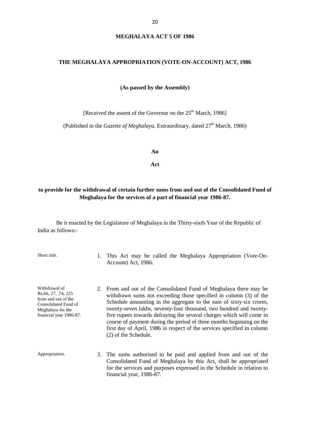#### **MEGHALAYA ACT 5 OF 1986**

#### **THE MEGHALAYA APPROPRIATION (VOTE-ON-ACCOUNT) ACT, 1986**

**(As passed by the Assembly)**

[Received the assent of the Governor on the  $25<sup>th</sup>$  March, 1986]

(Published in the *Gazette of Meghalaya*, Extraordinary, dated  $27<sup>th</sup>$  March, 1986)

**An**

**Act**

#### **to provide for the withdrawal of certain further sums from and out of the Consolidated Fund of Meghalaya for the services of a part of financial year 1986-87.**

Be it enacted by the Legislature of Meghalaya in the Thirty-sixth Year of the Republic of India as follows:-

Short title. 1. This Act may be called the Meghalaya Appropriation (Vote-On-Account) Act, 1986.

Withdrawal of Rs.66, 27, ,74, 225 from and out of the Consolidated Fund of Meghalaya for the financial year 1986-87.

- 2. From and out of the Consolidated Fund of Meghalaya there may be withdrawn sums not exceeding those specified in column (3) of the Schedule amounting in the aggregate to the sum of sixty-six crores, twenty-seven lakhs, seventy-four thousand, two hundred and twentyfive rupees towards defraying the several charges which will come in course of payment during the period of three months beginning on the first day of April, 1986 in respect of the services specified in column (2) of the Schedule.
- Appropriation. 3. The sums authorised to be paid and applied from and out of the Consolidated Fund of Meghalaya by this Act, shall be appropriated for the services and purposes expressed in the Schedule in relation to financial year, 1986-87.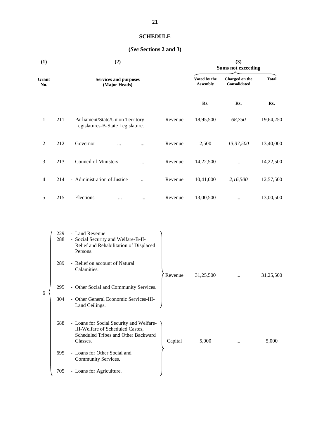## **SCHEDULE**

## **(***See* **Sections 2 and 3)**

| (1)            | (2)                                                                            |         | (3)<br><b>Sums not exceeding</b><br>Voted by the<br>Charged on the<br><b>Total</b> |              |           |
|----------------|--------------------------------------------------------------------------------|---------|------------------------------------------------------------------------------------|--------------|-----------|
| Grant<br>No.   | <b>Services and purposes</b><br>(Major Heads)                                  |         | <b>Assembly</b>                                                                    | Consolidated |           |
|                |                                                                                |         | Rs.                                                                                | Rs.          | Rs.       |
| $\mathbf{1}$   | 211<br>- Parliament/State/Union Territory<br>Legislatures-B-State Legislature. | Revenue | 18,95,500                                                                          | 68,750       | 19,64,250 |
| $\overline{2}$ | 212<br>Governor<br>÷.<br>$\cdots$<br>                                          | Revenue | 2,500                                                                              | 13,37,500    | 13,40,000 |
| 3              | - Council of Ministers<br>213<br>$\ddotsc$                                     | Revenue | 14,22,500                                                                          | $\dddotsc$   | 14,22,500 |
| $\overline{4}$ | - Administration of Justice<br>214<br>$\ddotsc$                                | Revenue | 10,41,000                                                                          | 2,16,500     | 12,57,500 |
| 5              | 215<br>- Elections<br>$\cdots$<br>$\cdots$                                     | Revenue | 13,00,500                                                                          | $\cdots$     | 13,00,500 |

|   | 229<br>288 | - Land Revenue<br>- Social Security and Welfare-B-II-<br>Relief and Rehabilitation of Displaced<br>Persons.                     |         |           |          |           |
|---|------------|---------------------------------------------------------------------------------------------------------------------------------|---------|-----------|----------|-----------|
|   | 289        | - Relief on account of Natural<br>Calamities.                                                                                   | Revenue | 31,25,500 | $\cdots$ | 31,25,500 |
| 6 | 295        | - Other Social and Community Services.                                                                                          |         |           |          |           |
|   | 304        | - Other General Economic Services-III-<br>Land Ceilings.                                                                        |         |           |          |           |
|   | 688        | - Loans for Social Security and Welfare-<br>III-Welfare of Scheduled Castes,<br>Scheduled Tribes and Other Backward<br>Classes. | Capital | 5,000     |          | 5,000     |
|   | 695        | - Loans for Other Social and<br>Community Services.                                                                             |         |           |          |           |
|   | 705        | - Loans for Agriculture.                                                                                                        |         |           |          |           |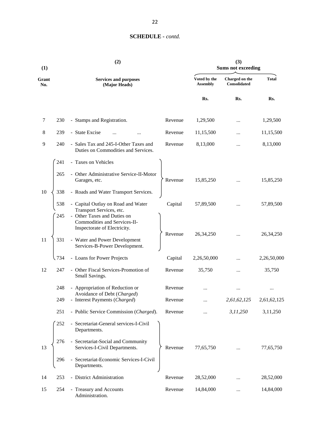| (1)          |     | (2)                                                                                         |         |                                 | (3)<br><b>Sums not exceeding</b>      |              |
|--------------|-----|---------------------------------------------------------------------------------------------|---------|---------------------------------|---------------------------------------|--------------|
| Grant<br>No. |     | <b>Services and purposes</b><br>(Major Heads)                                               |         | Voted by the<br><b>Assembly</b> | Charged on the<br><b>Consolidated</b> | <b>Total</b> |
|              |     |                                                                                             |         | Rs.                             | Rs.                                   | Rs.          |
| 7            | 230 | - Stamps and Registration.                                                                  | Revenue | 1,29,500                        |                                       | 1,29,500     |
| 8            | 239 | - State Excise                                                                              | Revenue | 11,15,500                       |                                       | 11,15,500    |
| 9            | 240 | - Sales Tax and 245-I-Other Taxes and<br>Duties on Commodities and Services.                | Revenue | 8,13,000                        |                                       | 8,13,000     |
|              | 241 | - Taxes on Vehicles                                                                         |         |                                 |                                       |              |
|              | 265 | - Other Administrative Service-II-Motor<br>Garages, etc.                                    | Revenue | 15,85,250                       |                                       | 15,85,250    |
| 10           | 338 | - Roads and Water Transport Services.                                                       |         |                                 |                                       |              |
|              | 538 | - Capital Outlay on Road and Water<br>Transport Services, etc.                              | Capital | 57,89,500                       |                                       | 57,89,500    |
|              | 245 | - Other Taxes and Duties on<br>Commodities and Services-II-<br>Inspectorate of Electricity. |         |                                 |                                       |              |
| 11           | 331 | - Water and Power Development<br>Services-B-Power Development.                              | Revenue | 26, 34, 250                     |                                       | 26, 34, 250  |
|              | 734 | - Loans for Power Projects                                                                  | Capital | 2,26,50,000                     |                                       | 2,26,50,000  |
| 12           | 247 | - Other Fiscal Services-Promotion of<br>Small Savings.                                      | Revenue | 35,750                          | $\cdots$                              | 35,750       |
|              | 248 | - Appropriation of Reduction or                                                             | Revenue |                                 |                                       |              |
|              | 249 | Avoidance of Debt (Charged)<br>- Interest Payments (Charged)                                | Revenue |                                 | 2,61,62,125                           | 2,61,62,125  |
|              | 251 | - Public Service Commission (Charged).                                                      | Revenue |                                 | 3,11,250                              | 3,11,250     |
|              | 252 | - Secretariat-General services-I-Civil<br>Departments.                                      |         |                                 |                                       |              |
| 13           | 276 | - Secretariat-Social and Community<br>Services-I-Civil Departments.                         | Revenue | 77,65,750                       |                                       | 77,65,750    |
|              | 296 | - Secretariat-Economic Services-I-Civil<br>Departments.                                     |         |                                 |                                       |              |
| 14           | 253 | - District Administration                                                                   | Revenue | 28,52,000                       | $\ddotsc$                             | 28,52,000    |
| 15           | 254 | - Treasury and Accounts<br>Administration.                                                  | Revenue | 14,84,000                       |                                       | 14,84,000    |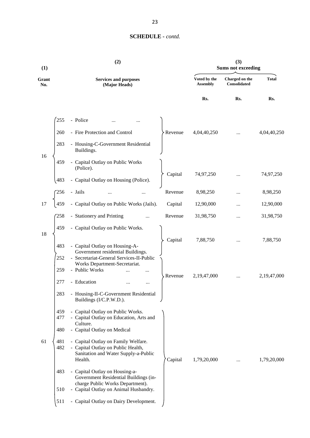| (1)          |                   | (2)                                                                                                                                                  |         |                                 | (3)<br><b>Sums not exceeding</b>      |              |
|--------------|-------------------|------------------------------------------------------------------------------------------------------------------------------------------------------|---------|---------------------------------|---------------------------------------|--------------|
| Grant<br>No. |                   | <b>Services and purposes</b><br>(Major Heads)                                                                                                        |         | Voted by the<br><b>Assembly</b> | Charged on the<br><b>Consolidated</b> | <b>Total</b> |
|              |                   |                                                                                                                                                      |         | Rs.                             | Rs.                                   | Rs.          |
|              | 255               | - Police                                                                                                                                             |         |                                 |                                       |              |
|              | 260               | - Fire Protection and Control                                                                                                                        | Revenue | 4,04,40,250                     |                                       | 4,04,40,250  |
|              | 283               | - Housing-C-Government Residential<br>Buildings.                                                                                                     |         |                                 |                                       |              |
| 16           | 459               | - Capital Outlay on Public Works<br>(Police).                                                                                                        |         |                                 |                                       |              |
|              | 483               | - Capital Outlay on Housing (Police).                                                                                                                | Capital | 74,97,250                       |                                       | 74,97,250    |
|              | 256               | - Jails                                                                                                                                              | Revenue | 8,98,250                        |                                       | 8,98,250     |
| 17           | 459               | - Capital Outlay on Public Works (Jails).                                                                                                            | Capital | 12,90,000                       |                                       | 12,90,000    |
|              | 258               | - Stationery and Printing                                                                                                                            | Revenue | 31,98,750                       |                                       | 31,98,750    |
| 18           | 459               | - Capital Outlay on Public Works.                                                                                                                    |         |                                 |                                       |              |
|              | 483               | - Capital Outlay on Housing-A-                                                                                                                       | Capital | 7,88,750                        |                                       | 7,88,750     |
|              | 252<br>259        | Government residential Buildings.<br>- Secretariat-General Services-II-Public<br>Works Department-Secretariat.<br>- Public Works<br>                 |         |                                 |                                       |              |
|              | 277               | - Education<br>                                                                                                                                      | Revenue | 2,19,47,000                     |                                       | 2,19,47,000  |
|              | 283               | - Housing-II-C-Government Residential<br>Buildings (I/C.P.W.D.).                                                                                     |         |                                 |                                       |              |
|              | 459<br>477<br>480 | - Capital Outlay on Public Works.<br>- Capital Outlay on Education, Arts and<br>Culture.<br>- Capital Outlay on Medical                              |         |                                 |                                       |              |
| 61           | 481<br>482        | - Capital Outlay on Family Welfare.<br>- Capital Outlay on Public Health,<br>Sanitation and Water Supply-a-Public<br>Health.                         | Capital | 1,79,20,000                     |                                       | 1,79,20,000  |
|              | 483<br>510        | - Capital Outlay on Housing-a-<br>Government Residential Buildings (in-<br>charge Public Works Department).<br>- Capital Outlay on Animal Husbandry. |         |                                 |                                       |              |
|              | 511               | - Capital Outlay on Dairy Development.                                                                                                               |         |                                 |                                       |              |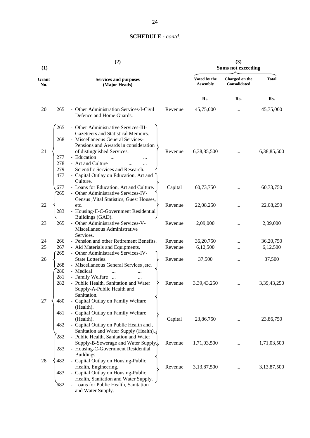| (1)          | (2)                                                                                                                                                                                                                               |                                 | (3)<br><b>Sums not exceeding</b> |              |  |  |
|--------------|-----------------------------------------------------------------------------------------------------------------------------------------------------------------------------------------------------------------------------------|---------------------------------|----------------------------------|--------------|--|--|
| Grant<br>No. | <b>Services and purposes</b><br>(Major Heads)                                                                                                                                                                                     | Voted by the<br><b>Assembly</b> | Charged on the<br>Consolidated   | <b>Total</b> |  |  |
|              |                                                                                                                                                                                                                                   | Rs.                             | Rs.                              | Rs.          |  |  |
| 20           | - Other Administration Services-I-Civil<br>265<br>Defence and Home Guards.                                                                                                                                                        | Revenue<br>45,75,000            |                                  | 45,75,000    |  |  |
|              | 265<br>- Other Administrative Services-III-<br>Gazetteers and Statistical Memoirs.<br>268<br>- Miscellaneous General Services-<br>Pensions and Awards in consideration                                                            |                                 |                                  |              |  |  |
| 21           | of distinguished Services.<br>- Education<br>277<br>$\dddotsc$<br>$\cdots$<br>278<br>- Art and Culture<br>$\cdots$<br><br>279<br>- Scientific Services and Research.<br>477<br>- Capital Outlay on Education, Art and<br>Culture. | 6,38,85,500<br>Revenue          |                                  | 6,38,85,500  |  |  |
|              | - Loans for Education, Art and Culture.<br>677<br>- Other Administrative Services-IV-<br>265<br>Census , Vital Statistics, Guest Houses,                                                                                          | Capital<br>60,73,750            |                                  | 60,73,750    |  |  |
| 22           | etc.<br>283<br>- Housing-II-C-Government Residential<br>Buildings (GAD).                                                                                                                                                          | Revenue<br>22,08,250            |                                  | 22,08,250    |  |  |
| 23           | - Other Administrative Services-V-<br>265<br>Miscellaneous Administrative<br>Services.                                                                                                                                            | Revenue<br>2,09,000             |                                  | 2,09,000     |  |  |
| 24           | - Pension and other Retirement Benefits.<br>266                                                                                                                                                                                   | Revenue<br>36,20,750            |                                  | 36,20,750    |  |  |
| 25           | 267<br>- Aid Materials and Equipments.<br>- Other Administrative Services-IV-<br>265                                                                                                                                              | 6,12,500<br>Revenue             | $\cdots$                         | 6,12,500     |  |  |
| 26           | State Lotteries.<br>- Miscellaneous General Services ,etc.<br>268<br>280<br>- Medical                                                                                                                                             | 37,500<br>Revenue               |                                  | 37,500       |  |  |
|              | 281<br>- Family Welfare<br>282<br>- Public Health, Sanitation and Water<br>Supply-A-Public Health and<br>Sanitation.                                                                                                              | 3, 39, 43, 250<br>Revenue       |                                  | 3,39,43,250  |  |  |
| 27           | 480<br>- Capital Outlay on Family Welfare<br>(Health).<br>- Capital Outlay on Family Welfare<br>481                                                                                                                               |                                 |                                  |              |  |  |
|              | (Health).<br>482<br>- Capital Outlay on Public Health and,<br>Sanitation and Water Supply (Health).                                                                                                                               | Capital<br>23,86,750            | $\cdots$                         | 23,86,750    |  |  |
|              | 282<br>- Public Health, Sanitation and Water<br>Supply-B-Sewerage and Water Supply.                                                                                                                                               | 1,71,03,500<br>Revenue          | $\cdots$                         | 1,71,03,500  |  |  |
| 28           | - Housing-C-Government Residential<br>283<br>Buildings.<br>- Capital Outlay on Housing-Public<br>482                                                                                                                              |                                 |                                  |              |  |  |
|              | Health, Engineering.<br>- Capital Outlay on Housing-Public<br>483<br>Health, Sanitation and Water Supply.                                                                                                                         | 3,13,87,500<br>Revenue          |                                  | 3,13,87,500  |  |  |
|              | - Loans for Public Health, Sanitation<br>682<br>and Water Supply.                                                                                                                                                                 |                                 |                                  |              |  |  |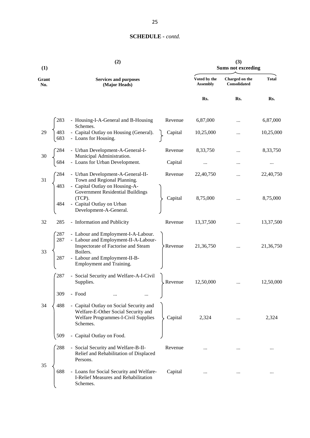| (1)          |                   | (2)                                                                                                                                                                                         |         |                                 | (3)<br><b>Sums not exceeding</b>      |              |
|--------------|-------------------|---------------------------------------------------------------------------------------------------------------------------------------------------------------------------------------------|---------|---------------------------------|---------------------------------------|--------------|
| Grant<br>No. |                   | <b>Services and purposes</b><br>(Major Heads)                                                                                                                                               |         | Voted by the<br><b>Assembly</b> | Charged on the<br><b>Consolidated</b> | <b>Total</b> |
|              |                   |                                                                                                                                                                                             |         | Rs.                             | Rs.                                   | Rs.          |
|              | 283               | - Housing-I-A-General and B-Housing<br>Schemes.                                                                                                                                             | Revenue | 6,87,000                        |                                       | 6,87,000     |
| 29           | 483<br>683        | - Capital Outlay on Housing (General).<br>- Loans for Housing.                                                                                                                              | Capital | 10,25,000                       |                                       | 10,25,000    |
| 30           |                   | - Urban Development-A-General-I-<br>Municipal Administration.                                                                                                                               | Revenue | 8,33,750                        |                                       | 8,33,750     |
|              | 684               | - Loans for Urban Development.                                                                                                                                                              | Capital |                                 |                                       | $\cdots$     |
| 31           | 284<br>483        | - Urban Development-A-General-II-<br>Town and Regional Planning.<br>- Capital Outlay on Housing-A-                                                                                          | Revenue | 22,40,750                       |                                       | 22,40,750    |
|              | 484               | Government Residential Buildings<br>(TCP).<br>- Capital Outlay on Urban<br>Development-A-General.                                                                                           | Capital | 8,75,000                        |                                       | 8,75,000     |
| 32           | 285               | - Information and Publicity                                                                                                                                                                 | Revenue | 13,37,500                       | $\cdots$                              | 13,37,500    |
| 33           | 287<br>287<br>287 | - Labour and Employment-I-A-Labour.<br>- Labour and Employment-II-A-Labour-<br>Inspectorate of Factorise and Steam<br>Boilers.<br>- Labour and Employment-II-B-<br>Employment and Training. | Revenue | 21,36,750                       |                                       | 21,36,750    |
|              | 287               | - Social Security and Welfare-A-I-Civil<br>Supplies.                                                                                                                                        | Revenue | 12,50,000                       |                                       | 12,50,000    |
| 34           | 309<br>488        | - Food<br>- Capital Outlay on Social Security and<br>Welfare-E-Other Social Security and<br>Welfare Programmes-I-Civil Supplies<br>Schemes.                                                 | Capital | 2,324                           |                                       | 2,324        |
|              | 509               | - Capital Outlay on Food.                                                                                                                                                                   |         |                                 |                                       |              |
|              | 288               | - Social Security and Welfare-B-II-<br>Relief and Rehabilitation of Displaced<br>Persons.                                                                                                   | Revenue |                                 |                                       |              |
| 35           | 688               | - Loans for Social Security and Welfare-<br>I-Relief Measures and Rehabilitation<br>Schemes.                                                                                                | Capital |                                 |                                       |              |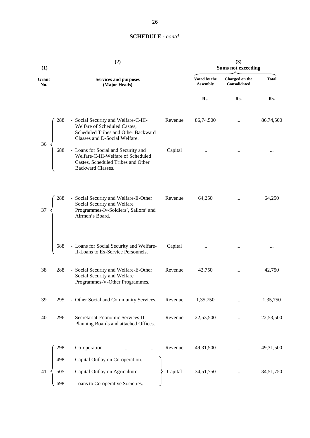| (1)          |     | (2)                                                                                                                                          |         | (3)<br><b>Sums not exceeding</b> |                                |              |
|--------------|-----|----------------------------------------------------------------------------------------------------------------------------------------------|---------|----------------------------------|--------------------------------|--------------|
| Grant<br>No. |     | <b>Services and purposes</b><br>(Major Heads)                                                                                                |         | Voted by the<br><b>Assembly</b>  | Charged on the<br>Consolidated | <b>Total</b> |
|              |     |                                                                                                                                              |         | Rs.                              | Rs.                            | Rs.          |
| 36           | 288 | - Social Security and Welfare-C-III-<br>Welfare of Scheduled Castes,<br>Scheduled Tribes and Other Backward<br>Classes and D-Social Welfare. | Revenue | 86,74,500                        |                                | 86,74,500    |
|              | 688 | - Loans for Social and Security and<br>Welfare-C-III-Welfare of Scheduled<br>Castes, Scheduled Tribes and Other<br>Backward Classes.         | Capital |                                  |                                |              |
| 37           | 288 | - Social Security and Welfare-E-Other<br>Social Security and Welfare<br>Programmes-Iv-Soldiers', Sailors' and<br>Airmen's Board.             | Revenue | 64,250                           | $\ddotsc$                      | 64,250       |
|              | 688 | - Loans for Social Security and Welfare-<br>II-Loans to Ex-Service Personnels.                                                               | Capital |                                  |                                |              |
| 38           | 288 | - Social Security and Welfare-E-Other<br>Social Security and Welfare<br>Programmes-V-Other Programmes.                                       | Revenue | 42,750                           | $\ldots$                       | 42,750       |
| 39           | 295 | - Other Social and Community Services.                                                                                                       | Revenue | 1,35,750                         |                                | 1,35,750     |
| 40           | 296 | - Secretariat-Economic Services-II-<br>Planning Boards and attached Offices.                                                                 | Revenue | 22,53,500                        |                                | 22,53,500    |
|              | 298 | - Co-operation<br>                                                                                                                           | Revenue | 49,31,500                        |                                | 49,31,500    |
|              | 498 | - Capital Outlay on Co-operation.                                                                                                            |         |                                  |                                |              |
| 41           | 505 | - Capital Outlay on Agriculture.                                                                                                             | Capital | 34,51,750                        |                                | 34,51,750    |
|              | 698 | - Loans to Co-operative Societies.                                                                                                           |         |                                  |                                |              |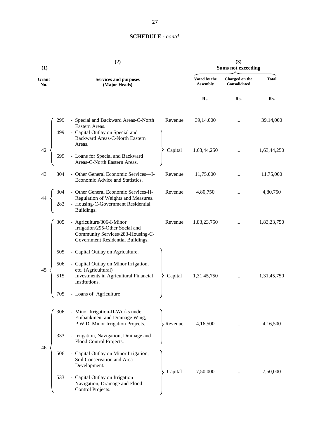| (1)          |                          | (2)                                                                                                                                                                                  | (3)<br><b>Sums not exceeding</b> |                                 |                                |              |
|--------------|--------------------------|--------------------------------------------------------------------------------------------------------------------------------------------------------------------------------------|----------------------------------|---------------------------------|--------------------------------|--------------|
| Grant<br>No. |                          | <b>Services and purposes</b><br>(Major Heads)                                                                                                                                        |                                  | Voted by the<br><b>Assembly</b> | Charged on the<br>Consolidated | <b>Total</b> |
|              |                          |                                                                                                                                                                                      |                                  | Rs.                             | Rs.                            | Rs.          |
|              | 299<br>499               | - Special and Backward Areas-C-North<br>Eastern Areas.<br>- Capital Outlay on Special and<br>Backward Areas-C-North Eastern<br>Areas.                                                | Revenue                          | 39,14,000                       |                                | 39,14,000    |
| 42           | 699                      | - Loans for Special and Backward<br>Areas-C-North Eastern Areas.                                                                                                                     | Capital                          | 1,63,44,250                     |                                | 1,63,44,250  |
| 43           | 304                      | - Other General Economic Services-I-<br>Economic Advice and Statistics.                                                                                                              | Revenue                          | 11,75,000                       |                                | 11,75,000    |
|              | 283                      | - Other General Economic Services-II-<br>Regulation of Weights and Measures.<br>- Housing-C-Government Residential<br>Buildings.                                                     | Revenue                          | 4,80,750                        |                                | 4,80,750     |
|              | 305                      | - Agriculture/306-I-Minor<br>Irrigation/295-Other Social and<br>Community Services/283-Housing-C-<br>Government Residential Buildings.                                               | Revenue                          | 1,83,23,750                     | $\cdots$                       | 1,83,23,750  |
| 45           | 505<br>506<br>515<br>705 | - Capital Outlay on Agriculture.<br>- Capital Outlay on Minor Irrigation,<br>etc. (Agricultural)<br>Investments in Agricultural Financial<br>Institutions.<br>- Loans of Agriculture | Capital                          | 1,31,45,750                     |                                | 1,31,45,750  |
|              | 306<br>333               | - Minor Irrigation-II-Works under<br>Embankment and Drainage Wing,<br>P.W.D. Minor Irrigation Projects.<br>- Irrigation, Navigation, Drainage and                                    | Revenue                          | 4,16,500                        | $\ddotsc$                      | 4,16,500     |
| 46           | 506                      | Flood Control Projects.<br>- Capital Outlay on Minor Irrigation,<br>Soil Conservation and Area<br>Development.                                                                       |                                  |                                 |                                |              |
|              | 533                      | Capital Outlay on Irrigation<br>Navigation, Drainage and Flood<br>Control Projects.                                                                                                  | Capital                          | 7,50,000                        |                                | 7,50,000     |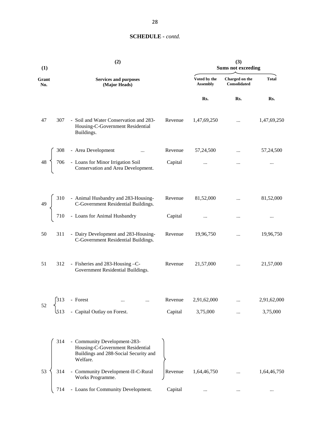| (1)          |     | (2)                                                                                                                   | (3)<br><b>Sums not exceeding</b> |                                 |                                       |              |
|--------------|-----|-----------------------------------------------------------------------------------------------------------------------|----------------------------------|---------------------------------|---------------------------------------|--------------|
| Grant<br>No. |     | <b>Services and purposes</b><br>(Major Heads)                                                                         |                                  | Voted by the<br><b>Assembly</b> | Charged on the<br><b>Consolidated</b> | <b>Total</b> |
|              |     |                                                                                                                       |                                  | Rs.                             | Rs.                                   | Rs.          |
| 47           | 307 | - Soil and Water Conservation and 283-<br>Housing-C-Government Residential<br>Buildings.                              | Revenue                          | 1,47,69,250                     | $\cdots$                              | 1,47,69,250  |
|              |     | - Area Development<br>$\ldots$                                                                                        | Revenue                          | 57,24,500                       |                                       | 57,24,500    |
|              |     | 706 - Alexander<br>2006 - Loans for Minor Irrigation Soil<br>Conservation and Area Development.                       | Capital                          | $\cdots$                        | $\ldots$                              |              |
| 49           |     | 310 - Animal Husbandry and 283-Housing-C-Government Residential Buildings.<br>710 - Loans for Animal Husbandry        | Revenue                          | 81,52,000                       | $\dddotsc$                            | 81,52,000    |
|              |     |                                                                                                                       | Capital                          |                                 | $\cdots$                              | $\cdots$     |
| 50           | 311 | - Dairy Development and 283-Housing-<br>C-Government Residential Buildings.                                           | Revenue                          | 19,96,750                       | $\cdots$                              | 19,96,750    |
| 51           | 312 | - Fisheries and 283-Housing -C-<br>Government Residential Buildings.                                                  | Revenue                          | 21,57,000                       | $\cdots$                              | 21,57,000    |
|              | 313 | - Forest                                                                                                              | Revenue                          | 2,91,62,000                     |                                       | 2,91,62,000  |
| 52           | 513 | - Capital Outlay on Forest.                                                                                           | Capital                          | 3,75,000                        |                                       | 3,75,000     |
|              | 314 | - Community Development-283-<br>Housing-C-Government Residential<br>Buildings and 288-Social Security and<br>Welfare. |                                  |                                 |                                       |              |
| 53           | 314 | - Community Development-II-C-Rural<br>Works Programme.                                                                | Revenue                          | 1,64,46,750                     |                                       | 1,64,46,750  |
|              | 714 | - Loans for Community Development.                                                                                    | Capital                          | $\cdots$                        |                                       |              |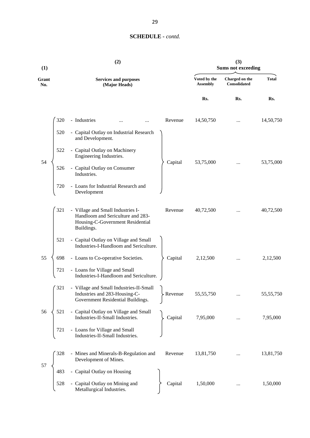| (1)          | (2)                                                                                                                                        |                                 | (3)<br><b>Sums not exceeding</b> |              |
|--------------|--------------------------------------------------------------------------------------------------------------------------------------------|---------------------------------|----------------------------------|--------------|
| Grant<br>No. | <b>Services and purposes</b><br>(Major Heads)                                                                                              | Voted by the<br><b>Assembly</b> | Charged on the<br>Consolidated   | <b>Total</b> |
|              |                                                                                                                                            | Rs.                             | Rs.                              | Rs.          |
|              | 320<br>- Industries<br>Revenue                                                                                                             | 14,50,750                       |                                  | 14,50,750    |
|              | 520<br>- Capital Outlay on Industrial Research<br>and Development.                                                                         |                                 |                                  |              |
|              | 522<br>- Capital Outlay on Machinery<br>Engineering Industries.                                                                            |                                 |                                  |              |
| 54           | Capital<br>526<br>- Capital Outlay on Consumer<br>Industries.                                                                              | 53,75,000                       |                                  | 53,75,000    |
|              | - Loans for Industrial Research and<br>720<br>Development                                                                                  |                                 |                                  |              |
|              | 321<br>- Village and Small Industries I-<br>Revenue<br>Handloom and Sericulture and 283-<br>Housing-C-Government Residential<br>Buildings. | 40,72,500                       |                                  | 40,72,500    |
|              | - Capital Outlay on Village and Small<br>521<br>Industries-I-Handloom and Sericulture.                                                     |                                 |                                  |              |
| 55           | 698<br>- Loans to Co-operative Societies.<br>Capital                                                                                       | 2,12,500                        | $\cdots$                         | 2,12,500     |
|              | - Loans for Village and Small<br>721<br>Industries-I-Handloom and Sericulture.                                                             |                                 |                                  |              |
|              | 321<br>- Village and Small Industries-II-Small<br>Industries and 283-Housing-C-<br>≻ Revenue<br>Government Residential Buildings.          | 55, 55, 750                     |                                  | 55,55,750    |
| 56           | - Capital Outlay on Village and Small<br>521<br>Industries-II-Small Industries.<br>Capital                                                 | 7,95,000                        |                                  | 7,95,000     |
|              | - Loans for Village and Small<br>721<br>Industries-II-Small Industries.                                                                    |                                 |                                  |              |
|              | 328<br>- Mines and Minerals-B-Regulation and<br>Revenue<br>Development of Mines.                                                           | 13,81,750                       |                                  | 13,81,750    |
| 57           | - Capital Outlay on Housing<br>483                                                                                                         |                                 |                                  |              |
|              | 528<br>- Capital Outlay on Mining and<br>Capital<br>Metallurgical Industries.                                                              | 1,50,000                        |                                  | 1,50,000     |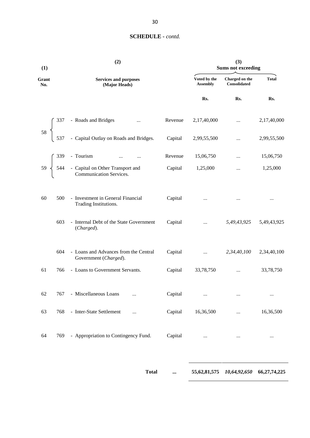| (1)                                   |     | (2)                                                                                                                                                 | (3)<br><b>Sums not exceeding</b> |                                 |                                |              |
|---------------------------------------|-----|-----------------------------------------------------------------------------------------------------------------------------------------------------|----------------------------------|---------------------------------|--------------------------------|--------------|
| Grant<br>No.                          |     | <b>Services and purposes</b><br>(Major Heads)                                                                                                       |                                  | Voted by the<br><b>Assembly</b> | Charged on the<br>Consolidated | <b>Total</b> |
|                                       |     |                                                                                                                                                     |                                  | Rs.                             | Rs.                            | Rs.          |
|                                       |     | - Roads and Bridges<br>$\ddotsc$                                                                                                                    | Revenue                          | 2,17,40,000                     |                                | 2,17,40,000  |
| $\begin{array}{c} 58 \\  \end{array}$ |     | - Capital Outlay on Roads and Bridges.                                                                                                              | Capital                          | 2,99,55,500                     |                                | 2,99,55,500  |
|                                       |     |                                                                                                                                                     | Revenue                          | 15,06,750                       |                                | 15,06,750    |
|                                       |     | $59\begin{cases}\n339 - \text{Tourism} & \dots & \dots \\ 544 - \text{Capital on Other Transport and Communication Services.} & \dots\n\end{cases}$ | Capital                          | 1,25,000                        |                                | 1,25,000     |
| 60                                    | 500 | - Investment in General Financial<br>Trading Institutions.                                                                                          | Capital                          | $\ldots$                        | $\cdots$                       | $\cdots$     |
|                                       | 603 | - Internal Debt of the State Government<br>(Charged).                                                                                               | Capital                          | $\cdots$                        | 5,49,43,925                    | 5,49,43,925  |
|                                       | 604 | - Loans and Advances from the Central<br>Government (Charged).                                                                                      | Capital                          | $\cdots$                        | 2,34,40,100                    | 2,34,40,100  |
| 61                                    | 766 | - Loans to Government Servants.                                                                                                                     | Capital                          | 33,78,750                       | $\cdots$                       | 33,78,750    |
| 62                                    |     | 767 - Miscellaneous Loans<br>$\cdots$                                                                                                               | Capital                          | $\ldots$                        | $\ldots$                       | $\cdots$     |
| 63                                    | 768 | - Inter-State Settlement<br>$\ddotsc$                                                                                                               | Capital                          | 16,36,500                       | $\cdots$                       | 16,36,500    |
| 64                                    | 769 | - Appropriation to Contingency Fund.                                                                                                                | Capital                          | $\ldots$                        | $\ldots$                       | $\cdots$     |
|                                       |     |                                                                                                                                                     |                                  |                                 |                                |              |

**Total ... 55,62,81,575** *10,64,92,650* **66,27,74,225**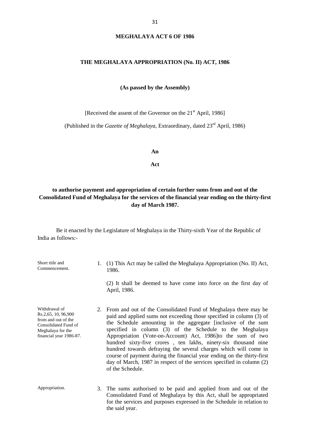#### **MEGHALAYA ACT 6 OF 1986**

#### **THE MEGHALAYA APPROPRIATION (No. II) ACT, 1986**

**(As passed by the Assembly)**

[Received the assent of the Governor on the 21<sup>st</sup> April, 1986]

(Published in the *Gazette of Meghalaya*, Extraordinary, dated 23rd April, 1986)

**An**

**Act**

#### **to authorise payment and appropriation of certain further sums from and out of the Consolidated Fund of Meghalaya for the services of the financial year ending on the thirty-first day of March 1987.**

Be it enacted by the Legislature of Meghalaya in the Thirty-sixth Year of the Republic of India as follows:-

| Short title and<br>Commencement.                                                                                                    |    | 1. (1) This Act may be called the Meghalaya Appropriation (No. II) Act,<br>1986.<br>(2) It shall be deemed to have come into force on the first day of<br>April, 1986.                                                                                                                                                                                                                                                                                                                                                                                                                                                                              |
|-------------------------------------------------------------------------------------------------------------------------------------|----|-----------------------------------------------------------------------------------------------------------------------------------------------------------------------------------------------------------------------------------------------------------------------------------------------------------------------------------------------------------------------------------------------------------------------------------------------------------------------------------------------------------------------------------------------------------------------------------------------------------------------------------------------------|
| Withdrawal of<br>Rs.2,65, 10, 96,900<br>from and out of the<br>Consolidated Fund of<br>Meghalaya for the<br>financial year 1986-87. |    | 2. From and out of the Consolidated Fund of Meghalaya there may be<br>paid and applied sums not exceeding those specified in column (3) of<br>the Schedule amounting in the aggregate [inclusive of the sum<br>specified in column (3) of the Schedule to the Meghalaya<br>Appropriation (Vote-on-Account) Act, 1986 to the sum of two<br>hundred sixty-five crores, ten lakhs, ninety-six thousand nine<br>hundred towards defraying the several charges which will come in<br>course of payment during the financial year ending on the thirty-first<br>day of March, 1987 in respect of the services specified in column (2)<br>of the Schedule. |
| Appropriation.                                                                                                                      | 3. | The sums authorised to be paid and applied from and out of the<br>Consolidated Fund of Meghalaya by this Act, shall be appropriated<br>for the services and purposes expressed in the Schedule in relation to<br>the said year.                                                                                                                                                                                                                                                                                                                                                                                                                     |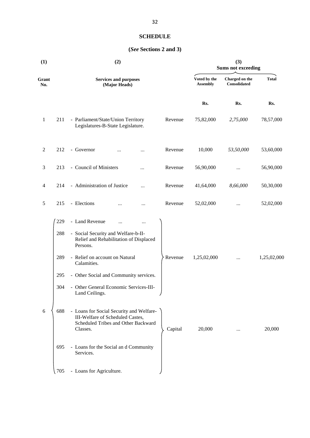## **SCHEDULE**

## **(***See* **Sections 2 and 3)**

| (1)            |     | (2)                                                                                                                             |         |                                 | (3)<br><b>Sums not exceeding</b> |              |  |  |
|----------------|-----|---------------------------------------------------------------------------------------------------------------------------------|---------|---------------------------------|----------------------------------|--------------|--|--|
| Grant<br>No.   |     | <b>Services and purposes</b><br>(Major Heads)                                                                                   |         | Voted by the<br><b>Assembly</b> | Charged on the<br>Consolidated   | <b>Total</b> |  |  |
|                |     |                                                                                                                                 |         | Rs.                             | Rs.                              | Rs.          |  |  |
| $\mathbf{1}$   | 211 | - Parliament/State/Union Territory<br>Legislatures-B-State Legislature.                                                         | Revenue | 75,82,000                       | 2,75,000                         | 78,57,000    |  |  |
| $\overline{2}$ | 212 | - Governor                                                                                                                      | Revenue | 10,000                          | 53,50,000                        | 53,60,000    |  |  |
| 3              | 213 | - Council of Ministers                                                                                                          | Revenue | 56,90,000                       | $\cdots$                         | 56,90,000    |  |  |
| 4              | 214 | - Administration of Justice<br>                                                                                                 | Revenue | 41,64,000                       | 8,66,000                         | 50,30,000    |  |  |
| 5              | 215 | - Elections<br><br>                                                                                                             | Revenue | 52,02,000                       | $\cdots$                         | 52,02,000    |  |  |
|                | 229 | - Land Revenue<br><br>                                                                                                          |         |                                 |                                  |              |  |  |
|                | 288 | - Social Security and Welfare-b-II-<br>Relief and Rehabilitation of Displaced<br>Persons.                                       |         |                                 |                                  |              |  |  |
|                | 289 | - Relief on account on Natural<br>Calamities.                                                                                   | Revenue | 1,25,02,000                     |                                  | 1,25,02,000  |  |  |
|                | 295 | - Other Social and Community services.                                                                                          |         |                                 |                                  |              |  |  |
|                | 304 | - Other General Economic Services-III-<br>Land Ceilings.                                                                        |         |                                 |                                  |              |  |  |
| 6              | 688 | - Loans for Social Security and Welfare-<br>III-Welfare of Scheduled Castes,<br>Scheduled Tribes and Other Backward<br>Classes. | Capital | 20,000                          |                                  | 20,000       |  |  |
|                | 695 | - Loans for the Social and Community<br>Services.                                                                               |         |                                 |                                  |              |  |  |
|                | 705 | - Loans for Agriculture.                                                                                                        |         |                                 |                                  |              |  |  |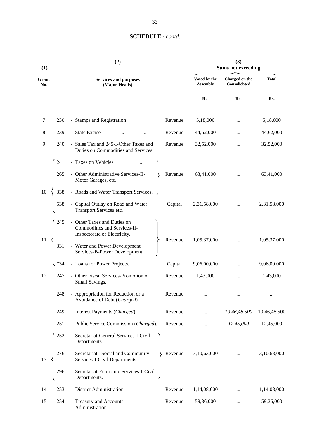| (1)          |     | (2)                                                                                         |         |                                 | (3)<br><b>Sums not exceeding</b>      |              |
|--------------|-----|---------------------------------------------------------------------------------------------|---------|---------------------------------|---------------------------------------|--------------|
| Grant<br>No. |     | <b>Services and purposes</b><br>(Major Heads)                                               |         | Voted by the<br><b>Assembly</b> | Charged on the<br><b>Consolidated</b> | <b>Total</b> |
|              |     |                                                                                             |         | Rs.                             | Rs.                                   | Rs.          |
| 7            | 230 | - Stamps and Registration                                                                   | Revenue | 5,18,000                        |                                       | 5,18,000     |
| 8            | 239 | - State Excise                                                                              | Revenue | 44,62,000                       |                                       | 44,62,000    |
| 9            | 240 | - Sales Tax and 245-I-Other Taxes and<br>Duties on Commodities and Services.                | Revenue | 32,52,000                       |                                       | 32,52,000    |
|              | 241 | - Taxes on Vehicles                                                                         |         |                                 |                                       |              |
|              | 265 | - Other Administrative Services-II-<br>Motor Garages, etc.                                  | Revenue | 63,41,000                       |                                       | 63,41,000    |
| 10           | 338 | - Roads and Water Transport Services.                                                       |         |                                 |                                       |              |
|              | 538 | - Capital Outlay on Road and Water<br>Transport Services etc.                               | Capital | 2,31,58,000                     |                                       | 2,31,58,000  |
|              | 245 | - Other Taxes and Duties on<br>Commodities and Services-II-<br>Inspectorate of Electricity. |         |                                 |                                       |              |
| 11           | 331 | - Water and Power Development<br>Services-B-Power Development.                              | Revenue | 1,05,37,000                     |                                       | 1,05,37,000  |
|              | 734 | - Loans for Power Projects.                                                                 | Capital | 9,06,00,000                     |                                       | 9,06,00,000  |
| 12           | 247 | - Other Fiscal Services-Promotion of<br>Small Savings.                                      | Revenue | 1,43,000                        |                                       | 1,43,000     |
|              | 248 | - Appropriation for Reduction or a<br>Avoidance of Debt (Charged).                          | Revenue |                                 | $\cdots$                              | $\cdots$     |
|              | 249 | - Interest Payments (Charged).                                                              | Revenue |                                 | 10,46,48,500                          | 10,46,48,500 |
|              | 251 | - Public Service Commission (Charged).                                                      | Revenue |                                 | 12,45,000                             | 12,45,000    |
|              | 252 | - Secretariat-General Services-I-Civil<br>Departments.                                      |         |                                 |                                       |              |
| 13           | 276 | - Secretariat -Social and Community<br>Services-I-Civil Departments.                        | Revenue | 3,10,63,000                     |                                       | 3,10,63,000  |
|              | 296 | - Secretariat-Economic Services-I-Civil<br>Departments.                                     |         |                                 |                                       |              |
| 14           | 253 | - District Administration                                                                   | Revenue | 1,14,08,000                     |                                       | 1,14,08,000  |
| 15           | 254 | - Treasury and Accounts<br>Administration.                                                  | Revenue | 59,36,000                       |                                       | 59,36,000    |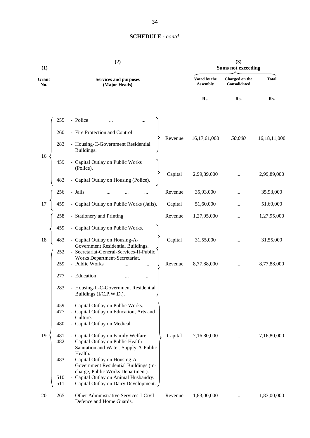| (1)          |            | (2)                                                                                                                     | (3)<br><b>Sums not exceeding</b> |                                 |                                |                 |
|--------------|------------|-------------------------------------------------------------------------------------------------------------------------|----------------------------------|---------------------------------|--------------------------------|-----------------|
| Grant<br>No. |            | <b>Services and purposes</b><br>(Major Heads)                                                                           |                                  | Voted by the<br><b>Assembly</b> | Charged on the<br>Consolidated | <b>Total</b>    |
|              |            |                                                                                                                         |                                  | Rs.                             | Rs.                            | Rs.             |
|              | 255        | - Police                                                                                                                |                                  |                                 |                                |                 |
|              | 260        | - Fire Protection and Control                                                                                           |                                  |                                 |                                |                 |
|              | 283        | - Housing-C-Government Residential<br>Buildings.                                                                        | Revenue                          | 16,17,61,000                    | 50,000                         | 16, 18, 11, 000 |
| 16           | 459        | - Capital Outlay on Public Works<br>(Police).                                                                           |                                  |                                 |                                |                 |
|              | 483        | - Capital Outlay on Housing (Police).                                                                                   | Capital                          | 2,99,89,000                     |                                | 2,99,89,000     |
|              | 256        | - Jails                                                                                                                 | Revenue                          | 35,93,000                       |                                | 35,93,000       |
| 17           | 459        | - Capital Outlay on Public Works (Jails).                                                                               | Capital                          | 51,60,000                       |                                | 51,60,000       |
|              | 258        | - Stationery and Printing                                                                                               | Revenue                          | 1,27,95,000                     | $\ddotsc$                      | 1,27,95,000     |
|              | 459        | - Capital Outlay on Public Works.                                                                                       |                                  |                                 |                                |                 |
| 18           | 483        | - Capital Outlay on Housing-A-<br>Government Residential Buildings.                                                     | Capital                          | 31,55,000                       |                                | 31,55,000       |
|              | 252<br>259 | - Secretariat-General-Services-II-Public<br>Works Department-Secretariat.<br>- Public Works<br>                         | Revenue                          | 8,77,88,000                     |                                | 8,77,88,000     |
|              | 277        | - Education<br>                                                                                                         |                                  |                                 |                                |                 |
|              | 283        | - Housing-II-C-Government Residential<br>Buildings (I/C.P.W.D.).                                                        |                                  |                                 |                                |                 |
|              | 459<br>477 | - Capital Outlay on Public Works.<br>- Capital Outlay on Education, Arts and                                            |                                  |                                 |                                |                 |
|              | 480        | Culture.<br>- Capital Outlay on Medical.                                                                                |                                  |                                 |                                |                 |
| 19           | 481<br>482 | - Capital Outlay on Family Welfare.<br>- Capital Outlay on Public Health<br>Sanitation and Water. Supply-A-Public       | Capital                          | 7,16,80,000                     | $\ddotsc$                      | 7,16,80,000     |
|              | 483        | Health.<br>- Capital Outlay on Housing-A-<br>Government Residential Buildings (in-<br>charge, Public Works Department). |                                  |                                 |                                |                 |
|              | 510<br>511 | - Capital Outlay on Animal Husbandry.<br>- Capital Outlay on Dairy Development.                                         |                                  |                                 |                                |                 |
| 20           | 265        | - Other Administrative Services-I-Civil<br>Defence and Home Guards.                                                     | Revenue                          | 1,83,00,000                     |                                | 1,83,00,000     |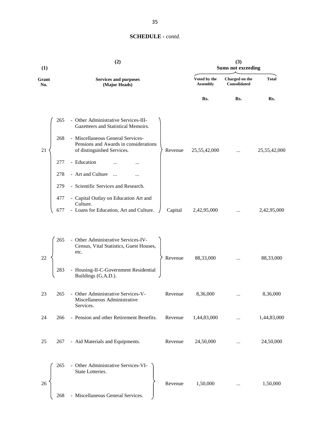| (1)          |     | (2)                                                                                                      |         | (3)<br><b>Sums not exceeding</b> |                                       |              |  |
|--------------|-----|----------------------------------------------------------------------------------------------------------|---------|----------------------------------|---------------------------------------|--------------|--|
| Grant<br>No. |     | <b>Services and purposes</b><br>(Major Heads)                                                            |         | Voted by the<br><b>Assembly</b>  | Charged on the<br><b>Consolidated</b> | <b>Total</b> |  |
|              |     |                                                                                                          |         | Rs.                              | Rs.                                   | Rs.          |  |
|              | 265 | - Other Administrative Services-III-<br>Gazetteers and Statistical Memoirs.                              |         |                                  |                                       |              |  |
| 21           | 268 | - Miscellaneous General Services-<br>Pensions and Awards in considerations<br>of distinguished Services. | Revenue | 25,55,42,000                     |                                       | 25,55,42,000 |  |
|              | 277 | - Education                                                                                              |         |                                  |                                       |              |  |
|              | 278 | - Art and Culture                                                                                        |         |                                  |                                       |              |  |
|              | 279 | - Scientific Services and Research.                                                                      |         |                                  |                                       |              |  |
|              | 477 | - Capital Outlay on Education Art and<br>Culture.                                                        |         |                                  |                                       |              |  |
|              | 677 | - Loans for Education, Art and Culture.                                                                  | Capital | 2,42,95,000                      |                                       | 2,42,95,000  |  |
|              |     |                                                                                                          |         |                                  |                                       |              |  |
| 22           | 265 | - Other Administrative Services-IV-<br>Census, Vital Statistics, Guest Houses,<br>etc.                   | Revenue | 88,33,000                        |                                       | 88,33,000    |  |
|              | 283 | - Housing-II-C-Government Residential<br>Buildings (G.A.D.).                                             |         |                                  |                                       |              |  |
| 23           | 265 | - Other Administrative Services-V-<br>Miscellaneous Administrative<br>Services.                          | Revenue | 8,36,000                         |                                       | 8,36,000     |  |
| 24           | 266 | - Pension and other Retirement Benefits.                                                                 | Revenue | 1,44,83,000                      |                                       | 1,44,83,000  |  |
|              |     |                                                                                                          |         |                                  |                                       |              |  |
| 25           | 267 | - Aid Materials and Equipments.                                                                          | Revenue | 24,50,000                        |                                       | 24,50,000    |  |
|              |     |                                                                                                          |         |                                  |                                       |              |  |
|              | 265 | - Other Administrative Services-VI-<br>State Lotteries.                                                  |         |                                  |                                       |              |  |
| 26           |     |                                                                                                          | Revenue | 1,50,000                         | $\ddotsc$                             | 1,50,000     |  |
|              | 268 | - Miscellaneous General Services.                                                                        |         |                                  |                                       |              |  |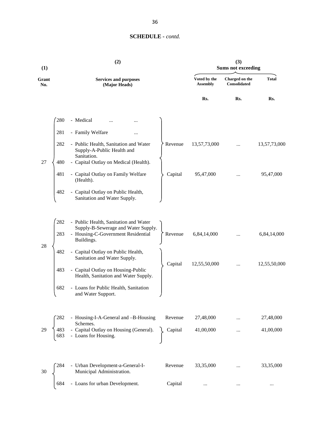| (1)          | (2)                                                                                                       |                                 | (3)<br><b>Sums not exceeding</b> |              |
|--------------|-----------------------------------------------------------------------------------------------------------|---------------------------------|----------------------------------|--------------|
| Grant<br>No. | <b>Services and purposes</b><br>(Major Heads)                                                             | Voted by the<br><b>Assembly</b> | Charged on the<br>Consolidated   | <b>Total</b> |
|              |                                                                                                           | Rs.                             | Rs.                              | Rs.          |
|              | 280<br>- Medical                                                                                          |                                 |                                  |              |
|              | - Family Welfare<br>281<br>.                                                                              |                                 |                                  |              |
|              | - Public Health, Sanitation and Water<br>282<br>Revenue<br>Supply-A-Public Health and<br>Sanitation.      | 13,57,73,000                    |                                  | 13,57,73,000 |
| 27           | - Capital Outlay on Medical (Health).<br>480                                                              |                                 |                                  |              |
|              | 481<br>- Capital Outlay on Family Welfare<br>Capital<br>(Health).                                         | 95,47,000                       |                                  | 95,47,000    |
|              | 482<br>Capital Outlay on Public Health,<br>$\blacksquare$<br>Sanitation and Water Supply.                 |                                 |                                  |              |
|              | 282<br>- Public Health, Sanitation and Water                                                              |                                 |                                  |              |
|              | Supply-B-Sewerage and Water Supply.<br>- Housing-C-Government Residential<br>283<br>Revenue<br>Buildings. | 6,84,14,000                     |                                  | 6,84,14,000  |
| 28           | 482<br>- Capital Outlay on Public Health,<br>Sanitation and Water Supply.                                 |                                 |                                  |              |
|              | Capital<br>- Capital Outlay on Housing-Public<br>483<br>Health, Sanitation and Water Supply.              | 12,55,50,000                    |                                  | 12,55,50,000 |
|              | 682<br>- Loans for Public Health, Sanitation<br>and Water Support.                                        |                                 |                                  |              |
|              | - Housing-I-A-General and -B-Housing<br>Revenue                                                           | 27,48,000                       |                                  | 27,48,000    |
|              | Schemes.<br>- Capital Outlay on Housing (General).<br>- Loans for Housing.<br>483<br>Capital              | 41,00,000                       |                                  | 41,00,000    |
|              | 284<br>- Urban Development-a-General-I-<br>Revenue                                                        | 33,35,000                       |                                  | 33,35,000    |
| 30           | Municipal Administration.                                                                                 |                                 |                                  |              |
|              | - Loans for urban Development.<br>684<br>Capital                                                          | $\ldots$                        |                                  |              |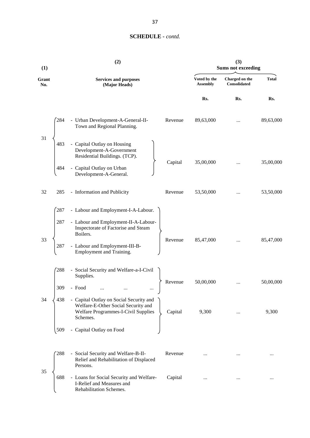| (1)          | (2)                                                                                                                                                 |                                 | (3)<br><b>Sums not exceeding</b>      |              |
|--------------|-----------------------------------------------------------------------------------------------------------------------------------------------------|---------------------------------|---------------------------------------|--------------|
| Grant<br>No. | <b>Services and purposes</b><br>(Major Heads)                                                                                                       | Voted by the<br><b>Assembly</b> | Charged on the<br><b>Consolidated</b> | <b>Total</b> |
|              |                                                                                                                                                     | Rs.                             | Rs.                                   | Rs.          |
|              | 284<br>- Urban Development-A-General-II-<br>Revenue<br>Town and Regional Planning.                                                                  | 89,63,000                       |                                       | 89,63,000    |
| 31           | - Capital Outlay on Housing<br>483<br>Development-A-Government<br>Residential Buildings. (TCP).<br>Capital                                          | 35,00,000                       |                                       | 35,00,000    |
|              | Capital Outlay on Urban<br>484<br>Development-A-General.                                                                                            |                                 |                                       |              |
| 32           | - Information and Publicity<br>285<br>Revenue                                                                                                       | 53,50,000                       |                                       | 53,50,000    |
|              | - Labour and Employment-I-A-Labour.<br>287                                                                                                          |                                 |                                       |              |
| 33           | - Labour and Employment-II-A-Labour-<br>287<br>Inspectorate of Factorise and Steam<br>Boilers.<br>Revenue                                           |                                 |                                       |              |
|              | - Labour and Employment-III-B-<br>287<br>Employment and Training.                                                                                   | 85,47,000                       | $\cdots$                              | 85,47,000    |
|              | 288<br>- Social Security and Welfare-a-I-Civil<br>Supplies.                                                                                         |                                 |                                       |              |
|              | Revenue<br>- Food<br>309                                                                                                                            | 50,00,000                       |                                       | 50,00,000    |
| 34           | - Capital Outlay on Social Security and<br>438<br>Welfare-E-Other Social Security and<br>Welfare Programmes-I-Civil Supplies<br>Capital<br>Schemes. | 9,300                           |                                       | 9,300        |
|              | Capital Outlay on Food<br>509                                                                                                                       |                                 |                                       |              |
|              | 288<br>- Social Security and Welfare-B-II-<br>Revenue<br>Relief and Rehabilitation of Displaced<br>Persons.                                         |                                 |                                       | $\cdots$     |
| 35           | - Loans for Social Security and Welfare-<br>688<br>Capital<br>I-Relief and Measures and<br>Rehabilitation Schemes.                                  | $\cdots$                        |                                       | $\cdots$     |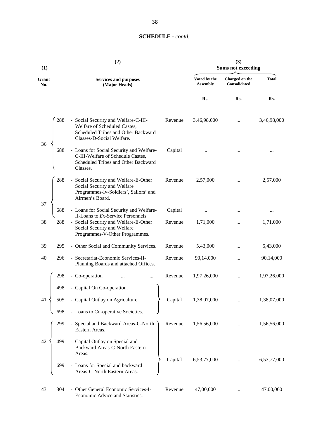| (1)          |     | (2)                                                                                                                                          |         | (3)<br><b>Sums not exceeding</b> |                                       |              |
|--------------|-----|----------------------------------------------------------------------------------------------------------------------------------------------|---------|----------------------------------|---------------------------------------|--------------|
| Grant<br>No. |     | <b>Services and purposes</b><br>(Major Heads)                                                                                                |         | Voted by the<br><b>Assembly</b>  | Charged on the<br><b>Consolidated</b> | <b>Total</b> |
|              |     |                                                                                                                                              |         | Rs.                              | Rs.                                   | Rs.          |
| 36           | 288 | - Social Security and Welfare-C-III-<br>Welfare of Scheduled Castes,<br>Scheduled Tribes and Other Backward<br>Classes-D-Social Welfare.     | Revenue | 3,46,98,000                      |                                       | 3,46,98,000  |
|              | 688 | - Loans for Social Security and Welfare-<br>C-III-Welfare of Schedule Castes,<br>Scheduled Tribes and Other Backward<br>Classes.             | Capital |                                  |                                       | .            |
| 37           | 288 | - Social Security and Welfare-E-Other<br>Social Security and Welfare<br>Programmes-Iv-Soldiers', Sailors' and<br>Airmen's Board.             | Revenue | 2,57,000                         |                                       | 2,57,000     |
|              | 688 | - Loans for Social Security and Welfare-                                                                                                     | Capital |                                  |                                       | $\cdots$     |
| 38           | 288 | II-Loans to Ex-Service Personnels.<br>- Social Security and Welfare-E-Other<br>Social Security and Welfare<br>Programmes-V-Other Programmes. | Revenue | 1,71,000                         |                                       | 1,71,000     |
| 39           | 295 | - Other Social and Community Services.                                                                                                       | Revenue | 5,43,000                         |                                       | 5,43,000     |
| 40           | 296 | - Secretariat-Economic Services-II-<br>Planning Boards and attached Offices.                                                                 | Revenue | 90,14,000                        |                                       | 90,14,000    |
|              | 298 | - Co-operation<br>                                                                                                                           | Revenue | 1,97,26,000                      |                                       | 1,97,26,000  |
|              | 498 | - Capital On Co-operation.                                                                                                                   |         |                                  |                                       |              |
| 41           | 505 | - Capital Outlay on Agriculture.                                                                                                             | Capital | 1,38,07,000                      |                                       | 1,38,07,000  |
|              | 698 | - Loans to Co-operative Societies.                                                                                                           |         |                                  |                                       |              |
|              | 299 | - Special and Backward Areas-C-North<br>Eastern Areas.                                                                                       | Revenue | 1,56,56,000                      |                                       | 1,56,56,000  |
| 42           | 499 | - Capital Outlay on Special and<br>Backward Areas-C-North Eastern<br>Areas.                                                                  |         |                                  |                                       |              |
|              | 699 | - Loans for Special and backward<br>Areas-C-North Eastern Areas.                                                                             | Capital | 6,53,77,000                      |                                       | 6,53,77,000  |
| 43           | 304 | - Other General Economic Services-I-<br>Economic Advice and Statistics.                                                                      | Revenue | 47,00,000                        |                                       | 47,00,000    |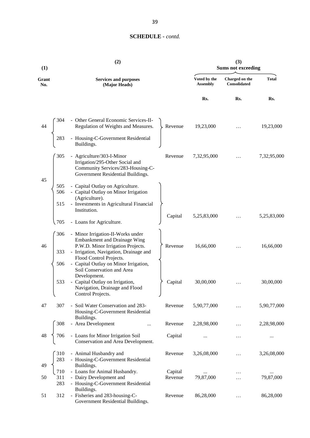| (1)          | (2)                                                                                                                                                                                                                                              |                    |                                 | (3)<br><b>Sums not exceeding</b>      |              |
|--------------|--------------------------------------------------------------------------------------------------------------------------------------------------------------------------------------------------------------------------------------------------|--------------------|---------------------------------|---------------------------------------|--------------|
| Grant<br>No. | <b>Services and purposes</b><br>(Major Heads)                                                                                                                                                                                                    |                    | Voted by the<br><b>Assembly</b> | Charged on the<br><b>Consolidated</b> | <b>Total</b> |
|              |                                                                                                                                                                                                                                                  |                    | Rs.                             | Rs.                                   | Rs.          |
| 44           | - Other General Economic Services-II-<br>304<br>Regulation of Weights and Measures.<br>- Housing-C-Government Residential<br>283<br>Buildings.                                                                                                   | Revenue            | 19,23,000                       |                                       | 19,23,000    |
| 45           | 305<br>- Agriculture/303-I-Minor<br>Irrigation/295-Other Social and<br>Community Services/283-Housing-C-<br>Government Residential Buildings.                                                                                                    | Revenue            | 7,32,95,000                     |                                       | 7,32,95,000  |
|              | - Capital Outlay on Agriculture.<br>505<br>506<br>- Capital Outlay on Minor Irrigation<br>(Agriculture).<br>- Investments in Agricultural Financial<br>515<br>Institution.                                                                       | Capital            | 5,25,83,000                     |                                       | 5,25,83,000  |
|              | 705<br>- Loans for Agriculture.                                                                                                                                                                                                                  |                    |                                 |                                       |              |
| 46           | - Minor Irrigation-II-Works under<br>306<br><b>Embankment and Drainage Wing</b><br>P.W.D. Minor Irrigation Projects.<br>- Irrigation, Navigation, Drainage and<br>333<br>Flood Control Projects.<br>- Capital Outlay on Minor Irrigation,<br>506 | Revenue            | 16,66,000                       | $\cdots$                              | 16,66,000    |
|              | Soil Conservation and Area<br>Development.<br>- Capital Outlay on Irrigation,<br>533<br>Navigation, Drainage and Flood<br>Control Projects.                                                                                                      | Capital            | 30,00,000                       |                                       | 30,00,000    |
| 47           | 307<br>- Soil Water Conservation and 283-<br>Housing-C-Government Residential<br>Buildings.                                                                                                                                                      | Revenue            | 5,90,77,000                     |                                       | 5,90,77,000  |
|              | 308<br>- Area Development                                                                                                                                                                                                                        | Revenue            | 2,28,98,000                     |                                       | 2,28,98,000  |
| 48           | - Loans for Minor Irrigation Soil<br>706<br>Conservation and Area Development.                                                                                                                                                                   | Capital            | $\cdots$                        | $\cdots$                              |              |
|              | 310<br>- Animal Husbandry and<br>- Housing-C-Government Residential<br>283                                                                                                                                                                       | Revenue            | 3,26,08,000                     |                                       | 3,26,08,000  |
| 49<br>50     | Buildings.<br>- Loans for Animal Husbandry.<br>710<br>- Dairy Development and<br>311<br>283<br>- Housing-C-Government Residential                                                                                                                | Capital<br>Revenue | $\cdots$<br>79,87,000           |                                       | 79,87,000    |
| 51           | Buildings.<br>- Fisheries and 283-housing-C-<br>312<br>Government Residential Buildings.                                                                                                                                                         | Revenue            | 86,28,000                       |                                       | 86,28,000    |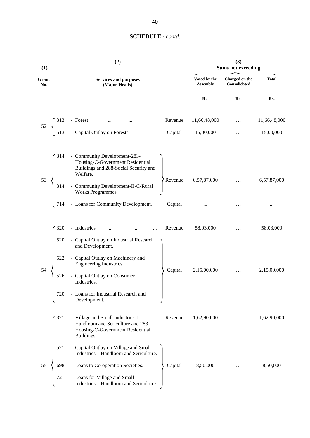| (1)          |     | (2)                                                                                                                      |         |                                 | (3)<br><b>Sums not exceeding</b> |              |
|--------------|-----|--------------------------------------------------------------------------------------------------------------------------|---------|---------------------------------|----------------------------------|--------------|
| Grant<br>No. |     | <b>Services and purposes</b><br>(Major Heads)                                                                            |         | Voted by the<br><b>Assembly</b> | Charged on the<br>Consolidated   | <b>Total</b> |
|              |     |                                                                                                                          |         | Rs.                             | Rs.                              | Rs.          |
| $52\,$       | 313 | - Forest                                                                                                                 | Revenue | 11,66,48,000                    | $\cdots$                         | 11,66,48,000 |
|              |     | - Capital Outlay on Forests.                                                                                             | Capital | 15,00,000                       | .                                | 15,00,000    |
|              | 314 | - Community Development-283-<br>Housing-C-Government Residential<br>Buildings and 288-Social Security and<br>Welfare.    |         |                                 |                                  |              |
| 53           | 314 | - Community Development-II-C-Rural<br>Works Programmes.                                                                  | Revenue | 6,57,87,000                     |                                  | 6,57,87,000  |
|              | 714 | - Loans for Community Development.                                                                                       | Capital |                                 |                                  | $\cdots$     |
|              | 320 | - Industries<br><br>$\cdots$                                                                                             | Revenue | 58,03,000                       | $\ddots$                         | 58,03,000    |
|              | 520 | - Capital Outlay on Industrial Research<br>and Development.                                                              |         |                                 |                                  |              |
| 54           | 522 | - Capital Outlay on Machinery and<br>Engineering Industries.                                                             | Capital | 2,15,00,000                     | $\cdots$                         | 2,15,00,000  |
|              | 526 | - Capital Outlay on Consumer<br>Industries.                                                                              |         |                                 |                                  |              |
|              | 720 | - Loans for Industrial Research and<br>Development.                                                                      |         |                                 |                                  |              |
|              | 321 | - Village and Small Industries-I-<br>Handloom and Sericulture and 283-<br>Housing-C-Government Residential<br>Buildings. | Revenue | 1,62,90,000                     | .                                | 1,62,90,000  |
|              | 521 | - Capital Outlay on Village and Small<br>Industries-I-Handloom and Sericulture.                                          |         |                                 |                                  |              |
| 55           | 698 | - Loans to Co-operation Societies.                                                                                       | Capital | 8,50,000                        |                                  | 8,50,000     |
|              | 721 | - Loans for Village and Small<br>Industries-I-Handloom and Sericulture.                                                  |         |                                 |                                  |              |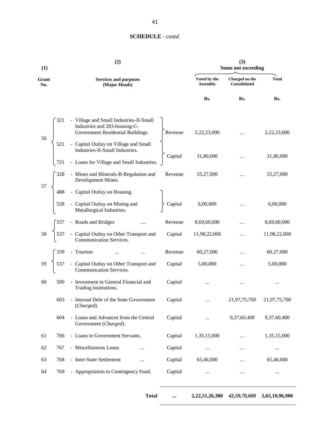| (1)          |     | (2)                                                                                                           |         | (3)<br><b>Sums not exceeding</b> |                                |              |  |
|--------------|-----|---------------------------------------------------------------------------------------------------------------|---------|----------------------------------|--------------------------------|--------------|--|
| Grant<br>No. |     | <b>Services and purposes</b><br>(Major Heads)                                                                 |         | Voted by the<br><b>Assembly</b>  | Charged on the<br>Consolidated | <b>Total</b> |  |
|              |     |                                                                                                               |         | Rs.                              | Rs.                            | Rs.          |  |
| 56           | 321 | - Village and Small Industries-II-Small<br>Industries and 283-housing-C-<br>Government Residential Buildings. | Revenue | 2,22,23,000                      |                                | 2,22,23,000  |  |
|              | 521 | - Capital Outlay on Village and Small<br>Industries-II-Small Industries.                                      | Capital | 31,80,000                        |                                | 31,80,000    |  |
|              | 721 | - Loans for Village and Small Industries.                                                                     |         |                                  |                                |              |  |
| 57           | 328 | - Mines and Minerals-B-Regulation and<br>Development Mines.                                                   | Revenue | 55,27,000                        | $\cdots$                       | 55,27,000    |  |
|              | 488 | - Capital Outlay on Housing.                                                                                  |         |                                  |                                |              |  |
|              | 528 | - Capital Outlay on Mining and<br>Metallurgical Industries.                                                   | Capital | 6,00,000                         |                                | 6,00,000     |  |
|              | 337 | - Roads and Bridges                                                                                           | Revenue | 8,69,60,000                      |                                | 8,69,60,000  |  |
| 58           | 537 | - Capital Outlay on Other Transport and<br>Communication Services.                                            | Capital | 11,98,22,000                     | $\ddotsc$                      | 11,98,22,000 |  |
|              | 339 | - Tourism                                                                                                     | Revenue | 60,27,000                        | $\cdots$                       | 60,27,000    |  |
| 59           | 537 | - Capital Outlay on Other Transport and<br>Communication Services.                                            | Capital | 5,00,000                         | .                              | 5,00,000     |  |
| 60           | 500 | - Investment in General Financial and<br>Trading Institutions.                                                | Capital |                                  | .                              |              |  |
|              | 603 | - Internal Debt of the State Government<br>(Charged).                                                         | Capital |                                  | 21,97,75,700                   | 21,97,75,700 |  |
|              | 604 | - Loans and Advances from the Central<br>Government (Charged).                                                | Capital |                                  | 9,37,60,400                    | 9,37,60,400  |  |
| 61           | 766 | - Loans to Government Servants.                                                                               | Capital | 1,35,15,000                      | .                              | 1,35,15,000  |  |
| 62           | 767 | - Miscellaneous Loans<br>                                                                                     | Capital | $\cdots$                         | $\cdots$                       | $\cdots$     |  |
| 63           | 768 | - Inter-State Settlement<br>                                                                                  | Capital | 65,46,000                        | $\cdots$                       | 65,46,000    |  |
| 64           | 769 | - Appropriation to Contingency Fund.                                                                          | Capital | $\cdots$                         | $\cdots$                       | $\cdots$     |  |

**Total ... 2,22,51,26,300** *42,59,70,600* **2,65,10,96,900**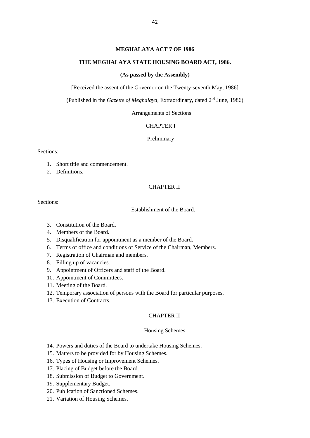## **MEGHALAYA ACT 7 OF 1986**

#### **THE MEGHALAYA STATE HOUSING BOARD ACT, 1986.**

### **(As passed by the Assembly)**

[Received the assent of the Governor on the Twenty-seventh May, 1986]

(Published in the *Gazette of Meghalaya*, Extraordinary, dated 2<sup>nd</sup> June, 1986)

Arrangements of Sections

#### CHAPTER I

Preliminary

Sections:

- 1. Short title and commencement.
- 2. Definitions.

#### CHAPTER II

Sections:

Establishment of the Board.

- 3. Constitution of the Board.
- 4. Members of the Board.
- 5. Disqualification for appointment as a member of the Board.
- 6. Terms of office and conditions of Service of the Chairman, Members.
- 7. Registration of Chairman and members.
- 8. Filling up of vacancies.
- 9. Appointment of Officers and staff of the Board.
- 10. Appointment of Committees.
- 11. Meeting of the Board.
- 12. Temporary association of persons with the Board for particular purposes.
- 13. Execution of Contracts.

#### CHAPTER II

#### Housing Schemes.

- 14. Powers and duties of the Board to undertake Housing Schemes.
- 15. Matters to be provided for by Housing Schemes.
- 16. Types of Housing or Improvement Schemes.
- 17. Placing of Budget before the Board.
- 18. Submission of Budget to Government.
- 19. Supplementary Budget.
- 20. Publication of Sanctioned Schemes.
- 21. Variation of Housing Schemes.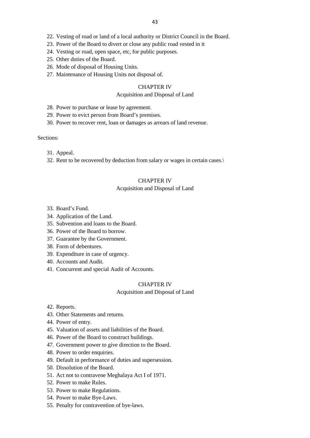- 22. Vesting of road or land of a local authority or District Council in the Board.
- 23. Power of the Board to divert or close any public road vested in it
- 24. Vesting or road, open space, etc, for public purposes.
- 25. Other duties of the Board.
- 26. Mode of disposal of Housing Units.
- 27. Maintenance of Housing Units not disposal of.

### CHAPTER IV

## Acquisition and Disposal of Land

- 28. Power to purchase or lease by agreement.
- 29. Power to evict person from Board's premises.
- 30. Power to recover rent, loan or damages as arrears of land revenue.

#### Sections:

- 31. Appeal.
- 32. Rent to be recovered by deduction from salary or wages in certain cases.\

## CHAPTER IV

#### Acquisition and Disposal of Land

- 33. Board's Fund.
- 34. Application of the Land.
- 35. Subvention and loans to the Board.
- 36. Power of the Board to borrow.
- 37. Guarantee by the Government.
- 38. Form of debentures.
- 39. Expenditure in case of urgency.
- 40. Accounts and Audit.
- 41. Concurrent and special Audit of Accounts.

#### CHAPTER IV

#### Acquisition and Disposal of Land

- 42. Reports.
- 43. Other Statements and returns.
- 44. Power of entry.
- 45. Valuation of assets and liabilities of the Board.
- 46. Power of the Board to construct buildings.
- 47. Government power to give direction to the Board.
- 48. Power to order enquiries.
- 49. Default in performance of duties and supersession.
- 50. Dissolution of the Board.
- 51. Act not to contravene Meghalaya Act I of 1971.
- 52. Power to make Rules.
- 53. Power to make Regulations.
- 54. Power to make Bye-Laws.
- 55. Penalty for contravention of bye-laws.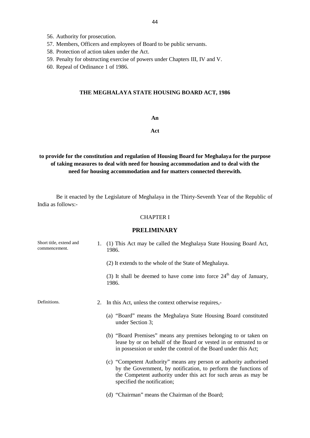- 56. Authority for prosecution.
- 57. Members, Officers and employees of Board to be public servants.
- 58. Protection of action taken under the Act.
- 59. Penalty for obstructing exercise of powers under Chapters III, IV and V.
- 60. Repeal of Ordinance 1 of 1986.

## **THE MEGHALAYA STATE HOUSING BOARD ACT, 1986**

#### **An**

## **Act**

# **to provide for the constitution and regulation of Housing Board for Meghalaya for the purpose of taking measures to deal with need for housing accommodation and to deal with the need for housing accommodation and for matters connected therewith.**

Be it enacted by the Legislature of Meghalaya in the Thirty-Seventh Year of the Republic of India as follows:-

#### CHAPTER I

## **PRELIMINARY**

| Short title, extend and<br>commencement. | 1. | (1) This Act may be called the Meghalaya State Housing Board Act,<br>1986.                                                                                                                                                              |
|------------------------------------------|----|-----------------------------------------------------------------------------------------------------------------------------------------------------------------------------------------------------------------------------------------|
|                                          |    | (2) It extends to the whole of the State of Meghalaya.                                                                                                                                                                                  |
|                                          |    | (3) It shall be deemed to have come into force $24th$ day of January,<br>1986.                                                                                                                                                          |
| Definitions.                             | 2. | In this Act, unless the context otherwise requires,-                                                                                                                                                                                    |
|                                          |    | (a) "Board" means the Meghalaya State Housing Board constituted<br>under Section 3;                                                                                                                                                     |
|                                          |    | (b) "Board Premises" means any premises belonging to or taken on<br>lease by or on behalf of the Board or vested in or entrusted to or<br>in possession or under the control of the Board under this Act;                               |
|                                          |    | (c) "Competent Authority" means any person or authority authorised<br>by the Government, by notification, to perform the functions of<br>the Competent authority under this act for such areas as may be<br>specified the notification; |
|                                          |    | (d) "Chairman" means the Chairman of the Board;                                                                                                                                                                                         |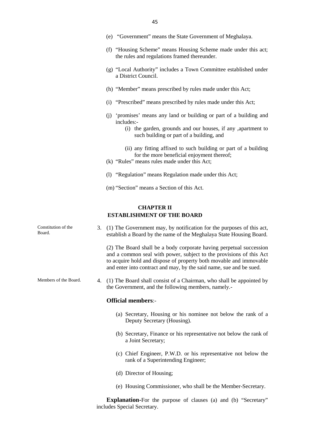- (e) "Government" means the State Government of Meghalaya.
- (f) "Housing Scheme" means Housing Scheme made under this act; the rules and regulations framed thereunder.
- (g) "Local Authority" includes a Town Committee established under a District Council.
- (h) "Member" means prescribed by rules made under this Act;
- (i) "Prescribed" means prescribed by rules made under this Act;
- (j) 'promises' means any land or building or part of a building and includes:-
	- (i) the garden, grounds and our houses, if any ,apartment to such building or part of a building, and
	- (ii) any fitting affixed to such building or part of a building for the more beneficial enjoyment thereof;
- (k) "Rules" means rules made under this Act;
- (l) "Regulation" means Regulation made under this Act;
- (m) "Section" means a Section of this Act.

## **CHAPTER II ESTABLISHMENT OF THE BOARD**

Constitution of the 3. (1) The Government may, by notification for the purposes of this act, establish a Board by the name of the Meghalaya State Housing Board.

> (2) The Board shall be a body corporate having perpetual succession and a common seal with power, subject to the provisions of this Act to acquire hold and dispose of property both movable and immovable and enter into contract and may, by the said name, sue and be sued.

Members of the Board. 4. (1) The Board shall consist of a Chairman, who shall be appointed by the Government, and the following members, namely.-

#### **Official members**:-

- (a) Secretary, Housing or his nominee not below the rank of a Deputy Secretary (Housing).
- (b) Secretary, Finance or his representative not below the rank of a Joint Secretary;
- (c) Chief Engineer, P.W.D. or his representative not below the rank of a Superintending Engineer;
- (d) Director of Housing;
- (e) Housing Commissioner, who shall be the Member-Secretary.

**Explanation-**For the purpose of clauses (a) and (b) "Secretary" includes Special Secretary.

- Board.
	-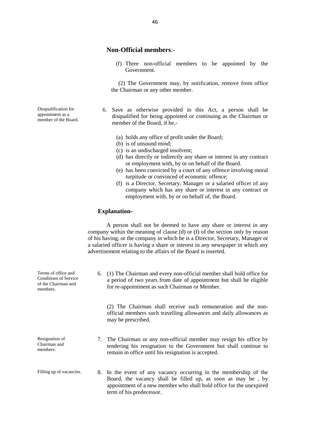## **Non-Official members**:-

(f) Three non-official members to be appointed by the Government.

(2) The Government may, by notification, remove from office the Chairman or any other member.

- 6. Save as otherwise provided in this Act, a person shall be disqualified for being appointed or continuing as the Chairman or member of the Board, if he,-
	- (a) holds any office of profit under the Board;
	- (b) is of unsound mind;
	- (c) is an undischarged insolvent;
	- (d) has directly or indirectly any share or interest in any contract or employment with, by or on behalf of the Board.
	- (e) has been convicted by a court of any offence involving moral turpitude or convinced of economic offence;
	- (f) is a Director, Secretary, Manager or a salaried officer of any company which has any share or interest in any contract or employment with, by or on behalf of, the Board.

#### **Explanation-**

A person shall not be deemed to have any share or interest in any company within the meaning of clause (d) or (f) of the section only by reason of his having, or the company in which he is a Director, Secretary, Manager or a salaried officer is having a share or interest in any newspaper in which any advertisement relating to the affairs of the Board is inserted.

6. (1) The Chairman and every non-official member shall hold office for a period of two years from date of appointment but shall be eligible for re-appointment as such Chairman or Member.

(2) The Chairman shall receive such remuneration and the non official members such travelling allowances and daily allowances as may be prescribed.

- 7. The Chairman or any non-official member may resign his office by tendering his resignation to the Government but shall continue to remain in office until his resignation is accepted.
- Filling up of vacancies. 8. In the event of any vacancy occurring in the membership of the Board, the vacancy shall be filled up, as soon as may be , by appointment of a new member who shall hold office for the unexpired term of his predecessor.

Disqualification for appointment as a member of the Board.

Terms of office and Conditions of Service of the Chairman and members.

Chairman and members.

Resignation of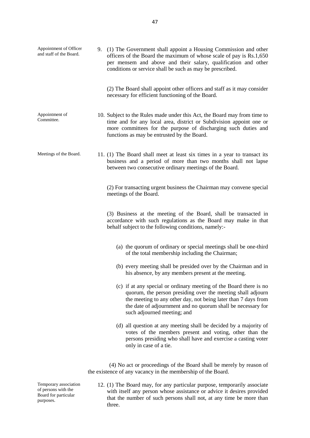| Appointment of Officer<br>and staff of the Board. | 9. (1) The Government shall appoint a Housing Commission and other<br>officers of the Board the maximum of whose scale of pay is Rs.1,650<br>per mensem and above and their salary, qualification and other<br>conditions or service shall be such as may be prescribed.                           |
|---------------------------------------------------|----------------------------------------------------------------------------------------------------------------------------------------------------------------------------------------------------------------------------------------------------------------------------------------------------|
|                                                   | (2) The Board shall appoint other officers and staff as it may consider<br>necessary for efficient functioning of the Board.                                                                                                                                                                       |
| Appointment of<br>Committee.                      | 10. Subject to the Rules made under this Act, the Board may from time to<br>time and for any local area, district or Subdivision appoint one or<br>more committees for the purpose of discharging such duties and<br>functions as may be entrusted by the Board.                                   |
| Meetings of the Board.                            | 11. (1) The Board shall meet at least six times in a year to transact its<br>business and a period of more than two months shall not lapse<br>between two consecutive ordinary meetings of the Board.                                                                                              |
|                                                   | (2) For transacting urgent business the Chairman may convene special<br>meetings of the Board.                                                                                                                                                                                                     |
|                                                   | (3) Business at the meeting of the Board, shall be transacted in<br>accordance with such regulations as the Board may make in that<br>behalf subject to the following conditions, namely:-                                                                                                         |
|                                                   | (a) the quorum of ordinary or special meetings shall be one-third<br>of the total membership including the Chairman;                                                                                                                                                                               |
|                                                   | (b) every meeting shall be presided over by the Chairman and in<br>his absence, by any members present at the meeting.                                                                                                                                                                             |
|                                                   | (c) if at any special or ordinary meeting of the Board there is no<br>quorum, the person presiding over the meeting shall adjourn<br>the meeting to any other day, not being later than 7 days from<br>the date of adjournment and no quorum shall be necessary for<br>such adjourned meeting; and |
|                                                   | (d) all question at any meeting shall be decided by a majority of<br>votes of the members present and voting, other than the<br>persons presiding who shall have and exercise a casting voter<br>only in case of a tie.                                                                            |
|                                                   | (4) No act or proceedings of the Board shall be merely by reason of<br>the existence of any vacancy in the membership of the Board.                                                                                                                                                                |

12. (1) The Board may, for any particular purpose, temporarily associate with itself any person whose assistance or advice it desires provided that the number of such persons shall not, at any time be more than three.

Temporary association of persons with the Board for particular purposes.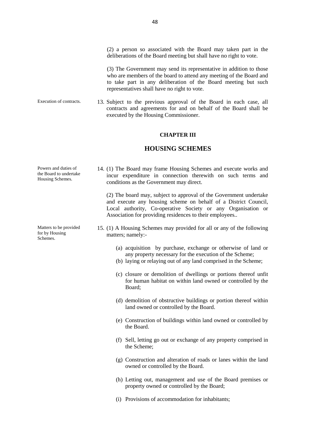(2) a person so associated with the Board may taken part in the deliberations of the Board meeting but shall have no right to vote.

(3) The Government may send its representative in addition to those who are members of the board to attend any meeting of the Board and to take part in any deliberation of the Board meeting but such representatives shall have no right to vote.

Execution of contracts. 13. Subject to the previous approval of the Board in each case, all contracts and agreements for and on behalf of the Board shall be executed by the Housing Commissioner.

#### **CHAPTER III**

## **HOUSING SCHEMES**

14. (1) The Board may frame Housing Schemes and execute works and incur expenditure in connection therewith on such terms and conditions as the Government may direct.

(2) The board may, subject to approval of the Government undertake and execute any housing scheme on behalf of a District Council, Local authority, Co-operative Society or any Organisation or Association for providing residences to their employees..

- 15. (1) A Housing Schemes may provided for all or any of the following matters; namely:-
	- (a) acquisition by purchase, exchange or otherwise of land or any property necessary for the execution of the Scheme;
	- (b) laying or relaying out of any land comprised in the Scheme;
	- (c) closure or demolition of dwellings or portions thereof unfit for human habitat on within land owned or controlled by the Board;
	- (d) demolition of obstructive buildings or portion thereof within land owned or controlled by the Board.
	- (e) Construction of buildings within land owned or controlled by the Board.
	- (f) Sell, letting go out or exchange of any property comprised in the Scheme;
	- (g) Construction and alteration of roads or lanes within the land owned or controlled by the Board.
	- (h) Letting out, management and use of the Board premises or property owned or controlled by the Board;
	- (i) Provisions of accommodation for inhabitants;

Powers and duties of the Board to undertake Housing Schemes.

Matters to be provided for by Housing Schemes.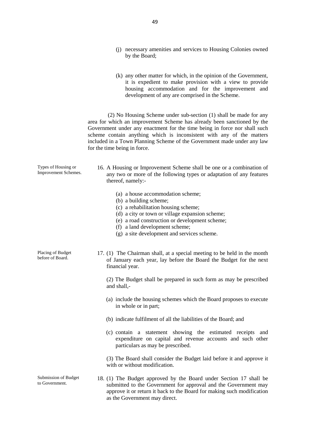- (j) necessary amenities and services to Housing Colonies owned by the Board;
- (k) any other matter for which, in the opinion of the Government, it is expedient to make provision with a view to provide housing accommodation and for the improvement and development of any are comprised in the Scheme.

(2) No Housing Scheme under sub-section (1) shall be made for any area for which an improvement Scheme has already been sanctioned by the Government under any enactment for the time being in force nor shall such scheme contain anything which is inconsistent with any of the matters included in a Town Planning Scheme of the Government made under any law for the time being in force.

| Types of Housing or<br>Improvement Schemes. | 16. A Housing or Improvement Scheme shall be one or a combination of<br>any two or more of the following types or adaptation of any features<br>thereof, namely:-                                                                                                                         |
|---------------------------------------------|-------------------------------------------------------------------------------------------------------------------------------------------------------------------------------------------------------------------------------------------------------------------------------------------|
|                                             | (a) a house accommodation scheme;<br>(b) a building scheme;<br>(c) a rehabilitation housing scheme;<br>(d) a city or town or village expansion scheme;<br>(e) a road construction or development scheme;<br>(f) a land development scheme;<br>(g) a site development and services scheme. |
| Placing of Budget<br>before of Board.       | 17. (1) The Chairman shall, at a special meeting to be held in the month<br>of January each year, lay before the Board the Budget for the next<br>financial year.                                                                                                                         |
|                                             | (2) The Budget shall be prepared in such form as may be prescribed<br>and shall,-                                                                                                                                                                                                         |
|                                             | (a) include the housing schemes which the Board proposes to execute<br>in whole or in part;                                                                                                                                                                                               |
|                                             | (b) indicate fulfilment of all the liabilities of the Board; and                                                                                                                                                                                                                          |
|                                             | (c) contain a statement showing the estimated receipts and<br>expenditure on capital and revenue accounts and such other<br>particulars as may be prescribed.                                                                                                                             |
|                                             | (3) The Board shall consider the Budget laid before it and approve it<br>with or without modification.                                                                                                                                                                                    |
| Submission of Budget<br>to Government.      | 18. (1) The Budget approved by the Board under Section 17 shall be<br>submitted to the Government for approval and the Government may<br>approve it or return it back to the Board for making such modification<br>as the Government may direct.                                          |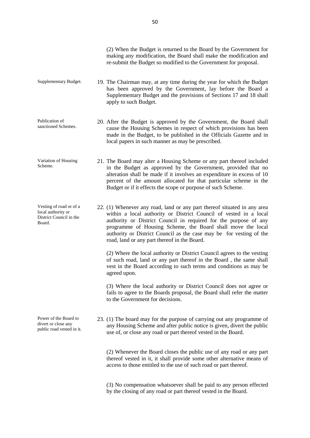|                                                                                    | (2) When the Budget is returned to the Board by the Government for<br>making any modification, the Board shall make the modification and<br>re-submit the Budget so modified to the Government for proposal.                                                                                                                                                                                            |
|------------------------------------------------------------------------------------|---------------------------------------------------------------------------------------------------------------------------------------------------------------------------------------------------------------------------------------------------------------------------------------------------------------------------------------------------------------------------------------------------------|
| Supplementary Budget.                                                              | 19. The Chairman may, at any time during the year for which the Budget<br>has been approved by the Government, lay before the Board a<br>Supplementary Budget and the provisions of Sections 17 and 18 shall<br>apply to such Budget.                                                                                                                                                                   |
| Publication of<br>sanctioned Schemes.                                              | 20. After the Budget is approved by the Government, the Board shall<br>cause the Housing Schemes in respect of which provisions has been<br>made in the Budget, to be published in the Officials Gazette and in<br>local papers in such manner as may be prescribed.                                                                                                                                    |
| Variation of Housing<br>Scheme.                                                    | 21. The Board may alter a Housing Scheme or any part thereof included<br>in the Budget as approved by the Government, provided that no<br>alteration shall be made if it involves an expenditure in excess of 10<br>percent of the amount allocated for that particular scheme in the<br>Budget or if it effects the scope or purpose of such Scheme.                                                   |
| Vesting of road or of a<br>local authority or<br>District Council in the<br>Board. | 22. (1) Whenever any road, land or any part thereof situated in any area<br>within a local authority or District Council of vested in a local<br>authority or District Council in required for the purpose of any<br>programme of Housing Scheme, the Board shall move the local<br>authority or District Council as the case may be for vesting of the<br>road, land or any part thereof in the Board. |
|                                                                                    | (2) Where the local authority or District Council agrees to the vesting<br>of such road, land or any part thereof in the Board, the same shall<br>vest in the Board according to such terms and conditions as may be<br>agreed upon.                                                                                                                                                                    |
|                                                                                    | (3) Where the local authority or District Council does not agree or<br>fails to agree to the Boards proposal, the Board shall refer the matter<br>to the Government for decisions.                                                                                                                                                                                                                      |
| Power of the Board to<br>divert or close any<br>public road vested in it.          | 23. (1) The board may for the purpose of carrying out any programme of<br>any Housing Scheme and after public notice is given, divert the public<br>use of, or close any road or part thereof vested in the Board.                                                                                                                                                                                      |
|                                                                                    | (2) Whenever the Board closes the public use of any road or any part<br>thereof vested in it, it shall provide some other alternative means of<br>access to those entitled to the use of such road or part thereof.                                                                                                                                                                                     |
|                                                                                    | (3) No compensation whatsoever shall be paid to any person effected<br>by the closing of any road or part thereof vested in the Board.                                                                                                                                                                                                                                                                  |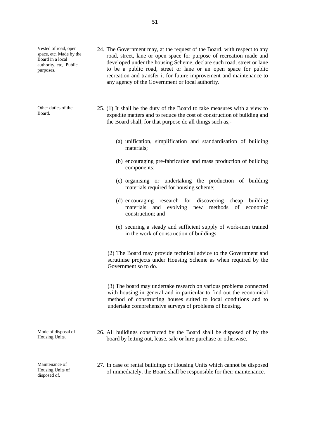Vested of road, open space, etc. Made by the Board in a local authority, etc,. Public purposes.

Other duties of the Board.

- 24. The Government may, at the request of the Board, with respect to any road, street, lane or open space for purpose of recreation made and developed under the housing Scheme, declare such road, street or lane to be a public road, street or lane or an open space for public recreation and transfer it for future improvement and maintenance to any agency of the Government or local authority.
- 25. (1) It shall be the duty of the Board to take measures with a view to expedite matters and to reduce the cost of construction of building and the Board shall, for that purpose do all things such as,-
	- (a) unification, simplification and standardisation of building materials;
	- (b) encouraging pre-fabrication and mass production of building components;
	- (c) organising or undertaking the production of building materials required for housing scheme;
	- (d) encouraging research for discovering cheap building materials and evolving new methods of economic construction; and
	- (e) securing a steady and sufficient supply of work-men trained in the work of construction of buildings.

(2) The Board may provide technical advice to the Government and scrutinise projects under Housing Scheme as when required by the Government so to do.

(3) The board may undertake research on various problems connected with housing in general and in particular to find out the economical method of constructing houses suited to local conditions and to undertake comprehensive surveys of problems of housing.

26. All buildings constructed by the Board shall be disposed of by the board by letting out, lease, sale or hire purchase or otherwise.

Maintenance of Housing Units of disposed of.

Mode of disposal of Housing Units.

> 27. In case of rental buildings or Housing Units which cannot be disposed of immediately, the Board shall be responsible for their maintenance.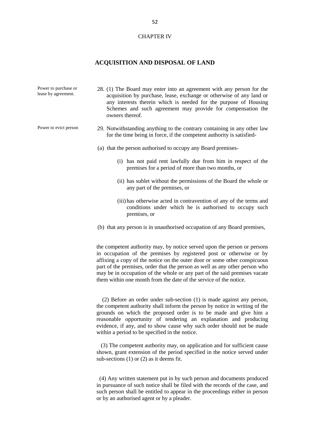#### CHAPTER IV

## **ACQUISITION AND DISPOSAL OF LAND**

| Power to purchase or<br>lease by agreement. | 28. (1) The Board may enter into an agreement with any person for the<br>acquisition by purchase, lease, exchange or otherwise of any land or<br>any interests therein which is needed for the purpose of Housing<br>Schemes and such agreement may provide for compensation the<br>owners thereof.                                                                                                                                                           |
|---------------------------------------------|---------------------------------------------------------------------------------------------------------------------------------------------------------------------------------------------------------------------------------------------------------------------------------------------------------------------------------------------------------------------------------------------------------------------------------------------------------------|
| Power to evict person                       | 29. Notwithstanding anything to the contrary containing in any other law<br>for the time being in force, if the competent authority is satisfied-                                                                                                                                                                                                                                                                                                             |
|                                             | (a) that the person authorised to occupy any Board premises-                                                                                                                                                                                                                                                                                                                                                                                                  |
|                                             | (i) has not paid rent lawfully due from him in respect of the<br>premises for a period of more than two months, or                                                                                                                                                                                                                                                                                                                                            |
|                                             | (ii) has sublet without the permissions of the Board the whole or<br>any part of the premises, or                                                                                                                                                                                                                                                                                                                                                             |
|                                             | (iii) has otherwise acted in contravention of any of the terms and<br>conditions under which he is authorised to occupy such<br>premises, or                                                                                                                                                                                                                                                                                                                  |
|                                             | (b) that any person is in unauthorised occupation of any Board premises,                                                                                                                                                                                                                                                                                                                                                                                      |
|                                             | the competent authority may, by notice served upon the person or persons<br>in occupation of the premises by registered post or otherwise or by<br>affixing a copy of the notice on the outer door or some other conspicuous<br>part of the premises, order that the person as well as any other person who<br>may be in occupation of the whole or any part of the said premises vacate<br>them within one month from the date of the service of the notice. |
|                                             | (2) Before an order under sub-section (1) is made against any person,<br>the competent authority shall inform the person by notice in writing of the<br>grounds on which the proposed order is to be made and give him a                                                                                                                                                                                                                                      |

grounds on which the proposed order is to be made and give him a reasonable opportunity of tendering an explanation and producing evidence, if any, and to show cause why such order should not be made within a period to be specified in the notice.

(3) The competent authority may, on application and for sufficient cause shown, grant extension of the period specified in the notice served under sub-sections (1) or (2) as it deems fit.

(4) Any written statement put in by such person and documents produced in pursuance of such notice shall be filed with the records of the case, and such person shall be entitled to appear in the proceedings either in person or by an authorised agent or by a pleader.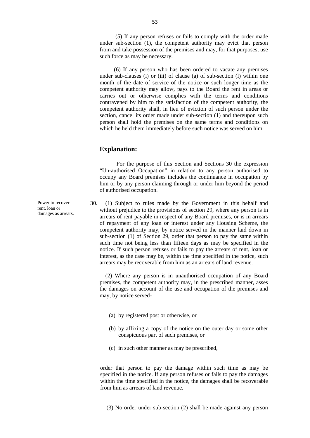(5) If any person refuses or fails to comply with the order made under sub-section (1), the competent authority may evict that person from and take possession of the premises and may, for that purposes, use such force as may be necessary.

(6) If any person who has been ordered to vacate any premises under sub-clauses (i) or (iii) of clause (a) of sub-section (l) within one month of the date of service of the notice or such longer time as the competent authority may allow, pays to the Board the rent in areas or carries out or otherwise complies with the terms and conditions contravened by him to the satisfaction of the competent authority, the competent authority shall, in lieu of eviction of such person under the section, cancel its order made under sub-section (1) and thereupon such person shall hold the premises on the same terms and conditions on which he held them immediately before such notice was served on him.

## **Explanation:**

For the purpose of this Section and Sections 30 the expression "Un-authorised Occupation" in relation to any person authorised to occupy any Board premises includes the continuance in occupation by him or by any person claiming through or under him beyond the period of authorised occupation.

30. (1) Subject to rules made by the Government in this behalf and without prejudice to the provisions of section 29, where any person is in arrears of rent payable in respect of any Board premises, or is in arrears of repayment of any loan or interest under any Housing Scheme, the competent authority may, by notice served in the manner laid down in sub-section (1) of Section 29, order that person to pay the same within such time not being less than fifteen days as may be specified in the notice. If such person refuses or fails to pay the arrears of rent, loan or interest, as the case may be, within the time specified in the notice, such arrears may be recoverable from him as an arrears of land revenue.

(2) Where any person is in unauthorised occupation of any Board premises, the competent authority may, in the prescribed manner, asses the damages on account of the use and occupation of the premises and may, by notice served-

- (a) by registered post or otherwise, or
- (b) by affixing a copy of the notice on the outer day or some other conspicuous part of such premises, or
- (c) in such other manner as may be prescribed,

order that person to pay the damage within such time as may be specified in the notice. If any person refuses or fails to pay the damages within the time specified in the notice, the damages shall be recoverable from him as arrears of land revenue.

(3) No order under sub-section (2) shall be made against any person

Power to recover rent, loan or damages as arrears.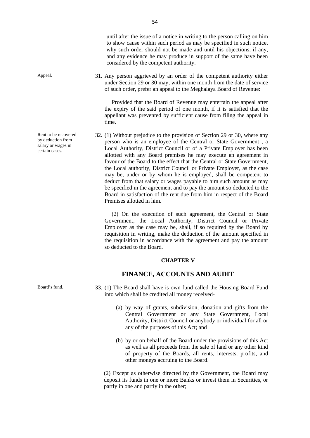Appeal. 31. Any person aggrieved by an order of the competent authority either under Section 29 or 30 may, within one month from the date of service of such order, prefer an appeal to the Meghalaya Board of Revenue:

> Provided that the Board of Revenue may entertain the appeal after the expiry of the said period of one month, if it is satisfied that the appellant was prevented by sufficient cause from filing the appeal in time.

32. (1) Without prejudice to the provision of Section 29 or 30, where any person who is an employee of the Central or State Government , a Local Authority, District Council or of a Private Employer has been allotted with any Board premises he may execute an agreement in favour of the Board to the effect that the Central or State Government, the Local authority, District Council or Private Employer, as the case may be, under or by whom he is employed, shall be competent to deduct from that salary or wages payable to him such amount as may be specified in the agreement and to pay the amount so deducted to the Board in satisfaction of the rent due from him in respect of the Board Premises allotted in him.

(2) On the execution of such agreement, the Central or State Government, the Local Authority, District Council or Private Employer as the case may be, shall, if so required by the Board by requisition in writing, make the deduction of the amount specified in the requisition in accordance with the agreement and pay the amount so deducted to the Board.

#### **CHAPTER V**

## **FINANCE, ACCOUNTS AND AUDIT**

- Board's fund. 33. (1) The Board shall have is own fund called the Housing Board Fund into which shall be credited all money received-
	- (a) by way of grants, subdivision, donation and gifts from the Central Government or any State Government, Local Authority, District Council or anybody or individual for all or any of the purposes of this Act; and
	- (b) by or on behalf of the Board under the provisions of this Act as well as all proceeds from the sale of land or any other kind of property of the Boards, all rents, interests, profits, and other moneys accruing to the Board.

(2) Except as otherwise directed by the Government, the Board may deposit its funds in one or more Banks or invest them in Securities, or partly in one and partly in the other;

Rent to be recovered by deduction from salary or wages in certain cases.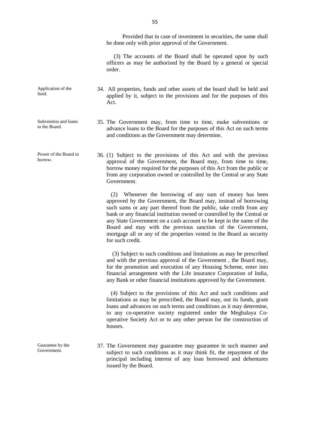Provided that in case of investment in securities, the same shall be done only with prior approval of the Government.

(3) The accounts of the Board shall be operated upon by such officers as may be authorised by the Board by a general or special order.

- 34. All properties, funds and other assets of the board shall be held and applied by it, subject to the provisions and for the purposes of this Act.
	- 35. The Government may, from time to time, make subventions or advance loans to the Board for the purposes of this Act on such terms and conditions as the Government may determine.
- borrow. 36. (1) Subject to the provisions of this Act and with the previous approval of the Government, the Board may, from time to time, borrow money required for the purposes of this Act from the public or from any corporation owned or controlled by the Central or any State Government.

(2) Whenever the borrowing of any sum of money has been approved by the Government, the Board may, instead of borrowing such sums or any part thereof from the public, take credit from any bank or any financial institution owned or controlled by the Central or any State Government on a cash account to be kept in the name of the Board and may with the previous sanction of the Government, mortgage all or any of the properties vested in the Board as security for such credit.

(3) Subject to such conditions and limitations as may be prescribed and with the previous approval of the Government , the Board may, for the promotion and execution of any Housing Scheme, enter into financial arrangement with the Life insurance Corporation of India, any Bank or other financial institutions approved by the Government.

(4) Subject to the provisions of this Act and such conditions and limitations as may be prescribed, the Board may, out its funds, grant loans and advances on such terms and conditions as it may determine, to any co-operative society registered under the Meghalaya Co operative Society Act or to any other person for the construction of houses.

37. The Government may guarantee may guarantee in such manner and subject to such conditions as it may think fit, the repayment of the principal including interest of any loan borrowed and debentures issued by the Board.

Application of the fund.

- Subvention and loans to the Board.
- Power of the Board to

Guarantee by the Government.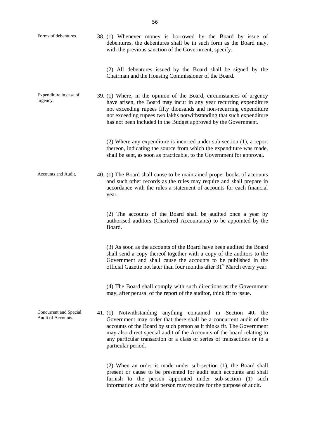| Forms of debentures.<br>38. (1) Whenever money is borrowed by the Board by issue of<br>debentures, the debentures shall be in such form as the Board may,<br>with the previous sanction of the Government, specify. |  |                                                                                                                                                                                                                                                                                                                                                                                         |  |
|---------------------------------------------------------------------------------------------------------------------------------------------------------------------------------------------------------------------|--|-----------------------------------------------------------------------------------------------------------------------------------------------------------------------------------------------------------------------------------------------------------------------------------------------------------------------------------------------------------------------------------------|--|
|                                                                                                                                                                                                                     |  | (2) All debentures issued by the Board shall be signed by the<br>Chairman and the Housing Commissioner of the Board.                                                                                                                                                                                                                                                                    |  |
| Expenditure in case of<br>urgency.                                                                                                                                                                                  |  | 39. (1) Where, in the opinion of the Board, circumstances of urgency<br>have arisen, the Board may incur in any year recurring expenditure<br>not exceeding rupees fifty thousands and non-recurring expenditure<br>not exceeding rupees two lakhs notwithstanding that such expenditure<br>has not been included in the Budget approved by the Government.                             |  |
|                                                                                                                                                                                                                     |  | $(2)$ Where any expenditure is incurred under sub-section $(1)$ , a report<br>thereon, indicating the source from which the expenditure was made,<br>shall be sent, as soon as practicable, to the Government for approval.                                                                                                                                                             |  |
| Accounts and Audit.                                                                                                                                                                                                 |  | 40. (1) The Board shall cause to be maintained proper books of accounts<br>and such other records as the rules may require and shall prepare in<br>accordance with the rules a statement of accounts for each financial<br>year.                                                                                                                                                        |  |
|                                                                                                                                                                                                                     |  | (2) The accounts of the Board shall be audited once a year by<br>authorised auditors (Chartered Accountants) to be appointed by the<br>Board.                                                                                                                                                                                                                                           |  |
|                                                                                                                                                                                                                     |  | (3) As soon as the accounts of the Board have been audited the Board<br>shall send a copy thereof together with a copy of the auditors to the<br>Government and shall cause the accounts to be published in the<br>official Gazette not later than four months after 31 <sup>st</sup> March every year.                                                                                 |  |
|                                                                                                                                                                                                                     |  | (4) The Board shall comply with such directions as the Government<br>may, after perusal of the report of the auditor, think fit to issue.                                                                                                                                                                                                                                               |  |
| Concurrent and Special<br>Audit of Accounts.                                                                                                                                                                        |  | 41. (1) Notwithstanding anything contained in Section 40, the<br>Government may order that there shall be a concurrent audit of the<br>accounts of the Board by such person as it thinks fit. The Government<br>may also direct special audit of the Accounts of the board relating to<br>any particular transaction or a class or series of transactions or to a<br>particular period. |  |
|                                                                                                                                                                                                                     |  | $(2)$ When an order is made under sub-section $(1)$ , the Board shall<br>present or cause to be presented for audit such accounts and shall<br>furnish to the person appointed under sub-section (1) such<br>information as the said person may require for the purpose of audit.                                                                                                       |  |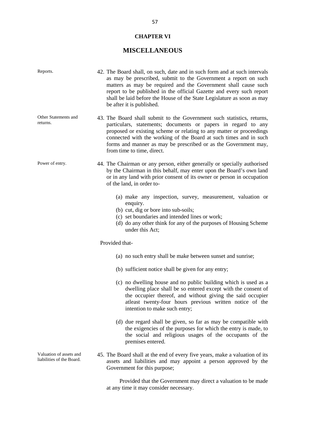# **CHAPTER VI**

# **MISCELLANEOUS**

| Reports.                                             | 42. The Board shall, on such, date and in such form and at such intervals<br>as may be prescribed, submit to the Government a report on such<br>matters as may be required and the Government shall cause such<br>report to be published in the official Gazette and every such report<br>shall be laid before the House of the State Legislature as soon as may<br>be after it is published. |
|------------------------------------------------------|-----------------------------------------------------------------------------------------------------------------------------------------------------------------------------------------------------------------------------------------------------------------------------------------------------------------------------------------------------------------------------------------------|
| Other Statements and<br>returns.                     | 43. The Board shall submit to the Government such statistics, returns,<br>particulars, statements; documents or papers in regard to any<br>proposed or existing scheme or relating to any matter or proceedings<br>connected with the working of the Board at such times and in such<br>forms and manner as may be prescribed or as the Government may,<br>from time to time, direct.         |
| Power of entry.                                      | 44. The Chairman or any person, either generally or specially authorised<br>by the Chairman in this behalf, may enter upon the Board's own land<br>or in any land with prior consent of its owner or person in occupation<br>of the land, in order to-                                                                                                                                        |
|                                                      | (a) make any inspection, survey, measurement, valuation or<br>enquiry.<br>(b) cut, dig or bore into sub-soils;<br>(c) set boundaries and intended lines or work;<br>(d) do any other think for any of the purposes of Housing Scheme<br>under this Act;                                                                                                                                       |
|                                                      | Provided that-                                                                                                                                                                                                                                                                                                                                                                                |
|                                                      | (a) no such entry shall be make between sunset and sunrise;                                                                                                                                                                                                                                                                                                                                   |
|                                                      | (b) sufficient notice shall be given for any entry;                                                                                                                                                                                                                                                                                                                                           |
|                                                      | (c) no dwelling house and no public building which is used as a<br>dwelling place shall be so entered except with the consent of<br>the occupier thereof, and without giving the said occupier<br>atleast twenty-four hours previous written notice of the<br>intention to make such entry;                                                                                                   |
|                                                      | (d) due regard shall be given, so far as may be compatible with<br>the exigencies of the purposes for which the entry is made, to<br>the social and religious usages of the occupants of the<br>premises entered.                                                                                                                                                                             |
| Valuation of assets and<br>liabilities of the Board. | 45. The Board shall at the end of every five years, make a valuation of its<br>assets and liabilities and may appoint a person approved by the<br>Government for this purpose;                                                                                                                                                                                                                |
|                                                      | Provided that the Government may direct a valuation to be made                                                                                                                                                                                                                                                                                                                                |

at any time it may consider necessary.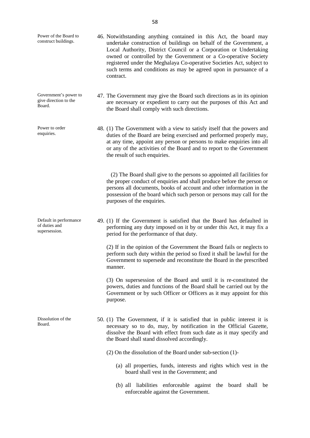| Power of the Board to<br>construct buildings.            | 46. Notwithstanding anything contained in this Act, the board may<br>undertake construction of buildings on behalf of the Government, a<br>Local Authority, District Council or a Corporation or Undertaking<br>owned or controlled by the Government or a Co-operative Society<br>registered under the Meghalaya Co-operative Societies Act, subject to<br>such terms and conditions as may be agreed upon in pursuance of a<br>contract. |
|----------------------------------------------------------|--------------------------------------------------------------------------------------------------------------------------------------------------------------------------------------------------------------------------------------------------------------------------------------------------------------------------------------------------------------------------------------------------------------------------------------------|
| Government's power to<br>give direction to the<br>Board. | 47. The Government may give the Board such directions as in its opinion<br>are necessary or expedient to carry out the purposes of this Act and<br>the Board shall comply with such directions.                                                                                                                                                                                                                                            |
| Power to order<br>enquiries.                             | 48. (1) The Government with a view to satisfy itself that the powers and<br>duties of the Board are being exercised and performed properly may,<br>at any time, appoint any person or persons to make enquiries into all<br>or any of the activities of the Board and to report to the Government<br>the result of such enquiries.                                                                                                         |
|                                                          | (2) The Board shall give to the persons so appointed all facilities for<br>the proper conduct of enquiries and shall produce before the person or<br>persons all documents, books of account and other information in the<br>possession of the board which such person or persons may call for the<br>purposes of the enquiries.                                                                                                           |
| Default in performance<br>of duties and<br>supersession. | 49. (1) If the Government is satisfied that the Board has defaulted in<br>performing any duty imposed on it by or under this Act, it may fix a<br>period for the performance of that duty.                                                                                                                                                                                                                                                 |
|                                                          | (2) If in the opinion of the Government the Board fails or neglects to<br>perform such duty within the period so fixed it shall be lawful for the<br>Government to supersede and reconstitute the Board in the prescribed<br>manner.                                                                                                                                                                                                       |
|                                                          | (3) On supersession of the Board and until it is re-constituted the<br>powers, duties and functions of the Board shall be carried out by the<br>Government or by such Officer or Officers as it may appoint for this<br>purpose.                                                                                                                                                                                                           |
| Dissolution of the<br>Board.                             | 50. (1) The Government, if it is satisfied that in public interest it is<br>necessary so to do, may, by notification in the Official Gazette,<br>dissolve the Board with effect from such date as it may specify and<br>the Board shall stand dissolved accordingly.                                                                                                                                                                       |
|                                                          | $(2)$ On the dissolution of the Board under sub-section $(1)$ -                                                                                                                                                                                                                                                                                                                                                                            |
|                                                          | (a) all properties, funds, interests and rights which vest in the<br>board shall vest in the Government; and                                                                                                                                                                                                                                                                                                                               |
|                                                          | (b) all liabilities enforceable against the board shall be<br>enforceable against the Government.                                                                                                                                                                                                                                                                                                                                          |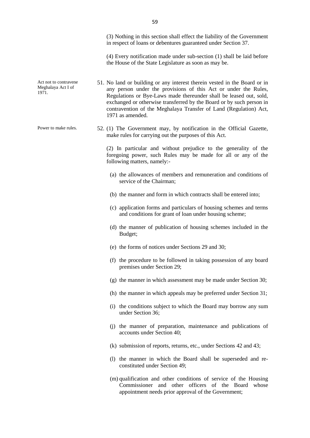(3) Nothing in this section shall effect the liability of the Government in respect of loans or debentures guaranteed under Section 37.

(4) Every notification made under sub-section (1) shall be laid before the House of the State Legislature as soon as may be.

- 51. No land or building or any interest therein vested in the Board or in any person under the provisions of this Act or under the Rules, Regulations or Bye-Laws made thereunder shall be leased out, sold, exchanged or otherwise transferred by the Board or by such person in contravention of the Meghalaya Transfer of Land (Regulation) Act, 1971 as amended.
- Power to make rules. 52. (1) The Government may, by notification in the Official Gazette, make rules for carrying out the purposes of this Act.

(2) In particular and without prejudice to the generality of the foregoing power, such Rules may be made for all or any of the following matters, namely:-

- (a) the allowances of members and remuneration and conditions of service of the Chairman;
- (b) the manner and form in which contracts shall be entered into;
- (c) application forms and particulars of housing schemes and terms and conditions for grant of loan under housing scheme;
- (d) the manner of publication of housing schemes included in the Budget;
- (e) the forms of notices under Sections 29 and 30;
- (f) the procedure to be followed in taking possession of any board premises under Section 29;
- (g) the manner in which assessment may be made under Section 30;
- (h) the manner in which appeals may be preferred under Section 31;
- (i) the conditions subject to which the Board may borrow any sum under Section 36;
- (j) the manner of preparation, maintenance and publications of accounts under Section 40;
- (k) submission of reports, returns, etc., under Sections 42 and 43;
- (l) the manner in which the Board shall be superseded and re constituted under Section 49;
- (m) qualification and other conditions of service of the Housing Commissioner and other officers of the Board whose appointment needs prior approval of the Government;

59

Act not to contravene Meghalaya Act I of

1971.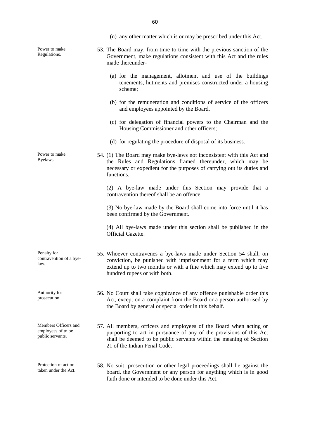|                                                                | (n) any other matter which is or may be prescribed under this Act.                                                                                                                                                                                |
|----------------------------------------------------------------|---------------------------------------------------------------------------------------------------------------------------------------------------------------------------------------------------------------------------------------------------|
| Power to make<br>Regulations.                                  | 53. The Board may, from time to time with the previous sanction of the<br>Government, make regulations consistent with this Act and the rules<br>made thereunder-                                                                                 |
|                                                                | (a) for the management, allotment and use of the buildings<br>tenements, hutments and premises constructed under a housing<br>scheme;                                                                                                             |
|                                                                | (b) for the remuneration and conditions of service of the officers<br>and employees appointed by the Board.                                                                                                                                       |
|                                                                | (c) for delegation of financial powers to the Chairman and the<br>Housing Commissioner and other officers;                                                                                                                                        |
|                                                                | (d) for regulating the procedure of disposal of its business.                                                                                                                                                                                     |
| Power to make<br>Byelaws.                                      | 54. (1) The Board may make bye-laws not inconsistent with this Act and<br>the Rules and Regulations framed thereunder, which may be<br>necessary or expedient for the purposes of carrying out its duties and<br>functions.                       |
|                                                                | (2) A bye-law made under this Section may provide that a<br>contravention thereof shall be an offence.                                                                                                                                            |
|                                                                | (3) No bye-law made by the Board shall come into force until it has<br>been confirmed by the Government.                                                                                                                                          |
|                                                                | (4) All bye-laws made under this section shall be published in the<br>Official Gazette.                                                                                                                                                           |
| Penalty for<br>contravention of a bye-<br>law.                 | 55. Whoever contravenes a bye-laws made under Section 54 shall, on<br>conviction, be punished with imprisonment for a term which may<br>extend up to two months or with a fine which may extend up to five<br>hundred rupees or with both.        |
| Authority for<br>prosecution.                                  | 56. No Court shall take cognizance of any offence punishable order this<br>Act, except on a complaint from the Board or a person authorised by<br>the Board by general or special order in this behalf.                                           |
| Members Officers and<br>employees of to be<br>public servants. | 57. All members, officers and employees of the Board when acting or<br>purporting to act in pursuance of any of the provisions of this Act<br>shall be deemed to be public servants within the meaning of Section<br>21 of the Indian Penal Code. |
| Protection of action<br>taken under the Act.                   | 58. No suit, prosecution or other legal proceedings shall lie against the<br>board, the Government or any person for anything which is in good<br>faith done or intended to be done under this Act.                                               |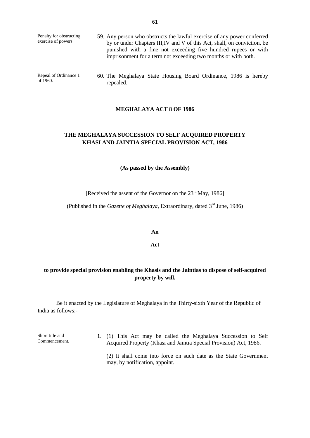| Penalty for obstructing<br>exercise of powers | 59. Any person who obstructs the lawful exercise of any power conferred<br>by or under Chapters III, IV and V of this Act, shall, on conviction, be<br>punished with a fine not exceeding five hundred rupees or with<br>imprisonment for a term not exceeding two months or with both. |
|-----------------------------------------------|-----------------------------------------------------------------------------------------------------------------------------------------------------------------------------------------------------------------------------------------------------------------------------------------|
|                                               |                                                                                                                                                                                                                                                                                         |

Repeal of Ordinance 1

of 1960.

60. The Meghalaya State Housing Board Ordinance, 1986 is hereby repealed.

#### **MEGHALAYA ACT 8 OF 1986**

## **THE MEGHALAYA SUCCESSION TO SELF ACQUIRED PROPERTY KHASI AND JAINTIA SPECIAL PROVISION ACT, 1986**

**(As passed by the Assembly)**

[Received the assent of the Governor on the 23<sup>rd</sup> May, 1986]

(Published in the *Gazette of Meghalaya*, Extraordinary, dated 3<sup>rd</sup> June, 1986)

**An**

**Act**

# **to provide special provision enabling the Khasis and the Jaintias to dispose of self-acquired property by will.**

Be it enacted by the Legislature of Meghalaya in the Thirty-sixth Year of the Republic of India as follows:-

Short title and Commencement. 1. (1) This Act may be called the Meghalaya Succession to Self Acquired Property (Khasi and Jaintia Special Provision) Act, 1986. (2) It shall come into force on such date as the State Government may, by notification, appoint.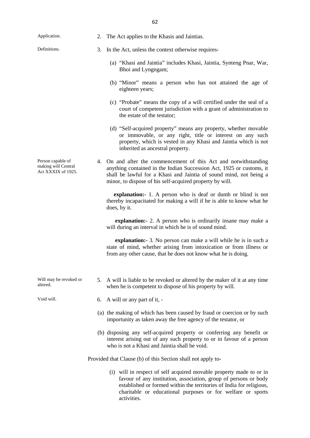| Application.                                                   | 2. | The Act applies to the Khasis and Jaintias.                                                                                                                                                                                                                                    |
|----------------------------------------------------------------|----|--------------------------------------------------------------------------------------------------------------------------------------------------------------------------------------------------------------------------------------------------------------------------------|
| Definitions.                                                   | 3. | In the Act, unless the context otherwise requires-                                                                                                                                                                                                                             |
|                                                                |    | (a) "Khasi and Jaintia" includes Khasi, Jaintia, Synteng Pnar, War,<br>Bhoi and Lyngngam;                                                                                                                                                                                      |
|                                                                |    | (b) "Minor" means a person who has not attained the age of<br>eighteen years;                                                                                                                                                                                                  |
|                                                                |    | (c) "Probate" means the copy of a will certified under the seal of a<br>court of competent jurisdiction with a grant of administration to<br>the estate of the testator;                                                                                                       |
|                                                                |    | (d) "Self-acquired property" means any property, whether movable<br>or immovable, or any right, title or interest on any such<br>property, which is vested in any Khasi and Jaintia which is not<br>inherited as ancestral property.                                           |
| Person capable of<br>making will Central<br>Act XXXIX of 1925. | 4. | On and after the commencement of this Act and notwithstanding<br>anything contained in the Indian Succession Act, 1925 or customs, it<br>shall be lawful for a Khasi and Jaintia of sound mind, not being a<br>minor, to dispose of his self-acquired property by will.        |
|                                                                |    | explanation: 1. A person who is deaf or dumb or blind is not<br>thereby incapacitated for making a will if he is able to know what he<br>does, by it.                                                                                                                          |
|                                                                |    | explanation: - 2. A person who is ordinarily insane may make a<br>will during an interval in which he is of sound mind.                                                                                                                                                        |
|                                                                |    | <b>explanation:</b> - 3. No person can make a will while he is in such a<br>state of mind, whether arising from intoxication or from illness or<br>from any other cause, that he does not know what he is doing.                                                               |
| Will may be revoked or<br>altered.                             |    | 5. A will is liable to be revoked or altered by the maker of it at any time<br>when he is competent to dispose of his property by will.                                                                                                                                        |
| Void will.                                                     | 6. | A will or any part of it, -                                                                                                                                                                                                                                                    |
|                                                                |    | (a) the making of which has been caused by fraud or coercion or by such<br>importunity as taken away the free agency of the testator, or                                                                                                                                       |
|                                                                |    | (b) disposing any self-acquired property or conferring any benefit or<br>interest arising out of any such property to or in favour of a person<br>who is not a Khasi and Jaintia shall be void.                                                                                |
|                                                                |    | Provided that Clause (b) of this Section shall not apply to-                                                                                                                                                                                                                   |
|                                                                |    | (i) will in respect of self acquired movable property made to or in<br>favour of any institution, association, group of persons or body<br>established or formed within the territories of India for religious,<br>charitable or educational purposes or for welfare or sports |

activities.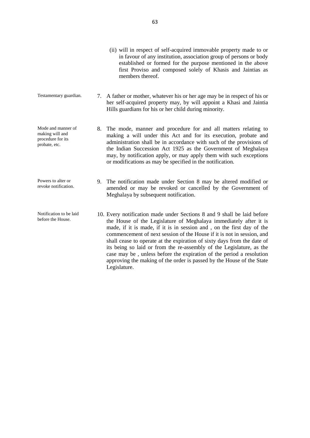- (ii) will in respect of self-acquired immovable property made to or in favour of any institution, association group of persons or body established or formed for the purpose mentioned in the above first Proviso and composed solely of Khasis and Jaintias as members thereof.
- Testamentary guardian. 7. A father or mother, whatever his or her age may be in respect of his or her self-acquired property may, by will appoint a Khasi and Jaintia Hills guardians for his or her child during minority.
- Mode and manner of making will and procedure for its probate, etc. 8. The mode, manner and procedure for and all matters relating to making a will under this Act and for its execution, probate and administration shall be in accordance with such of the provisions of the Indian Succession Act 1925 as the Government of Meghalaya may, by notification apply, or may apply them with such exceptions or modifications as may be specified in the notification.

before the House.

- Powers to alter or revoke notification. 9. The notification made under Section 8 may be altered modified or amended or may be revoked or cancelled by the Government of Meghalaya by subsequent notification.
- Notification to be laid 10. Every notification made under Sections 8 and 9 shall be laid before the House of the Legislature of Meghalaya immediately after it is made, if it is made, if it is in session and , on the first day of the commencement of next session of the House if it is not in session, and shall cease to operate at the expiration of sixty days from the date of its being so laid or from the re-assembly of the Legislature, as the case may be , unless before the expiration of the period a resolution approving the making of the order is passed by the House of the State Legislature.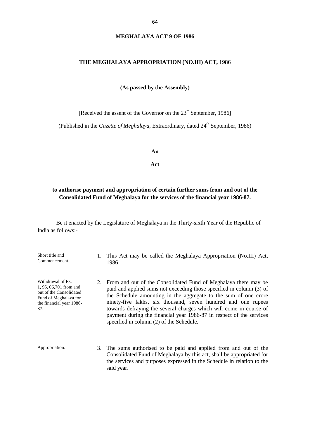## **MEGHALAYA ACT 9 OF 1986**

#### **THE MEGHALAYA APPROPRIATION (NO.III) ACT, 1986**

**(As passed by the Assembly)**

[Received the assent of the Governor on the 23<sup>rd</sup> September, 1986]

(Published in the *Gazette of Meghalaya*, Extraordinary, dated 24<sup>th</sup> September, 1986)

**An**

**Act**

## **to authorise payment and appropriation of certain further sums from and out of the Consolidated Fund of Meghalaya for the services of the financial year 1986-87.**

Be it enacted by the Legislature of Meghalaya in the Thirty-sixth Year of the Republic of India as follows:-

Short title and Commencement. 1. This Act may be called the Meghalaya Appropriation (No.III) Act, 1986. Withdrawal of Rs. 1, 95, 06,701 from and out of the Consolidated Fund of Meghalaya for the financial year 1986- 87. 2. From and out of the Consolidated Fund of Meghalaya there may be paid and applied sums not exceeding those specified in column (3) of the Schedule amounting in the aggregate to the sum of one crore ninety-five lakhs, six thousand, seven hundred and one rupees towards defraying the several charges which will come in course of payment during the financial year 1986-87 in respect of the services specified in column (2) of the Schedule. Appropriation. 3. The sums authorised to be paid and applied from and out of the Consolidated Fund of Meghalaya by this act, shall be appropriated for

said year.

the services and purposes expressed in the Schedule in relation to the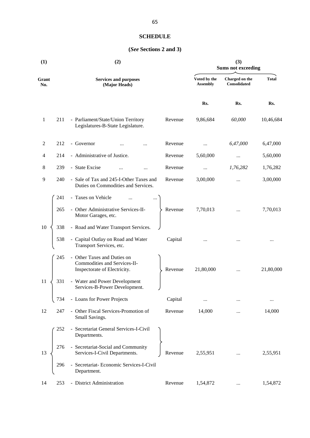## **SCHEDULE**

# **(***See* **Sections 2 and 3)**

| (1)          |     | (2)                                                                                         | (3)<br><b>Sums not exceeding</b> |                                 |                                       |              |
|--------------|-----|---------------------------------------------------------------------------------------------|----------------------------------|---------------------------------|---------------------------------------|--------------|
| Grant<br>No. |     | <b>Services and purposes</b><br>(Major Heads)                                               |                                  | Voted by the<br><b>Assembly</b> | Charged on the<br><b>Consolidated</b> | <b>Total</b> |
|              |     |                                                                                             |                                  | Rs.                             | Rs.                                   | Rs.          |
| $\mathbf{1}$ | 211 | - Parliament/State/Union Territory<br>Legislatures-B-State Legislature.                     | Revenue                          | 9,86,684                        | 60,000                                | 10,46,684    |
| 2            | 212 | - Governor                                                                                  | Revenue                          |                                 | 6,47,000                              | 6,47,000     |
| 4            | 214 | - Administrative of Justice.                                                                | Revenue                          | 5,60,000                        | $\cdots$                              | 5,60,000     |
| 8            | 239 | - State Excise<br>$\ddotsc$                                                                 | Revenue                          | $\cdots$                        | 1,76,282                              | 1,76,282     |
| 9            | 240 | - Sale of Tax and 245-I-Other Taxes and<br>Duties on Commodities and Services.              | Revenue                          | 3,00,000                        |                                       | 3,00,000     |
|              | 241 | - Taxes on Vehicle                                                                          |                                  |                                 |                                       |              |
|              | 265 | - Other Administrative Services-II-<br>Motor Garages, etc.                                  | Revenue                          | 7,70,013                        | $\ldots$                              | 7,70,013     |
| 10           | 338 | - Road and Water Transport Services.                                                        |                                  |                                 |                                       |              |
|              | 538 | - Capital Outlay on Road and Water<br>Transport Services, etc.                              | Capital                          |                                 |                                       | $\cdots$     |
|              | 245 | - Other Taxes and Duties on<br>Commodities and Services-II-<br>Inspectorate of Electricity. | Revenue                          | 21,80,000                       | $\cdots$                              | 21,80,000    |
| 11           | 331 | - Water and Power Development<br>Services-B-Power Development.                              |                                  |                                 |                                       |              |
|              | 734 | - Loans for Power Projects                                                                  | Capital                          |                                 |                                       | $\cdots$     |
| 12           | 247 | - Other Fiscal Services-Promotion of<br>Small Savings.                                      | Revenue                          | 14,000                          |                                       | 14,000       |
|              | 252 | - Secretariat General Services-I-Civil<br>Departments.                                      |                                  |                                 |                                       |              |
| 13           | 276 | - Secretariat-Social and Community<br>Services-I-Civil Departments.                         | Revenue                          | 2,55,951                        |                                       | 2,55,951     |
|              | 296 | - Secretariat- Economic Services-I-Civil<br>Department.                                     |                                  |                                 |                                       |              |
| 14           | 253 | - District Administration                                                                   | Revenue                          | 1,54,872                        |                                       | 1,54,872     |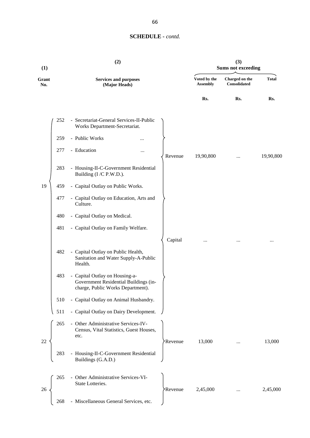| (1)          |     | (2)                                                                                                          |                      |                                 | (3)<br><b>Sums not exceeding</b> |              |
|--------------|-----|--------------------------------------------------------------------------------------------------------------|----------------------|---------------------------------|----------------------------------|--------------|
| Grant<br>No. |     | <b>Services and purposes</b><br>(Major Heads)                                                                |                      | Voted by the<br><b>Assembly</b> | Charged on the<br>Consolidated   | <b>Total</b> |
|              |     |                                                                                                              |                      | Rs.                             | Rs.                              | Rs.          |
|              | 252 | - Secretariat-General Services-II-Public<br>Works Department-Secretariat.                                    |                      |                                 |                                  |              |
|              | 259 | - Public Works                                                                                               |                      |                                 |                                  |              |
|              | 277 | - Education<br>$\ddotsc$                                                                                     | Revenue              | 19,90,800                       |                                  | 19,90,800    |
|              | 283 | - Housing-II-C-Government Residential<br>Building (I/C P.W.D.).                                              |                      |                                 |                                  |              |
| 19           | 459 | - Capital Outlay on Public Works.                                                                            |                      |                                 |                                  |              |
|              | 477 | - Capital Outlay on Education, Arts and<br>Culture.                                                          |                      |                                 |                                  |              |
|              | 480 | - Capital Outlay on Medical.                                                                                 |                      |                                 |                                  |              |
|              | 481 | - Capital Outlay on Family Welfare.                                                                          |                      |                                 |                                  |              |
|              |     |                                                                                                              | Capital              |                                 |                                  |              |
|              | 482 | - Capital Outlay on Public Health,<br>Sanitation and Water Supply-A-Public<br>Health.                        |                      |                                 |                                  |              |
|              | 483 | - Capital Outlay on Housing-a-<br>Government Residential Buildings (in-<br>charge, Public Works Department). |                      |                                 |                                  |              |
|              | 510 | - Capital Outlay on Animal Husbandry.                                                                        |                      |                                 |                                  |              |
|              | 511 | - Capital Outlay on Dairy Development.                                                                       |                      |                                 |                                  |              |
| 22           | 265 | - Other Administrative Services-IV-<br>Census, Vital Statistics, Guest Houses,<br>etc.                       | <b>Revenue</b>       | 13,000                          |                                  | 13,000       |
|              | 283 | - Housing-II-C-Government Residential<br>Buildings (G.A.D.)                                                  |                      |                                 |                                  |              |
| 26           | 265 | - Other Administrative Services-VI-<br>State Lotteries.                                                      | Revenue <sup>.</sup> | 2,45,000                        |                                  | 2,45,000     |
|              | 268 | - Miscellaneous General Services, etc.                                                                       |                      |                                 |                                  |              |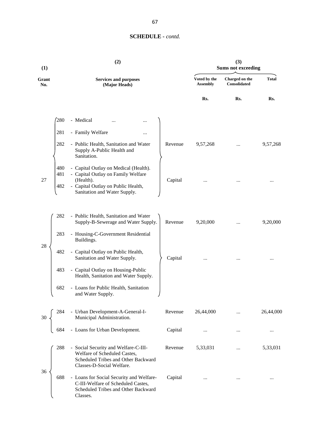| (1)          | (2)                                                                                                                                                                                            |                                 | (3)<br><b>Sums not exceeding</b> |              |
|--------------|------------------------------------------------------------------------------------------------------------------------------------------------------------------------------------------------|---------------------------------|----------------------------------|--------------|
| Grant<br>No. | <b>Services and purposes</b><br>(Major Heads)                                                                                                                                                  | Voted by the<br><b>Assembly</b> | Charged on the<br>Consolidated   | <b>Total</b> |
|              |                                                                                                                                                                                                | Rs.                             | Rs.                              | Rs.          |
|              | 280<br>- Medical                                                                                                                                                                               |                                 |                                  |              |
|              | 281<br>- Family Welfare<br>                                                                                                                                                                    |                                 |                                  |              |
|              | - Public Health, Sanitation and Water<br>282<br>Revenue<br>Supply A-Public Health and<br>Sanitation.                                                                                           | 9,57,268                        |                                  | 9,57,268     |
| 27           | 480<br>- Capital Outlay on Medical (Health).<br>- Capital Outlay on Family Welfare<br>481<br>(Health).<br>Capital<br>- Capital Outlay on Public Health,<br>482<br>Sanitation and Water Supply. |                                 |                                  | $\cdots$     |
|              | - Public Health, Sanitation and Water<br>282<br>Supply-B-Sewerage and Water Supply.<br>Revenue                                                                                                 | 9,20,000                        | $\cdots$                         | 9,20,000     |
|              | - Housing-C-Government Residential<br>283<br>Buildings.                                                                                                                                        |                                 |                                  |              |
| 28           | - Capital Outlay on Public Health,<br>482<br>Sanitation and Water Supply.<br>Capital                                                                                                           |                                 |                                  | $\cdots$     |
|              | - Capital Outlay on Housing-Public<br>483<br>Health, Sanitation and Water Supply.                                                                                                              |                                 |                                  |              |
|              | 682<br>- Loans for Public Health, Sanitation<br>and Water Supply.                                                                                                                              |                                 |                                  |              |
|              | - Urban Development-A-General-I-<br>Municipal Administration.<br>- Loans for Urban Development.<br>Revenue                                                                                     | 26,44,000                       |                                  | 26,44,000    |
|              | Capital<br>684                                                                                                                                                                                 |                                 | $\cdots$                         | $\cdots$     |
|              | 288<br>- Social Security and Welfare-C-III-<br>Revenue<br>Welfare of Scheduled Castes,<br>Scheduled Tribes and Other Backward<br>Classes-D-Social Welfare.                                     | 5,33,031                        | $\cdots$                         | 5,33,031     |
| 36           | 688<br>- Loans for Social Security and Welfare-<br>Capital<br>C-III-Welfare of Scheduled Castes,<br>Scheduled Tribes and Other Backward<br>Classes.                                            | $\cdots$                        |                                  | $\cdots$     |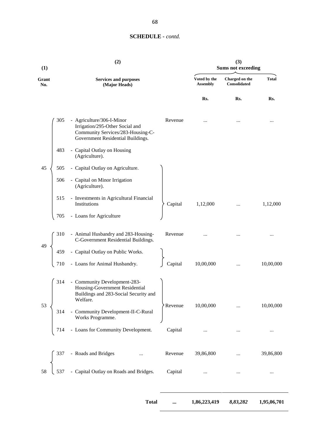| (1)          |                            | (2)                                                                                                                                    |                |                                 | (3)<br><b>Sums not exceeding</b> |              |
|--------------|----------------------------|----------------------------------------------------------------------------------------------------------------------------------------|----------------|---------------------------------|----------------------------------|--------------|
| Grant<br>No. |                            | <b>Services and purposes</b><br>(Major Heads)                                                                                          |                | Voted by the<br><b>Assembly</b> | Charged on the<br>Consolidated   | <b>Total</b> |
|              |                            |                                                                                                                                        |                | Rs.                             | Rs.                              | Rs.          |
|              | 305                        | - Agriculture/306-I-Minor<br>Irrigation/295-Other Social and<br>Community Services/283-Housing-C-<br>Government Residential Buildings. | Revenue        |                                 |                                  |              |
|              | 483<br>(Agriculture).      | - Capital Outlay on Housing                                                                                                            |                |                                 |                                  |              |
| 45           | 505                        | - Capital Outlay on Agriculture.                                                                                                       |                |                                 |                                  |              |
|              | 506<br>(Agriculture).      | - Capital on Minor Irrigation                                                                                                          |                |                                 |                                  |              |
|              | 515<br>Institutions        | - Investments in Agricultural Financial                                                                                                | Capital        | 1,12,000                        |                                  | 1,12,000     |
|              | 705                        | - Loans for Agriculture                                                                                                                |                |                                 |                                  |              |
|              | 310                        | - Animal Husbandry and 283-Housing-<br>C-Government Residential Buildings.                                                             | Revenue        |                                 |                                  |              |
| 49           | 459                        | - Capital Outlay on Public Works.                                                                                                      |                |                                 |                                  |              |
|              | 710                        | - Loans for Animal Husbandry.                                                                                                          | Capital        | 10,00,000                       | $\cdots$                         | 10,00,000    |
|              | 314<br>Welfare.            | - Community Development-283-<br>Housing-Government Residential<br>Buildings and 283-Social Security and                                |                |                                 |                                  |              |
| 53           | 314                        | - Community Development-II-C-Rural<br>Works Programme.                                                                                 | <b>Revenue</b> | 10,00,000                       |                                  | 10,00,000    |
|              | 714                        | - Loans for Community Development.                                                                                                     | Capital        |                                 | $\cdots$                         |              |
|              | - Roads and Bridges<br>337 |                                                                                                                                        | Revenue        | 39,86,800                       |                                  | 39,86,800    |
| 58           | 537                        | - Capital Outlay on Roads and Bridges.                                                                                                 | Capital        |                                 |                                  |              |
|              |                            |                                                                                                                                        |                |                                 |                                  |              |

**Total ... 1,86,223,419** *8,83,282* **1,95,06,701**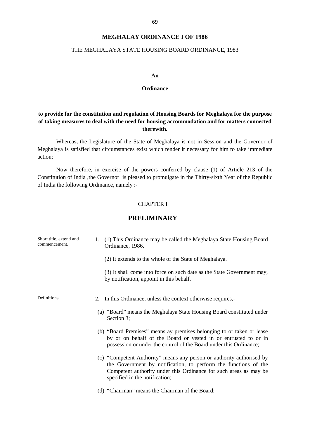## **MEGHALAY ORDINANCE I OF 1986**

#### THE MEGHALAYA STATE HOUSING BOARD ORDINANCE, 1983

#### **An**

#### **Ordinance**

# **to provide for the constitution and regulation of Housing Boards for Meghalaya for the purpose of taking measures to deal with the need for housing accommodation and for matters connected therewith.**

Whereas**,** the Legislature of the State of Meghalaya is not in Session and the Governor of Meghalaya is satisfied that circumstances exist which render it necessary for him to take immediate action;

Now therefore, in exercise of the powers conferred by clause (1) of Article 213 of the Constitution of India ,the Governor is pleased to promulgate in the Thirty-sixth Year of the Republic of India the following Ordinance, namely :-<br>CHAPTER I

## **PRELIMINARY**

| Short title, extend and<br>commencement. | (1) This Ordinance may be called the Meghalaya State Housing Board<br>Ordinance, 1986.                                                                                                                                                          |  |
|------------------------------------------|-------------------------------------------------------------------------------------------------------------------------------------------------------------------------------------------------------------------------------------------------|--|
|                                          | (2) It extends to the whole of the State of Meghalaya.                                                                                                                                                                                          |  |
|                                          | (3) It shall come into force on such date as the State Government may,<br>by notification, appoint in this behalf.                                                                                                                              |  |
| Definitions.                             | 2. In this Ordinance, unless the context otherwise requires,-                                                                                                                                                                                   |  |
|                                          | (a) "Board" means the Meghalaya State Housing Board constituted under<br>Section 3;                                                                                                                                                             |  |
|                                          | (b) "Board Premises" means ay premises belonging to or taken or lease<br>by or on behalf of the Board or vested in or entrusted to or in<br>possession or under the control of the Board under this Ordinance;                                  |  |
|                                          | (c) "Competent Authority" means any person or authority authorised by<br>the Government by notification, to perform the functions of the<br>Competent authority under this Ordinance for such areas as may be<br>specified in the notification; |  |
|                                          | (d) "Chairman" means the Chairman of the Board;                                                                                                                                                                                                 |  |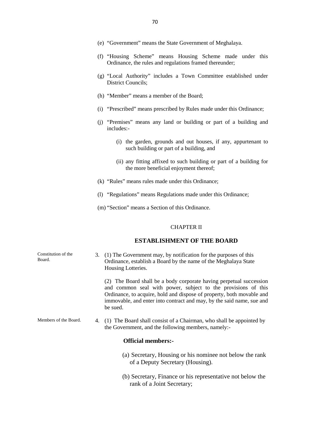- (f) "Housing Scheme" means Housing Scheme made under this Ordinance, the rules and regulations framed thereunder;
- (g) "Local Authority" includes a Town Committee established under District Councils;
- (h) "Member" means a member of the Board;
- (i) "Prescribed" means prescribed by Rules made under this Ordinance;
- (j) "Premises" means any land or building or part of a building and includes:-
	- (i) the garden, grounds and out houses, if any, appurtenant to such building or part of a building, and
	- (ii) any fitting affixed to such building or part of a building for the more beneficial enjoyment thereof;
- (k) "Rules" means rules made under this Ordinance;
- (l) "Regulations" means Regulations made under this Ordinance;
- (m) "Section" means a Section of this Ordinance.

#### CHAPTER II

#### **ESTABLISHMENT OF THE BOARD**

| Constitution of the<br>Board. | 3. (1) The Government may, by notification for the purposes of this<br>Ordinance, establish a Board by the name of the Meghalaya State<br>Housing Lotteries.                                                                                                                                       |
|-------------------------------|----------------------------------------------------------------------------------------------------------------------------------------------------------------------------------------------------------------------------------------------------------------------------------------------------|
|                               | (2) The Board shall be a body corporate having perpetual succession<br>and common seal with power, subject to the provisions of this<br>Ordinance, to acquire, hold and dispose of property, both movable and<br>immovable, and enter into contract and may, by the said name, sue and<br>be sued. |

Members of the Board. 4. (1) The Board shall consist of a Chairman, who shall be appointed by the Government, and the following members, namely:-

## **Official members:-**

- (a) Secretary, Housing or his nominee not below the rank of a Deputy Secretary (Housing).
- (b) Secretary, Finance or his representative not below the rank of a Joint Secretary;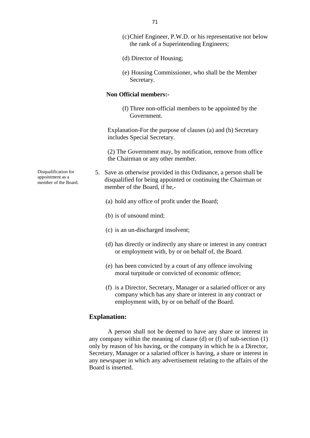- (c)Chief Engineer, P.W.D. or his representative not below the rank of a Superintending Engineers;
- (d) Director of Housing;
- (e) Housing Commissioner, who shall be the Member Secretary.

### **Non Official members:-**

(f) Three non-official members to be appointed by the Government.

Explanation-For the purpose of clauses (a) and (b) Secretary includes Special Secretary.

(2) The Government may, by notification, remove from office the Chairman or any other member.

5. Save as otherwise provided in this Ordinance, a person shall be disqualified for being appointed or continuing the Chairman or member of the Board, if he,-

- (a) hold any office of profit under the Board;
- (b) is of unsound mind;
- (c) is an un-discharged insolvent;
- (d) has directly or indirectly any share or interest in any contract or employment with, by or on behalf of, the Board.
- (e) has been convicted by a court of any offence involving moral turpitude or convicted of economic offence;
- (f) is a Director, Secretary, Manager or a salaried officer or any company which has any share or interest in any contract or employment with, by or on behalf of the Board.

## **Explanation:**

A person shall not be deemed to have any share or interest in any company within the meaning of clause (d) or (f) of sub-section (1) only by reason of his having, or the company in which he is a Director, Secretary, Manager or a salaried officer is having, a share or interest in any newspaper in which any advertisement relating to the affairs of the Board is inserted.

Disqualification for appointment as a member of the Board.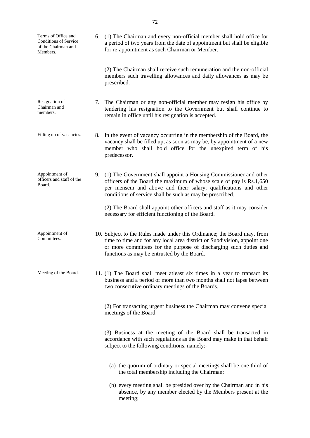| Terms of Office and<br><b>Conditions of Service</b><br>of the Chairman and<br>Members. | 6. (1) The Chairman and every non-official member shall hold office for<br>a period of two years from the date of appointment but shall be eligible<br>for re-appointment as such Chairman or Member.                                                                       |
|----------------------------------------------------------------------------------------|-----------------------------------------------------------------------------------------------------------------------------------------------------------------------------------------------------------------------------------------------------------------------------|
|                                                                                        | (2) The Chairman shall receive such remuneration and the non-official<br>members such travelling allowances and daily allowances as may be<br>prescribed.                                                                                                                   |
| Resignation of<br>Chairman and<br>members.                                             | 7. The Chairman or any non-official member may resign his office by<br>tendering his resignation to the Government but shall continue to<br>remain in office until his resignation is accepted.                                                                             |
| Filling up of vacancies.                                                               | 8. In the event of vacancy occurring in the membership of the Board, the<br>vacancy shall be filled up, as soon as may be, by appointment of a new<br>member who shall hold office for the unexpired term of his<br>predecessor.                                            |
| Appointment of<br>officers and staff of the<br>Board.                                  | 9. (1) The Government shall appoint a Housing Commissioner and other<br>officers of the Board the maximum of whose scale of pay is Rs.1,650<br>per mensem and above and their salary; qualifications and other<br>conditions of service shall be such as may be prescribed. |
|                                                                                        | (2) The Board shall appoint other officers and staff as it may consider<br>necessary for efficient functioning of the Board.                                                                                                                                                |
| Appointment of<br>Committees.                                                          | 10. Subject to the Rules made under this Ordinance; the Board may, from<br>time to time and for any local area district or Subdivision, appoint one<br>or more committees for the purpose of discharging such duties and<br>functions as may be entrusted by the Board.     |
| Meeting of the Board.                                                                  | 11. (1) The Board shall meet at least six times in a year to transact its<br>business and a period of more than two months shall not lapse between<br>two consecutive ordinary meetings of the Boards.                                                                      |
|                                                                                        | (2) For transacting urgent business the Chairman may convene special<br>meetings of the Board.                                                                                                                                                                              |
|                                                                                        | (3) Business at the meeting of the Board shall be transacted in<br>accordance with such regulations as the Board may make in that behalf<br>subject to the following conditions, namely:-                                                                                   |
|                                                                                        | (a) the quorum of ordinary or special meetings shall be one third of<br>the total membership including the Chairman;                                                                                                                                                        |
|                                                                                        | (b) every meeting shall be presided over by the Chairman and in his<br>absence, by any member elected by the Members present at the<br>meeting;                                                                                                                             |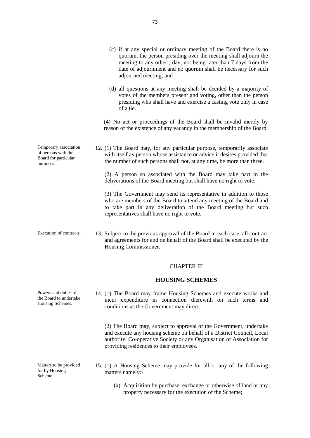- (c) if at any special or ordinary meeting of the Board there is no quorum, the person presiding over the meeting shall adjourn the meeting to any other , day, not being later than 7 days from the date of adjournment and no quorum shall be necessary for such adjourned meeting; and
	- (d) all questions at any meeting shall be decided by a majority of votes of the members present and voting, other than the person presiding who shall have and exercise a casting vote only in case of a tie.

(4) No act or proceedings of the Board shall be invalid merely by reason of the existence of any vacancy in the membership of the Board.

12. (1) The Board may, for any particular purpose, temporarily associate with itself ay person whose assistance or advice it desires provided that the number of such persons shall not, at any time, be more than three.

(2) A person so associated with the Board may take part in the deliverations of the Board meeting but shall have no right to vote.

(3) The Government may send its representative in addition to those who are members of the Board to attend any meeting of the Board and to take part in any deliveration of the Board meeting but such representatives shall have no right to vote.

Execution of contracts. 13. Subject to the previous approval of the Board in each case, all contract and agreements for and on behalf of the Board shall be executed by the Housing Commissioner.

### CHAPTER III

### **HOUSING SCHEMES**

14. (1) The Board may frame Housing Schemes and execute works and incur expenditure in connection therewith on such terms and conditions as the Government may direct.

(2) The Board may, subject to approval of the Government, undertake and execute any housing scheme on behalf of a District Council, Local authority, Co-operative Society or any Organisation or Association for providing residences to their employees.

- 15. (1) A Housing Scheme may provide for all or any of the following matters namely:-
	- (a) Acquisition by purchase, exchange or otherwise of land or any property necessary for the execution of the Scheme;

Temporary association of persons with the Board for particular purposes.

Powers and duties of the Board to undertake Housing Schemes.

Matters to be provided for by Housing Scheme.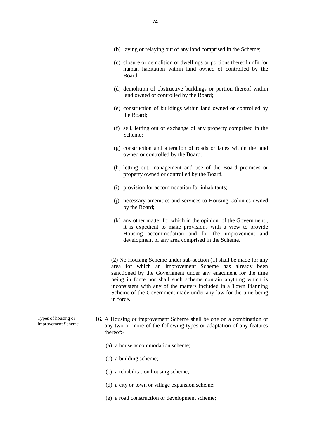- (b) laying or relaying out of any land comprised in the Scheme;
- (c) closure or demolition of dwellings or portions thereof unfit for human habitation within land owned of controlled by the Board;
- (d) demolition of obstructive buildings or portion thereof within land owned or controlled by the Board;
- (e) construction of buildings within land owned or controlled by the Board;
- (f) sell, letting out or exchange of any property comprised in the Scheme;
- (g) construction and alteration of roads or lanes within the land owned or controlled by the Board.
- (h) letting out, management and use of the Board premises or property owned or controlled by the Board.
- (i) provision for accommodation for inhabitants;
- (j) necessary amenities and services to Housing Colonies owned by the Board;
- (k) any other matter for which in the opinion of the Government , it is expedient to make provisions with a view to provide Housing accommodation and for the improvement and development of any area comprised in the Scheme.

(2) No Housing Scheme under sub-section (1) shall be made for any area for which an improvement Scheme has already been sanctioned by the Government under any enactment for the time being in force nor shall such scheme contain anything which is inconsistent with any of the matters included in a Town Planning Scheme of the Government made under any law for the time being in force.

- Types of housing or Improvement Scheme. 16. A Housing or improvement Scheme shall be one on a combination of any two or more of the following types or adaptation of any features thereof:-
	- (a) a house accommodation scheme;
	- (b) a building scheme;
	- (c) a rehabilitation housing scheme;
	- (d) a city or town or village expansion scheme;
	- (e) a road construction or development scheme;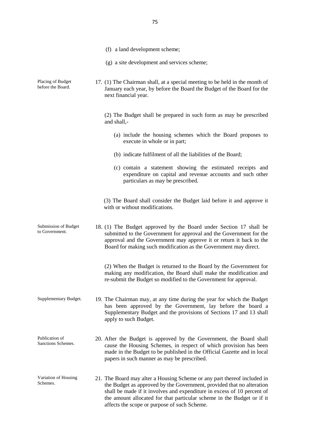- (f) a land development scheme; (g) a site development and services scheme; Placing of Budget before the Board. 17. (1) The Chairman shall, at a special meeting to be held in the month of January each year, by before the Board the Budget of the Board for the next financial year. (2) The Budget shall be prepared in such form as may be prescribed and shall,- (a) include the housing schemes which the Board proposes to execute in whole or in part; (b) indicate fulfilment of all the liabilities of the Board; (c) contain a statement showing the estimated receipts and expenditure on capital and revenue accounts and such other particulars as may be prescribed. (3) The Board shall consider the Budget laid before it and approve it with or without modifications. Submission of Budget to Government. 18. (1) The Budget approved by the Board under Section 17 shall be submitted to the Government for approval and the Government for the approval and the Government may approve it or return it back to the Board for making such modification as the Government may direct. (2) When the Budget is returned to the Board by the Government for making any modification, the Board shall make the modification and re-submit the Budget so modified to the Government for approval. Supplementary Budget. 19. The Chairman may, at any time during the year for which the Budget has been approved by the Government, lay before the board a Supplementary Budget and the provisions of Sections 17 and 13 shall apply to such Budget. Publication of Sanctions Schemes. 20. After the Budget is approved by the Government, the Board shall cause the Housing Schemes, in respect of which provision has been made in the Budget to be published in the Official Gazette and in local papers in such manner as may be prescribed.
- Variation of Housing Schemes. 21. The Board may alter a Housing Scheme or any part thereof included in the Budget as approved by the Government, provided that no alteration shall be made if it involves and expenditure in excess of 10 percent of the amount allocated for that particular scheme in the Budget or if it affects the scope or purpose of such Scheme.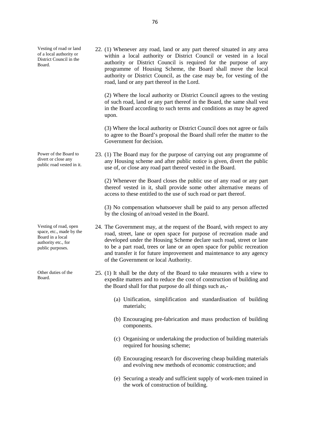Vesting of road or land of a local authority or District Council in the Board.

Power of the Board to divert or close any public road vested in it.

Vesting of road, open space, etc., made by the Board in a local authority etc., for public purposes.

Other duties of the Board.

22. (1) Whenever any road, land or any part thereof situated in any area within a local authority or District Council or vested in a local authority or District Council is required for the purpose of any programme of Housing Scheme, the Board shall move the local authority or District Council, as the case may be, for vesting of the road, land or any part thereof in the Lord.

(2) Where the local authority or District Council agrees to the vesting of such road, land or any part thereof in the Board, the same shall vest in the Board according to such terms and conditions as may be agreed upon.

(3) Where the local authority or District Council does not agree or fails to agree to the Board's proposal the Board shall refer the matter to the Government for decision.

23. (1) The Board may for the purpose of carrying out any programme of any Housing scheme and after public notice is given, divert the public use of, or close any road part thereof vested in the Board.

(2) Whenever the Board closes the public use of any road or any part thereof vested in it, shall provide some other alternative means of access to these entitled to the use of such road or part thereof.

(3) No compensation whatsoever shall be paid to any person affected by the closing of an/road vested in the Board.

- 24. The Government may, at the request of the Board, with respect to any road, street, lane or open space for purpose of recreation made and developed under the Housing Scheme declare such road, street or lane to be a part road, trees or lane or an open space for public recreation and transfer it for future improvement and maintenance to any agency of the Government or local Authority.
- 25. (1) It shall be the duty of the Board to take measures with a view to expedite matters and to reduce the cost of construction of building and the Board shall for that purpose do all things such as,-
	- (a) Unification, simplification and standardisation of building materials;
	- (b) Encouraging pre-fabrication and mass production of building components.
	- (c) Organising or undertaking the production of building materials required for housing scheme;
	- (d) Encouraging research for discovering cheap building materials and evolving new methods of economic construction; and
	- (e) Securing a steady and sufficient supply of work-men trained in the work of construction of building.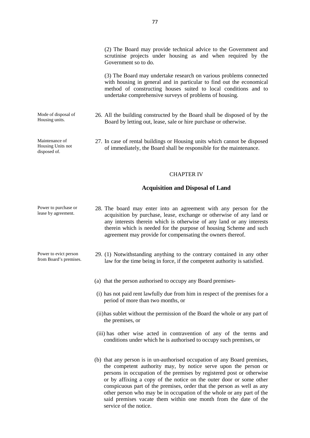(2) The Board may provide technical advice to the Government and scrutinise projects under housing as and when required by the Government so to do.

(3) The Board may undertake research on various problems connected with housing in general and in particular to find out the economical method of constructing houses suited to local conditions and to undertake comprehensive surveys of problems of housing.

Mode of disposal of Housing units. 26. All the building constructed by the Board shall be disposed of by the Board by letting out, lease, sale or hire purchase or otherwise.

> 27. In case of rental buildings or Housing units which cannot be disposed of immediately, the Board shall be responsible for the maintenance.

#### CHAPTER IV

#### **Acquisition and Disposal of Land**

Power to purchase or lease by agreement. 28. The board may enter into an agreement with any person for the acquisition by purchase, lease, exchange or otherwise of any land or any interests therein which is otherwise of any land or any interests therein which is needed for the purpose of housing Scheme and such agreement may provide for compensating the owners thereof.

Power to evict person from Board's premises.

Maintenance of Housing Units not disposed of.

- 29. (1) Notwithstanding anything to the contrary contained in any other law for the time being in force, if the competent authority is satisfied.
- (a) that the person authorised to occupy any Board premises-
- (i) has not paid rent lawfully due from him in respect of the premises for a period of more than two months, or
- (ii)has sublet without the permission of the Board the whole or any part of the premises, or
- (iii) has other wise acted in contravention of any of the terms and conditions under which he is authorised to occupy such premises, or
- (b) that any person is in un-authorised occupation of any Board premises, the competent authority may, by notice serve upon the person or persons in occupation of the premises by registered post or otherwise or by affixing a copy of the notice on the outer door or some other conspicuous part of the premises, order that the person as well as any other person who may be in occupation of the whole or any part of the said premises vacate them within one month from the date of the service of the notice.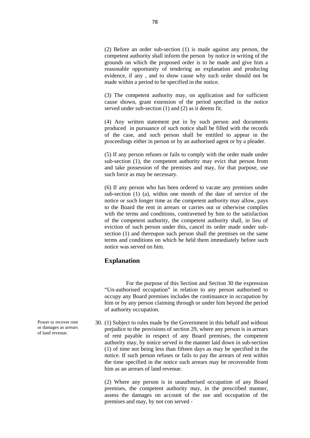(2) Before an order sub-section (1) is made against any person, the competent authority shall inform the person by notice in writing of the grounds on which the proposed order is to be made and give him a reasonable opportunity of tendering an explanation and producing evidence, if any , and to show cause why such order should not be made within a period to be specified in the notice.

(3) The competent authority may, on application and for sufficient cause shown, grant extension of the period specified in the notice served under sub-section (1) and (2) as it deems fit.

(4) Any written statement put in by such person and documents produced in pursuance of such notice shall be filled with the records of the case, and such person shall be entitled to appear in the proceedings either in person or by an authorised agent or by a pleader.

(5) If any person refuses or fails to comply with the order made under sub-section (1), the competent authority may evict that person from and take possession of the premises and may, for that purpose, use such force as may be necessary.

(6) If any person who has been ordered to vacate any premises under sub-section (1) (a), within one month of the date of service of the notice or such longer time as the competent authority may allow, pays to the Board the rent in arrears or carries out or otherwise complies with the terms and conditions, contravened by him to the satisfaction of the competent authority, the competent authority shall, in lieu of eviction of such person under this, cancel its order made under sub section (1) and thereupon such person shall the premises on the same terms and conditions on which he held them immediately before such notice was served on him.

## **Explanation**

For the purpose of this Section and Section 30 the expression "Un-authorised occupation" in relation to any person authorised to occupy any Board premises includes the continuance in occupation by him or by any person claiming through or under him beyond the period of authority occupation.

30. (1) Subject to rules made by the Government in this behalf and without prejudice to the provisions of section 29, where any person is in arrears of rent payable in respect of any Board premises, the competent authority may, by notice served in the manner laid down in sub-section (1) of time not being less than fifteen days as may be specified in the notice. If such person refuses or fails to pay the arrears of rent within the time specified in the notice such arrears may be recoverable from him as an arrears of land revenue.

(2) Where any person is in unauthorised occupation of any Board premises, the competent authority may, in the prescribed manner, assess the damages on account of the use and occupation of the premises and may, by not con served -

Power to recover rent or damages as arrears of land revenue.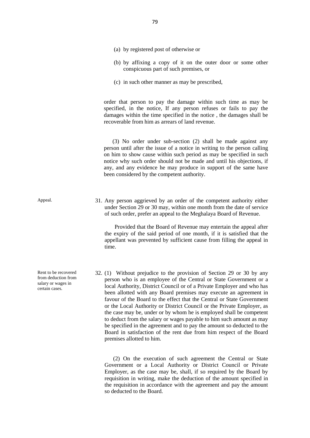- (a) by registered post of otherwise or
- (b) by affixing a copy of it on the outer door or some other conspicuous part of such premises, or
- (c) in such other manner as may be prescribed,

order that person to pay the damage within such time as may be specified, in the notice, If any person refuses or fails to pay the damages within the time specified in the notice , the damages shall be recoverable from him as arrears of land revenue.

(3) No order under sub-section (2) shall be made against any person until after the issue of a notice in writing to the person calling on him to show cause within such period as may be specified in such notice why such order should not be made and until his objections, if any, and any evidence he may produce in support of the same have been considered by the competent authority.

Appeal. 31. Any person aggrieved by an order of the competent authority either under Section 29 or 30 may, within one month from the date of service of such order, prefer an appeal to the Meghalaya Board of Revenue.

> Provided that the Board of Revenue may entertain the appeal after the expiry of the said period of one month, if it is satisfied that the appellant was prevented by sufficient cause from filling the appeal in time.

32. (1) Without prejudice to the provision of Section 29 or 30 by any person who is an employee of the Central or State Government or a local Authority, District Council or of a Private Employer and who has been allotted with any Board premises may execute an agreement in favour of the Board to the effect that the Central or State Government or the Local Authority or District Council or the Private Employer, as the case may be, under or by whom he is employed shall be competent to deduct from the salary or wages payable to him such amount as may be specified in the agreement and to pay the amount so deducted to the Board in satisfaction of the rent due from him respect of the Board premises allotted to him.

(2) On the execution of such agreement the Central or State Government or a Local Authority or District Council or Private Employer, as the case may be, shall, if so required by the Board by requisition in writing, make the deduction of the amount specified in the requisition in accordance with the agreement and pay the amount so deducted to the Board.

Rent to be recovered from deduction from salary or wages in certain cases.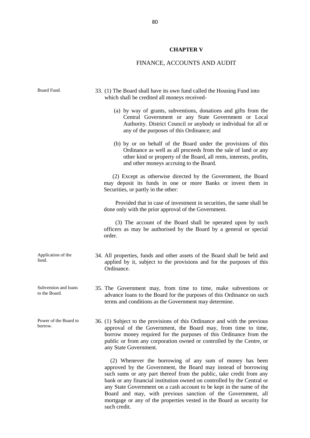# **CHAPTER V**

# FINANCE, ACCOUNTS AND AUDIT

| Board Fund.                           | 33. (1) The Board shall have its own fund called the Housing Fund into<br>which shall be credited all moneys received-                                                                                                                                                                                                                                                                                                                                                                                       |
|---------------------------------------|--------------------------------------------------------------------------------------------------------------------------------------------------------------------------------------------------------------------------------------------------------------------------------------------------------------------------------------------------------------------------------------------------------------------------------------------------------------------------------------------------------------|
|                                       | (a) by way of grants, subventions, donations and gifts from the<br>Central Government or any State Government or Local<br>Authority. District Council or anybody or individual for all or<br>any of the purposes of this Ordinance; and                                                                                                                                                                                                                                                                      |
|                                       | (b) by or on behalf of the Board under the provisions of this<br>Ordinance as well as all proceeds from the sale of land or any<br>other kind or property of the Board, all rents, interests, profits,<br>and other moneys accruing to the Board.                                                                                                                                                                                                                                                            |
|                                       | (2) Except as otherwise directed by the Government, the Board<br>may deposit its funds in one or more Banks or invest them in<br>Securities, or partly in the other:                                                                                                                                                                                                                                                                                                                                         |
|                                       | Provided that in case of investment in securities, the same shall be<br>done only with the prior approval of the Government.                                                                                                                                                                                                                                                                                                                                                                                 |
|                                       | (3) The account of the Board shall be operated upon by such<br>officers as may be authorised by the Board by a general or special<br>order.                                                                                                                                                                                                                                                                                                                                                                  |
| Application of the<br>fund.           | 34. All properties, funds and other assets of the Board shall be held and<br>applied by it, subject to the provisions and for the purposes of this<br>Ordinance.                                                                                                                                                                                                                                                                                                                                             |
| Subvention and loans<br>to the Board. | 35. The Government may, from time to time, make subventions or<br>advance loans to the Board for the purposes of this Ordinance on such<br>terms and conditions as the Government may determine.                                                                                                                                                                                                                                                                                                             |
| Power of the Board to<br>borrow.      | 36. (1) Subject to the provisions of this Ordinance and with the previous<br>approval of the Government, the Board may, from time to time,<br>borrow money required for the purposes of this Ordinance from the<br>public or from any corporation owned or controlled by the Centre, or<br>any State Government.                                                                                                                                                                                             |
|                                       | (2) Whenever the borrowing of any sum of money has been<br>approved by the Government, the Board may instead of borrowing<br>such sums or any part thereof from the public, take credit from any<br>bank or any financial institution owned on controlled by the Central or<br>any State Government on a cash account to be kept in the name of the<br>Board and may, with previous sanction of the Government, all<br>mortgage or any of the properties vested in the Board as security for<br>such credit. |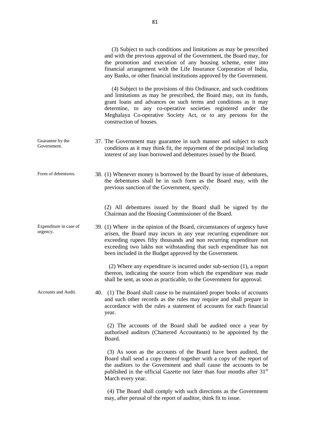|                                    | (3) Subject to such conditions and limitations as may be prescribed<br>and with the previous approval of the Government, the Board may, for<br>the promotion and execution of any housing scheme, enter into<br>financial arrangement with the Life Insurance Corporation of India,<br>any Banks, or other financial institutions approved by the Government.               |
|------------------------------------|-----------------------------------------------------------------------------------------------------------------------------------------------------------------------------------------------------------------------------------------------------------------------------------------------------------------------------------------------------------------------------|
|                                    | (4) Subject to the provisions of this Ordinance, and such conditions<br>and limitations as may be prescribed, the Board may, out its funds,<br>grant loans and advances on such terms and conditions as it may<br>determine, to any co-operative societies registered under the<br>Meghalaya Co-operative Society Act, or to any persons for the<br>construction of houses. |
| Guarantee by the<br>Government.    | 37. The Government may guarantee in such manner and subject to such<br>conditions as it may think fit, the repayment of the principal including<br>interest of any loan borrowed and debentures issued by the Board.                                                                                                                                                        |
| Form of debentures.                | 38. (1) Whenever money is borrowed by the Board by issue of debentures,<br>the debentures shall be in such form as the Board may, with the<br>previous sanction of the Government, specify.                                                                                                                                                                                 |
|                                    | (2) All debentures issued by the Board shall be signed by the<br>Chairman and the Housing Commissioner of the Board.                                                                                                                                                                                                                                                        |
| Expenditure in case of<br>urgency. | 39. (1) Where in the opinion of the Board, circumstances of urgency have<br>arisen, the Board may incurs in any year recurring expenditure not<br>exceeding rupees fifty thousands and non recurring expenditure not<br>exceeding two lakhs not withstanding that such expenditure has not<br>been included in the Budget approved by the Government.                       |
|                                    | $(2)$ Where any expenditure is incurred under sub-section $(1)$ , a report<br>thereon, indicating the source from which the expenditure was made<br>shall be sent, as soon as practicable, to the Government for approval.                                                                                                                                                  |
| Accounts and Audit.                | 40. (1) The Board shall cause to be maintained proper books of accounts<br>and such other records as the rules may require and shall prepare in<br>accordance with the rules a statement of accounts for each financial<br>year.                                                                                                                                            |
|                                    | (2) The accounts of the Board shall be audited once a year by<br>authorised auditors (Chartered Accountants) to be appointed by the<br>Board.                                                                                                                                                                                                                               |
|                                    | (3) As soon as the accounts of the Board have been audited, the<br>Board shall send a copy thereof together with a copy of the report of<br>the auditors to the Government and shall cause the accounts to be<br>published in the official Gazette not later than four months after 31 <sup>st</sup><br>March every year.                                                   |
|                                    | (4) The Board shall comply with such directions as the Government<br>may, after perusal of the report of auditor, think fit to issue.                                                                                                                                                                                                                                       |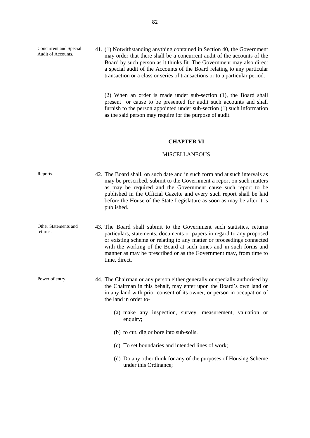Concurrent and Special Audit of Accounts.

41. (1) Notwithstanding anything contained in Section 40, the Government may order that there shall be a concurrent audit of the accounts of the Board by such person as it thinks fit. The Government may also direct a special audit of the Accounts of the Board relating to any particular transaction or a class or series of transactions or to a particular period.

(2) When an order is made under sub-section (1), the Board shall present or cause to be presented for audit such accounts and shall furnish to the person appointed under sub-section (1) such information as the said person may require for the purpose of audit.

#### **CHAPTER VI**

#### MISCELLANEOUS

| Reports.                         | 42. The Board shall, on such date and in such form and at such intervals as<br>may be prescribed, submit to the Government a report on such matters<br>as may be required and the Government cause such report to be<br>published in the Official Gazette and every such report shall be laid<br>before the House of the State Legislature as soon as may be after it is<br>published. |
|----------------------------------|----------------------------------------------------------------------------------------------------------------------------------------------------------------------------------------------------------------------------------------------------------------------------------------------------------------------------------------------------------------------------------------|
| Other Statements and<br>returns. | 43. The Board shall submit to the Government such statistics, returns<br>particulars, statements, documents or papers in regard to any proposed<br>or existing scheme or relating to any matter or proceedings connected<br>with the working of the Board at such times and in such forms and<br>manner as may be prescribed or as the Government may, from time to<br>time, direct.   |
| Power of entry.                  | 44. The Chairman or any person either generally or specially authorised by<br>the Chairman in this behalf, may enter upon the Board's own land or<br>in any land with prior consent of its owner, or person in occupation of<br>the land in order to-                                                                                                                                  |
|                                  | (a) make any inspection, survey, measurement, valuation or<br>enquiry;                                                                                                                                                                                                                                                                                                                 |
|                                  | (b) to cut, dig or bore into sub-soils.                                                                                                                                                                                                                                                                                                                                                |
|                                  | (c) To set boundaries and intended lines of work;                                                                                                                                                                                                                                                                                                                                      |
|                                  | (d) Do any other think for any of the purposes of Housing Scheme<br>under this Ordinance;                                                                                                                                                                                                                                                                                              |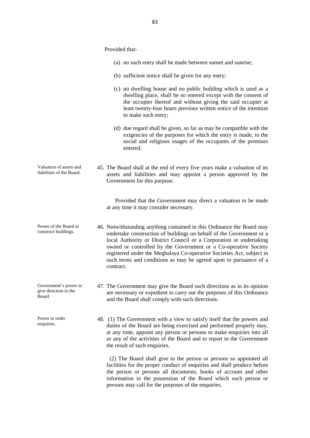|                                                          | Provided that-                                                                                                                                                                                                                                                                                                                                                                                                                                      |
|----------------------------------------------------------|-----------------------------------------------------------------------------------------------------------------------------------------------------------------------------------------------------------------------------------------------------------------------------------------------------------------------------------------------------------------------------------------------------------------------------------------------------|
|                                                          | (a) no such entry shall be made between sunset and sunrise;                                                                                                                                                                                                                                                                                                                                                                                         |
|                                                          | (b) sufficient notice shall be given for any entry;                                                                                                                                                                                                                                                                                                                                                                                                 |
|                                                          | (c) no dwelling house and no public building which is used as a<br>dwelling place, shall be so entered except with the consent of<br>the occupier thereof and without giving the said occupier at<br>least twenty-four hours previous written notice of the intention<br>to make such entry;                                                                                                                                                        |
|                                                          | (d) due regard shall be given, so far as may be compatible with the<br>exigencies of the purposes for which the entry is made, to the<br>social and religious usages of the occupants of the premises<br>entered.                                                                                                                                                                                                                                   |
| Valuation of assets and<br>liabilities of the Board.     | 45. The Board shall at the end of every five years make a valuation of its<br>assets and liabilities and may appoint a person approved by the<br>Government for this purpose.                                                                                                                                                                                                                                                                       |
|                                                          | Provided that the Government may direct a valuation to be made<br>at any time it may consider necessary.                                                                                                                                                                                                                                                                                                                                            |
| Power of the Board to<br>construct buildings.            | 46. Notwithstanding anything contained in this Ordinance the Board may<br>undertake construction of buildings on behalf of the Government or a<br>local Authority or District Council or a Corporation or undertaking<br>owned or controlled by the Government or a Co-operative Society<br>registered under the Meghalaya Co-operative Societies Act, subject in<br>such terms and conditions as may be agreed upon in pursuance of a<br>contract. |
| Government's power to<br>give direction to the<br>Board. | 47. The Government may give the Board such directions as in its opinion<br>are necessary or expedient to carry out the purposes of this Ordinance<br>and the Board shall comply with such directions.                                                                                                                                                                                                                                               |
| Power to order                                           | 48 (1) The Government with a view to satisfy itself that the nowers and                                                                                                                                                                                                                                                                                                                                                                             |

enquiries.

48. (1) The Government with a view to satisfy itself that the powers and duties of the Board are being exercised and performed properly may, at any time, appoint any person or persons to make enquiries into all or any of the activities of the Board and to report to the Government the result of such enquiries.

(2) The Board shall give to the person or persons so appointed all facilities for the proper conduct of enquiries and shall produce before the person or persons all documents, books of account and other information in the possession of the Board which such person or persons may call for the purposes of the enquiries.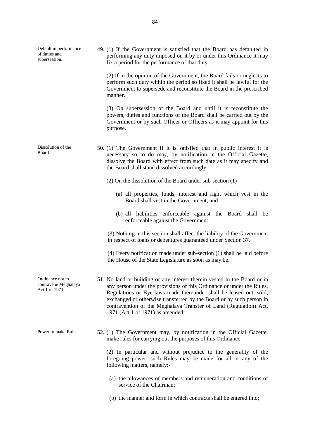| Default in performance<br>of duties and<br>supersession    | 49. (1) If the Government is satisfied that the Board has defaulted in<br>performing any duty imposed on it by or under this Ordinance it may<br>fix a period for the performance of that duty.                                                                                                                                                                                                           |
|------------------------------------------------------------|-----------------------------------------------------------------------------------------------------------------------------------------------------------------------------------------------------------------------------------------------------------------------------------------------------------------------------------------------------------------------------------------------------------|
|                                                            | (2) If in the opinion of the Government, the Board fails or neglects to<br>perform such duty within the period so fixed it shall be lawful for the<br>Government to supersede and reconstitute the Board in the prescribed<br>manner.                                                                                                                                                                     |
|                                                            | (3) On supersession of the Board and until it is reconstitute the<br>powers, duties and functions of the Board shall be carried out by the<br>Government or by such Officer or Officers as it may appoint for this<br>purpose.                                                                                                                                                                            |
| Dissolution of the<br>Board.                               | 50. (1) The Government if it is satisfied that in public interest it is<br>necessary so to do may, by notification in the Official Gazette,<br>dissolve the Board with effect from such date as it may specify and<br>the Board shall stand dissolved accordingly.                                                                                                                                        |
|                                                            | $(2)$ On the dissolution of the Board under sub-section $(1)$ -                                                                                                                                                                                                                                                                                                                                           |
|                                                            | (a) all properties, funds, interest and right which vest in the<br>Board shall vest in the Government; and                                                                                                                                                                                                                                                                                                |
|                                                            | (b) all liabilities enforceable against the Board shall be<br>enforceable against the Government.                                                                                                                                                                                                                                                                                                         |
|                                                            | (3) Nothing in this section shall affect the liability of the Government<br>in respect of loans or debentures guaranteed under Section 37.                                                                                                                                                                                                                                                                |
|                                                            | (4) Every notification made under sub-section (1) shall be laid before<br>the House of the State Legislature as soon as may be.                                                                                                                                                                                                                                                                           |
| Ordinance not to<br>contravene Meghalaya<br>Act 1 of 1971. | 51. No land or building or any interest therein vested in the Board or in<br>any person under the provisions of this Ordinance or under the Rules,<br>Regulations or Bye-laws made thereunder shall be leased out, sold,<br>exchanged or otherwise transferred by the Board or by such person in<br>contravention of the Meghalaya Transfer of Land (Regulation) Act,<br>1971 (Act 1 of 1971) as amended. |
| Power to make Rules.                                       | 52. (1) The Government may, by notification in the Official Gazette,<br>make rules for carrying out the purposes of this Ordinance.                                                                                                                                                                                                                                                                       |
|                                                            | (2) In particular and without prejudice to the generality of the<br>foregoing power, such Rules may be made for all or any of the<br>following matters, namely:-                                                                                                                                                                                                                                          |
|                                                            | (a) the allowances of members and remuneration and conditions of<br>service of the Chairman;                                                                                                                                                                                                                                                                                                              |
|                                                            | (b) the manner and form in which contracts shall be entered into;                                                                                                                                                                                                                                                                                                                                         |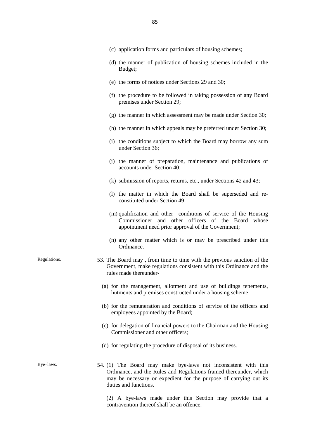|              | (c) application forms and particulars of housing schemes;                                                                                                                                                                         |
|--------------|-----------------------------------------------------------------------------------------------------------------------------------------------------------------------------------------------------------------------------------|
|              | (d) the manner of publication of housing schemes included in the<br>Budget;                                                                                                                                                       |
|              | (e) the forms of notices under Sections 29 and 30;                                                                                                                                                                                |
|              | (f) the procedure to be followed in taking possession of any Board<br>premises under Section 29;                                                                                                                                  |
|              | (g) the manner in which assessment may be made under Section 30;                                                                                                                                                                  |
|              | (h) the manner in which appeals may be preferred under Section 30;                                                                                                                                                                |
|              | (i) the conditions subject to which the Board may borrow any sum<br>under Section 36;                                                                                                                                             |
|              | (j) the manner of preparation, maintenance and publications of<br>accounts under Section 40;                                                                                                                                      |
|              | (k) submission of reports, returns, etc., under Sections 42 and 43;                                                                                                                                                               |
|              | (1) the matter in which the Board shall be superseded and re-<br>constituted under Section 49;                                                                                                                                    |
|              | (m) qualification and other conditions of service of the Housing<br>Commissioner and other officers of the Board whose<br>appointment need prior approval of the Government;                                                      |
|              | (n) any other matter which is or may be prescribed under this<br>Ordinance.                                                                                                                                                       |
| Regulations. | 53. The Board may, from time to time with the previous sanction of the<br>Government, make regulations consistent with this Ordinance and the<br>rules made thereunder-                                                           |
|              | (a) for the management, allotment and use of buildings tenements,<br>hutments and premises constructed under a housing scheme;                                                                                                    |
|              | (b) for the remuneration and conditions of service of the officers and<br>employees appointed by the Board;                                                                                                                       |
|              | (c) for delegation of financial powers to the Chairman and the Housing<br>Commissioner and other officers;                                                                                                                        |
|              | (d) for regulating the procedure of disposal of its business.                                                                                                                                                                     |
| Bye-laws.    | 54. (1) The Board may make bye-laws not inconsistent with this<br>Ordinance, and the Rules and Regulations framed thereunder, which<br>may be necessary or expedient for the purpose of carrying out its<br>duties and functions. |
|              | by laws made under this Costian may provide                                                                                                                                                                                       |

(2) A bye-laws made under this Section may provide that a contravention thereof shall be an offence.